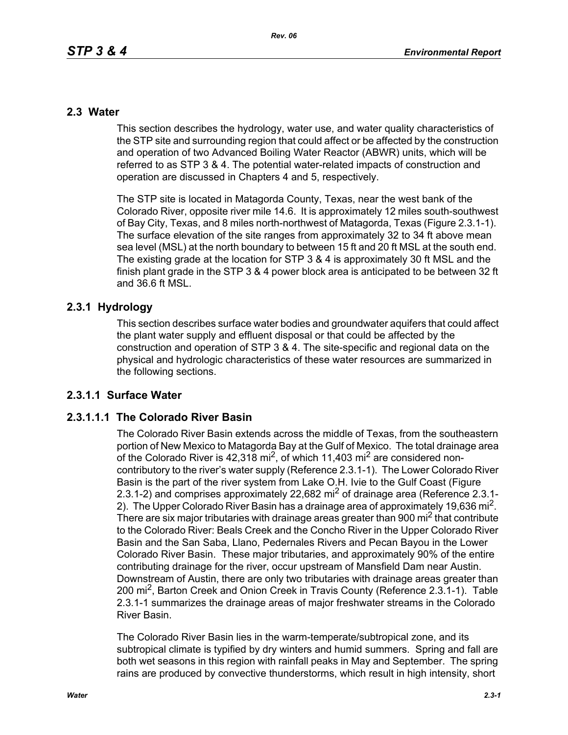# **2.3 Water**

This section describes the hydrology, water use, and water quality characteristics of the STP site and surrounding region that could affect or be affected by the construction and operation of two Advanced Boiling Water Reactor (ABWR) units, which will be referred to as STP 3 & 4. The potential water-related impacts of construction and operation are discussed in Chapters 4 and 5, respectively.

The STP site is located in Matagorda County, Texas, near the west bank of the Colorado River, opposite river mile 14.6. It is approximately 12 miles south-southwest of Bay City, Texas, and 8 miles north-northwest of Matagorda, Texas (Figure 2.3.1-1). The surface elevation of the site ranges from approximately 32 to 34 ft above mean sea level (MSL) at the north boundary to between 15 ft and 20 ft MSL at the south end. The existing grade at the location for STP 3 & 4 is approximately 30 ft MSL and the finish plant grade in the STP 3 & 4 power block area is anticipated to be between 32 ft and 36.6 ft MSL.

# **2.3.1 Hydrology**

This section describes surface water bodies and groundwater aquifers that could affect the plant water supply and effluent disposal or that could be affected by the construction and operation of STP 3 & 4. The site-specific and regional data on the physical and hydrologic characteristics of these water resources are summarized in the following sections.

# **2.3.1.1 Surface Water**

# **2.3.1.1.1 The Colorado River Basin**

The Colorado River Basin extends across the middle of Texas, from the southeastern portion of New Mexico to Matagorda Bay at the Gulf of Mexico. The total drainage area of the Colorado River is  $42,318$  mi<sup>2</sup>, of which 11,403 mi<sup>2</sup> are considered noncontributory to the river's water supply (Reference 2.3.1-1). The Lower Colorado River Basin is the part of the river system from Lake O.H. Ivie to the Gulf Coast (Figure 2.3.1-2) and comprises approximately 22,682 mi<sup>2</sup> of drainage area (Reference 2.3.1-2). The Upper Colorado River Basin has a drainage area of approximately 19,636 mi<sup>2</sup>. There are six major tributaries with drainage areas greater than 900 mi<sup>2</sup> that contribute to the Colorado River: Beals Creek and the Concho River in the Upper Colorado River Basin and the San Saba, Llano, Pedernales Rivers and Pecan Bayou in the Lower Colorado River Basin. These major tributaries, and approximately 90% of the entire contributing drainage for the river, occur upstream of Mansfield Dam near Austin. Downstream of Austin, there are only two tributaries with drainage areas greater than 200 mi<sup>2</sup>, Barton Creek and Onion Creek in Travis County (Reference 2.3.1-1). Table 2.3.1-1 summarizes the drainage areas of major freshwater streams in the Colorado River Basin.

The Colorado River Basin lies in the warm-temperate/subtropical zone, and its subtropical climate is typified by dry winters and humid summers. Spring and fall are both wet seasons in this region with rainfall peaks in May and September. The spring rains are produced by convective thunderstorms, which result in high intensity, short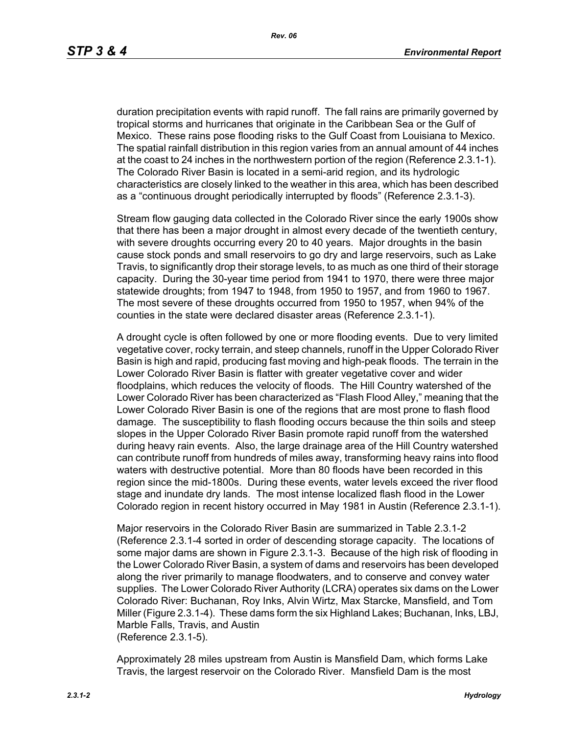duration precipitation events with rapid runoff. The fall rains are primarily governed by tropical storms and hurricanes that originate in the Caribbean Sea or the Gulf of Mexico. These rains pose flooding risks to the Gulf Coast from Louisiana to Mexico. The spatial rainfall distribution in this region varies from an annual amount of 44 inches at the coast to 24 inches in the northwestern portion of the region (Reference 2.3.1-1). The Colorado River Basin is located in a semi-arid region, and its hydrologic characteristics are closely linked to the weather in this area, which has been described as a "continuous drought periodically interrupted by floods" (Reference 2.3.1-3).

Stream flow gauging data collected in the Colorado River since the early 1900s show that there has been a major drought in almost every decade of the twentieth century, with severe droughts occurring every 20 to 40 years. Major droughts in the basin cause stock ponds and small reservoirs to go dry and large reservoirs, such as Lake Travis, to significantly drop their storage levels, to as much as one third of their storage capacity. During the 30-year time period from 1941 to 1970, there were three major statewide droughts; from 1947 to 1948, from 1950 to 1957, and from 1960 to 1967. The most severe of these droughts occurred from 1950 to 1957, when 94% of the counties in the state were declared disaster areas (Reference 2.3.1-1).

A drought cycle is often followed by one or more flooding events. Due to very limited vegetative cover, rocky terrain, and steep channels, runoff in the Upper Colorado River Basin is high and rapid, producing fast moving and high-peak floods. The terrain in the Lower Colorado River Basin is flatter with greater vegetative cover and wider floodplains, which reduces the velocity of floods. The Hill Country watershed of the Lower Colorado River has been characterized as "Flash Flood Alley," meaning that the Lower Colorado River Basin is one of the regions that are most prone to flash flood damage. The susceptibility to flash flooding occurs because the thin soils and steep slopes in the Upper Colorado River Basin promote rapid runoff from the watershed during heavy rain events. Also, the large drainage area of the Hill Country watershed can contribute runoff from hundreds of miles away, transforming heavy rains into flood waters with destructive potential. More than 80 floods have been recorded in this region since the mid-1800s. During these events, water levels exceed the river flood stage and inundate dry lands. The most intense localized flash flood in the Lower Colorado region in recent history occurred in May 1981 in Austin (Reference 2.3.1-1).

Major reservoirs in the Colorado River Basin are summarized in Table 2.3.1-2 (Reference 2.3.1-4 sorted in order of descending storage capacity. The locations of some major dams are shown in Figure 2.3.1-3. Because of the high risk of flooding in the Lower Colorado River Basin, a system of dams and reservoirs has been developed along the river primarily to manage floodwaters, and to conserve and convey water supplies. The Lower Colorado River Authority (LCRA) operates six dams on the Lower Colorado River: Buchanan, Roy Inks, Alvin Wirtz, Max Starcke, Mansfield, and Tom Miller (Figure 2.3.1-4). These dams form the six Highland Lakes; Buchanan, Inks, LBJ, Marble Falls, Travis, and Austin (Reference 2.3.1-5).

Approximately 28 miles upstream from Austin is Mansfield Dam, which forms Lake Travis, the largest reservoir on the Colorado River. Mansfield Dam is the most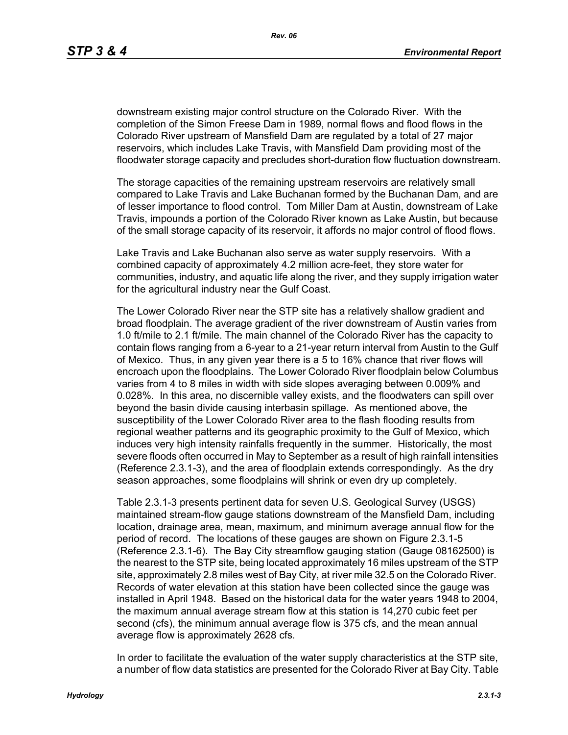downstream existing major control structure on the Colorado River. With the completion of the Simon Freese Dam in 1989, normal flows and flood flows in the Colorado River upstream of Mansfield Dam are regulated by a total of 27 major reservoirs, which includes Lake Travis, with Mansfield Dam providing most of the floodwater storage capacity and precludes short-duration flow fluctuation downstream.

The storage capacities of the remaining upstream reservoirs are relatively small compared to Lake Travis and Lake Buchanan formed by the Buchanan Dam, and are of lesser importance to flood control. Tom Miller Dam at Austin, downstream of Lake Travis, impounds a portion of the Colorado River known as Lake Austin, but because of the small storage capacity of its reservoir, it affords no major control of flood flows.

Lake Travis and Lake Buchanan also serve as water supply reservoirs. With a combined capacity of approximately 4.2 million acre-feet, they store water for communities, industry, and aquatic life along the river, and they supply irrigation water for the agricultural industry near the Gulf Coast.

The Lower Colorado River near the STP site has a relatively shallow gradient and broad floodplain. The average gradient of the river downstream of Austin varies from 1.0 ft/mile to 2.1 ft/mile. The main channel of the Colorado River has the capacity to contain flows ranging from a 6-year to a 21-year return interval from Austin to the Gulf of Mexico. Thus, in any given year there is a 5 to 16% chance that river flows will encroach upon the floodplains. The Lower Colorado River floodplain below Columbus varies from 4 to 8 miles in width with side slopes averaging between 0.009% and 0.028%. In this area, no discernible valley exists, and the floodwaters can spill over beyond the basin divide causing interbasin spillage. As mentioned above, the susceptibility of the Lower Colorado River area to the flash flooding results from regional weather patterns and its geographic proximity to the Gulf of Mexico, which induces very high intensity rainfalls frequently in the summer. Historically, the most severe floods often occurred in May to September as a result of high rainfall intensities (Reference 2.3.1-3), and the area of floodplain extends correspondingly. As the dry season approaches, some floodplains will shrink or even dry up completely.

Table 2.3.1-3 presents pertinent data for seven U.S. Geological Survey (USGS) maintained stream-flow gauge stations downstream of the Mansfield Dam, including location, drainage area, mean, maximum, and minimum average annual flow for the period of record. The locations of these gauges are shown on Figure 2.3.1-5 (Reference 2.3.1-6). The Bay City streamflow gauging station (Gauge 08162500) is the nearest to the STP site, being located approximately 16 miles upstream of the STP site, approximately 2.8 miles west of Bay City, at river mile 32.5 on the Colorado River. Records of water elevation at this station have been collected since the gauge was installed in April 1948. Based on the historical data for the water years 1948 to 2004, the maximum annual average stream flow at this station is 14,270 cubic feet per second (cfs), the minimum annual average flow is 375 cfs, and the mean annual average flow is approximately 2628 cfs.

In order to facilitate the evaluation of the water supply characteristics at the STP site, a number of flow data statistics are presented for the Colorado River at Bay City. Table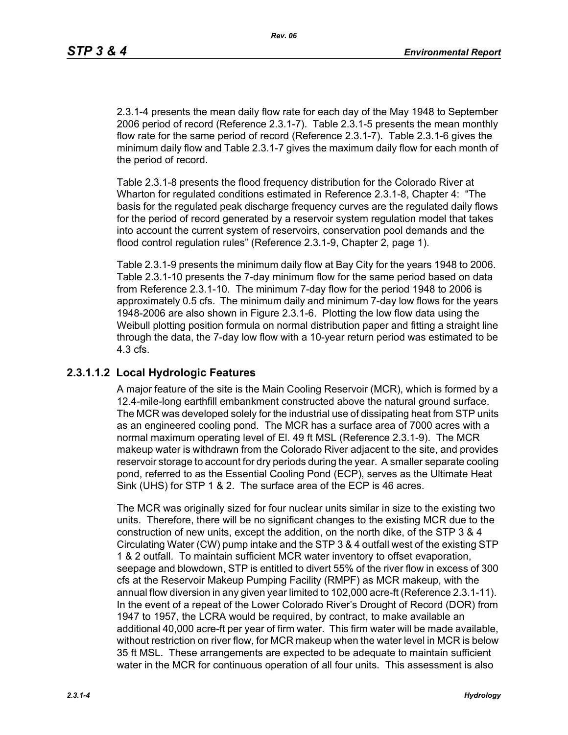2.3.1-4 presents the mean daily flow rate for each day of the May 1948 to September 2006 period of record (Reference 2.3.1-7). Table 2.3.1-5 presents the mean monthly flow rate for the same period of record (Reference 2.3.1-7). Table 2.3.1-6 gives the minimum daily flow and Table 2.3.1-7 gives the maximum daily flow for each month of the period of record.

Table 2.3.1-8 presents the flood frequency distribution for the Colorado River at Wharton for regulated conditions estimated in Reference 2.3.1-8, Chapter 4: "The basis for the regulated peak discharge frequency curves are the regulated daily flows for the period of record generated by a reservoir system regulation model that takes into account the current system of reservoirs, conservation pool demands and the flood control regulation rules" (Reference 2.3.1-9, Chapter 2, page 1).

Table 2.3.1-9 presents the minimum daily flow at Bay City for the years 1948 to 2006. Table 2.3.1-10 presents the 7-day minimum flow for the same period based on data from Reference 2.3.1-10. The minimum 7-day flow for the period 1948 to 2006 is approximately 0.5 cfs. The minimum daily and minimum 7-day low flows for the years 1948-2006 are also shown in Figure 2.3.1-6. Plotting the low flow data using the Weibull plotting position formula on normal distribution paper and fitting a straight line through the data, the 7-day low flow with a 10-year return period was estimated to be 4.3 cfs.

# **2.3.1.1.2 Local Hydrologic Features**

A major feature of the site is the Main Cooling Reservoir (MCR), which is formed by a 12.4-mile-long earthfill embankment constructed above the natural ground surface. The MCR was developed solely for the industrial use of dissipating heat from STP units as an engineered cooling pond. The MCR has a surface area of 7000 acres with a normal maximum operating level of El. 49 ft MSL (Reference 2.3.1-9). The MCR makeup water is withdrawn from the Colorado River adjacent to the site, and provides reservoir storage to account for dry periods during the year. A smaller separate cooling pond, referred to as the Essential Cooling Pond (ECP), serves as the Ultimate Heat Sink (UHS) for STP 1 & 2. The surface area of the ECP is 46 acres.

The MCR was originally sized for four nuclear units similar in size to the existing two units. Therefore, there will be no significant changes to the existing MCR due to the construction of new units, except the addition, on the north dike, of the STP 3 & 4 Circulating Water (CW) pump intake and the STP 3 & 4 outfall west of the existing STP 1 & 2 outfall. To maintain sufficient MCR water inventory to offset evaporation, seepage and blowdown, STP is entitled to divert 55% of the river flow in excess of 300 cfs at the Reservoir Makeup Pumping Facility (RMPF) as MCR makeup, with the annual flow diversion in any given year limited to 102,000 acre-ft (Reference 2.3.1-11). In the event of a repeat of the Lower Colorado River's Drought of Record (DOR) from 1947 to 1957, the LCRA would be required, by contract, to make available an additional 40,000 acre-ft per year of firm water. This firm water will be made available, without restriction on river flow, for MCR makeup when the water level in MCR is below 35 ft MSL. These arrangements are expected to be adequate to maintain sufficient water in the MCR for continuous operation of all four units. This assessment is also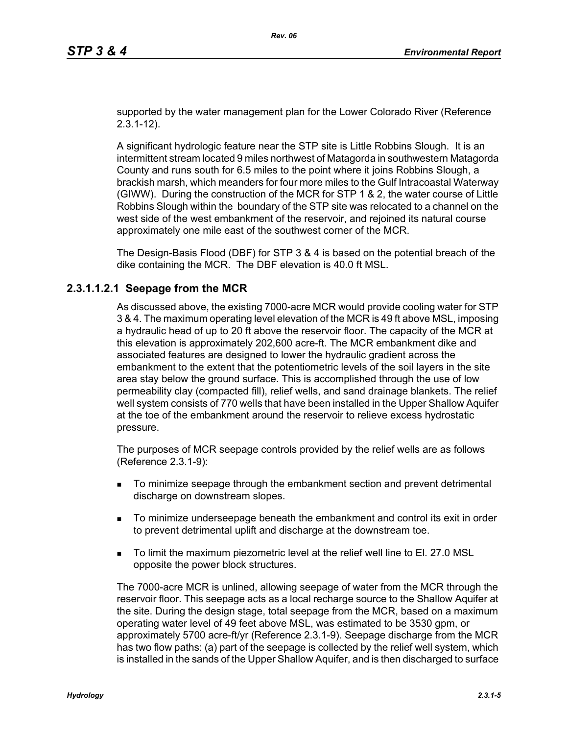supported by the water management plan for the Lower Colorado River (Reference 2.3.1-12).

A significant hydrologic feature near the STP site is Little Robbins Slough. It is an intermittent stream located 9 miles northwest of Matagorda in southwestern Matagorda County and runs south for 6.5 miles to the point where it joins Robbins Slough, a brackish marsh, which meanders for four more miles to the Gulf Intracoastal Waterway (GIWW). During the construction of the MCR for STP 1 & 2, the water course of Little Robbins Slough within the boundary of the STP site was relocated to a channel on the west side of the west embankment of the reservoir, and rejoined its natural course approximately one mile east of the southwest corner of the MCR.

The Design-Basis Flood (DBF) for STP 3 & 4 is based on the potential breach of the dike containing the MCR. The DBF elevation is 40.0 ft MSL.

## **2.3.1.1.2.1 Seepage from the MCR**

As discussed above, the existing 7000-acre MCR would provide cooling water for STP 3 & 4. The maximum operating level elevation of the MCR is 49 ft above MSL, imposing a hydraulic head of up to 20 ft above the reservoir floor. The capacity of the MCR at this elevation is approximately 202,600 acre-ft. The MCR embankment dike and associated features are designed to lower the hydraulic gradient across the embankment to the extent that the potentiometric levels of the soil layers in the site area stay below the ground surface. This is accomplished through the use of low permeability clay (compacted fill), relief wells, and sand drainage blankets. The relief well system consists of 770 wells that have been installed in the Upper Shallow Aquifer at the toe of the embankment around the reservoir to relieve excess hydrostatic pressure.

The purposes of MCR seepage controls provided by the relief wells are as follows (Reference 2.3.1-9):

- To minimize seepage through the embankment section and prevent detrimental discharge on downstream slopes.
- To minimize underseepage beneath the embankment and control its exit in order to prevent detrimental uplift and discharge at the downstream toe.
- To limit the maximum piezometric level at the relief well line to El. 27.0 MSL opposite the power block structures.

The 7000-acre MCR is unlined, allowing seepage of water from the MCR through the reservoir floor. This seepage acts as a local recharge source to the Shallow Aquifer at the site. During the design stage, total seepage from the MCR, based on a maximum operating water level of 49 feet above MSL, was estimated to be 3530 gpm, or approximately 5700 acre-ft/yr (Reference 2.3.1-9). Seepage discharge from the MCR has two flow paths: (a) part of the seepage is collected by the relief well system, which is installed in the sands of the Upper Shallow Aquifer, and is then discharged to surface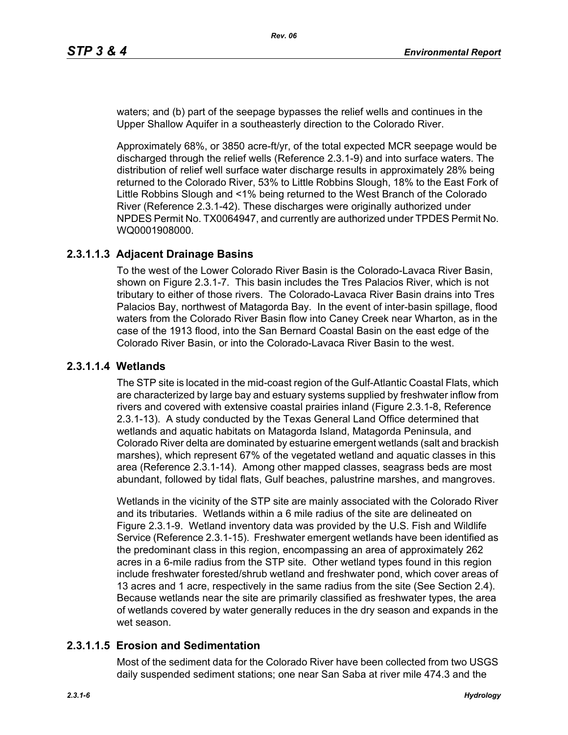waters; and (b) part of the seepage bypasses the relief wells and continues in the Upper Shallow Aquifer in a southeasterly direction to the Colorado River.

Approximately 68%, or 3850 acre-ft/yr, of the total expected MCR seepage would be discharged through the relief wells (Reference 2.3.1-9) and into surface waters. The distribution of relief well surface water discharge results in approximately 28% being returned to the Colorado River, 53% to Little Robbins Slough, 18% to the East Fork of Little Robbins Slough and <1% being returned to the West Branch of the Colorado River (Reference 2.3.1-42). These discharges were originally authorized under NPDES Permit No. TX0064947, and currently are authorized under TPDES Permit No. WQ0001908000.

## **2.3.1.1.3 Adjacent Drainage Basins**

To the west of the Lower Colorado River Basin is the Colorado-Lavaca River Basin, shown on Figure 2.3.1-7. This basin includes the Tres Palacios River, which is not tributary to either of those rivers. The Colorado-Lavaca River Basin drains into Tres Palacios Bay, northwest of Matagorda Bay. In the event of inter-basin spillage, flood waters from the Colorado River Basin flow into Caney Creek near Wharton, as in the case of the 1913 flood, into the San Bernard Coastal Basin on the east edge of the Colorado River Basin, or into the Colorado-Lavaca River Basin to the west.

#### **2.3.1.1.4 Wetlands**

The STP site is located in the mid-coast region of the Gulf-Atlantic Coastal Flats, which are characterized by large bay and estuary systems supplied by freshwater inflow from rivers and covered with extensive coastal prairies inland (Figure 2.3.1-8, Reference 2.3.1-13). A study conducted by the Texas General Land Office determined that wetlands and aquatic habitats on Matagorda Island, Matagorda Peninsula, and Colorado River delta are dominated by estuarine emergent wetlands (salt and brackish marshes), which represent 67% of the vegetated wetland and aquatic classes in this area (Reference 2.3.1-14). Among other mapped classes, seagrass beds are most abundant, followed by tidal flats, Gulf beaches, palustrine marshes, and mangroves.

Wetlands in the vicinity of the STP site are mainly associated with the Colorado River and its tributaries. Wetlands within a 6 mile radius of the site are delineated on Figure 2.3.1-9. Wetland inventory data was provided by the U.S. Fish and Wildlife Service (Reference 2.3.1-15). Freshwater emergent wetlands have been identified as the predominant class in this region, encompassing an area of approximately 262 acres in a 6-mile radius from the STP site. Other wetland types found in this region include freshwater forested/shrub wetland and freshwater pond, which cover areas of 13 acres and 1 acre, respectively in the same radius from the site (See Section 2.4). Because wetlands near the site are primarily classified as freshwater types, the area of wetlands covered by water generally reduces in the dry season and expands in the wet season.

## **2.3.1.1.5 Erosion and Sedimentation**

Most of the sediment data for the Colorado River have been collected from two USGS daily suspended sediment stations; one near San Saba at river mile 474.3 and the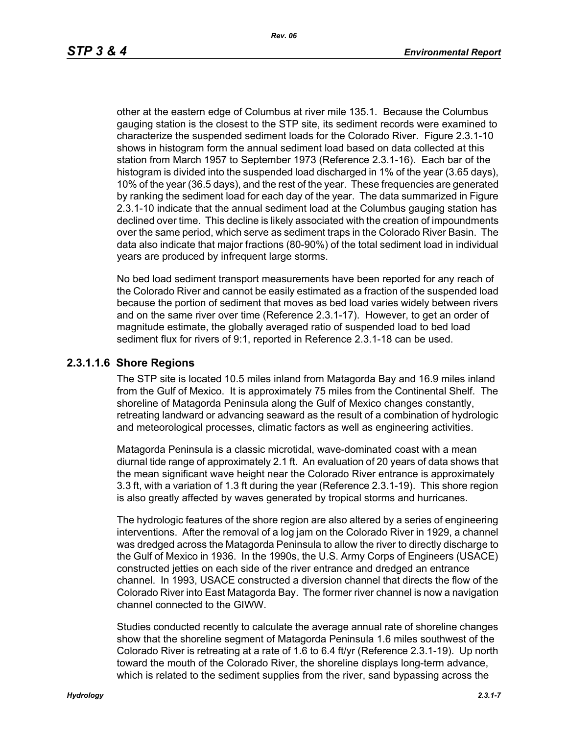other at the eastern edge of Columbus at river mile 135.1. Because the Columbus gauging station is the closest to the STP site, its sediment records were examined to characterize the suspended sediment loads for the Colorado River. Figure 2.3.1-10 shows in histogram form the annual sediment load based on data collected at this station from March 1957 to September 1973 (Reference 2.3.1-16). Each bar of the histogram is divided into the suspended load discharged in 1% of the year (3.65 days), 10% of the year (36.5 days), and the rest of the year. These frequencies are generated by ranking the sediment load for each day of the year. The data summarized in Figure 2.3.1-10 indicate that the annual sediment load at the Columbus gauging station has declined over time. This decline is likely associated with the creation of impoundments over the same period, which serve as sediment traps in the Colorado River Basin. The data also indicate that major fractions (80-90%) of the total sediment load in individual years are produced by infrequent large storms.

No bed load sediment transport measurements have been reported for any reach of the Colorado River and cannot be easily estimated as a fraction of the suspended load because the portion of sediment that moves as bed load varies widely between rivers and on the same river over time (Reference 2.3.1-17). However, to get an order of magnitude estimate, the globally averaged ratio of suspended load to bed load sediment flux for rivers of 9:1, reported in Reference 2.3.1-18 can be used.

## **2.3.1.1.6 Shore Regions**

The STP site is located 10.5 miles inland from Matagorda Bay and 16.9 miles inland from the Gulf of Mexico. It is approximately 75 miles from the Continental Shelf. The shoreline of Matagorda Peninsula along the Gulf of Mexico changes constantly, retreating landward or advancing seaward as the result of a combination of hydrologic and meteorological processes, climatic factors as well as engineering activities.

Matagorda Peninsula is a classic microtidal, wave-dominated coast with a mean diurnal tide range of approximately 2.1 ft. An evaluation of 20 years of data shows that the mean significant wave height near the Colorado River entrance is approximately 3.3 ft, with a variation of 1.3 ft during the year (Reference 2.3.1-19). This shore region is also greatly affected by waves generated by tropical storms and hurricanes.

The hydrologic features of the shore region are also altered by a series of engineering interventions. After the removal of a log jam on the Colorado River in 1929, a channel was dredged across the Matagorda Peninsula to allow the river to directly discharge to the Gulf of Mexico in 1936. In the 1990s, the U.S. Army Corps of Engineers (USACE) constructed jetties on each side of the river entrance and dredged an entrance channel. In 1993, USACE constructed a diversion channel that directs the flow of the Colorado River into East Matagorda Bay. The former river channel is now a navigation channel connected to the GIWW.

Studies conducted recently to calculate the average annual rate of shoreline changes show that the shoreline segment of Matagorda Peninsula 1.6 miles southwest of the Colorado River is retreating at a rate of 1.6 to 6.4 ft/yr (Reference 2.3.1-19). Up north toward the mouth of the Colorado River, the shoreline displays long-term advance, which is related to the sediment supplies from the river, sand bypassing across the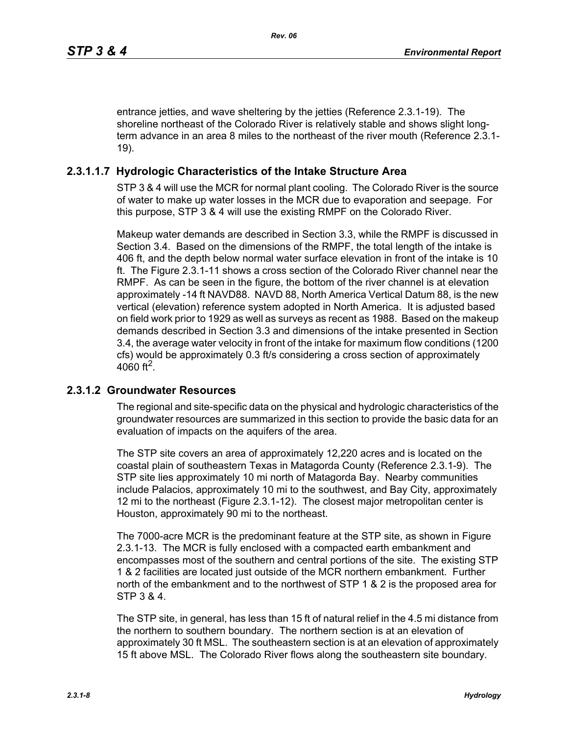entrance jetties, and wave sheltering by the jetties (Reference 2.3.1-19). The shoreline northeast of the Colorado River is relatively stable and shows slight longterm advance in an area 8 miles to the northeast of the river mouth (Reference 2.3.1- 19).

# **2.3.1.1.7 Hydrologic Characteristics of the Intake Structure Area**

STP 3 & 4 will use the MCR for normal plant cooling. The Colorado River is the source of water to make up water losses in the MCR due to evaporation and seepage. For this purpose, STP 3 & 4 will use the existing RMPF on the Colorado River.

Makeup water demands are described in Section 3.3, while the RMPF is discussed in Section 3.4. Based on the dimensions of the RMPF, the total length of the intake is 406 ft, and the depth below normal water surface elevation in front of the intake is 10 ft. The Figure 2.3.1-11 shows a cross section of the Colorado River channel near the RMPF. As can be seen in the figure, the bottom of the river channel is at elevation approximately -14 ft NAVD88. NAVD 88, North America Vertical Datum 88, is the new vertical (elevation) reference system adopted in North America. It is adjusted based on field work prior to 1929 as well as surveys as recent as 1988. Based on the makeup demands described in Section 3.3 and dimensions of the intake presented in Section 3.4, the average water velocity in front of the intake for maximum flow conditions (1200 cfs) would be approximately 0.3 ft/s considering a cross section of approximately 4060 ft<sup>2</sup>.

# **2.3.1.2 Groundwater Resources**

The regional and site-specific data on the physical and hydrologic characteristics of the groundwater resources are summarized in this section to provide the basic data for an evaluation of impacts on the aquifers of the area.

The STP site covers an area of approximately 12,220 acres and is located on the coastal plain of southeastern Texas in Matagorda County (Reference 2.3.1-9). The STP site lies approximately 10 mi north of Matagorda Bay. Nearby communities include Palacios, approximately 10 mi to the southwest, and Bay City, approximately 12 mi to the northeast (Figure 2.3.1-12). The closest major metropolitan center is Houston, approximately 90 mi to the northeast.

The 7000-acre MCR is the predominant feature at the STP site, as shown in Figure 2.3.1-13. The MCR is fully enclosed with a compacted earth embankment and encompasses most of the southern and central portions of the site. The existing STP 1 & 2 facilities are located just outside of the MCR northern embankment. Further north of the embankment and to the northwest of STP 1 & 2 is the proposed area for STP 3 & 4.

The STP site, in general, has less than 15 ft of natural relief in the 4.5 mi distance from the northern to southern boundary. The northern section is at an elevation of approximately 30 ft MSL. The southeastern section is at an elevation of approximately 15 ft above MSL. The Colorado River flows along the southeastern site boundary.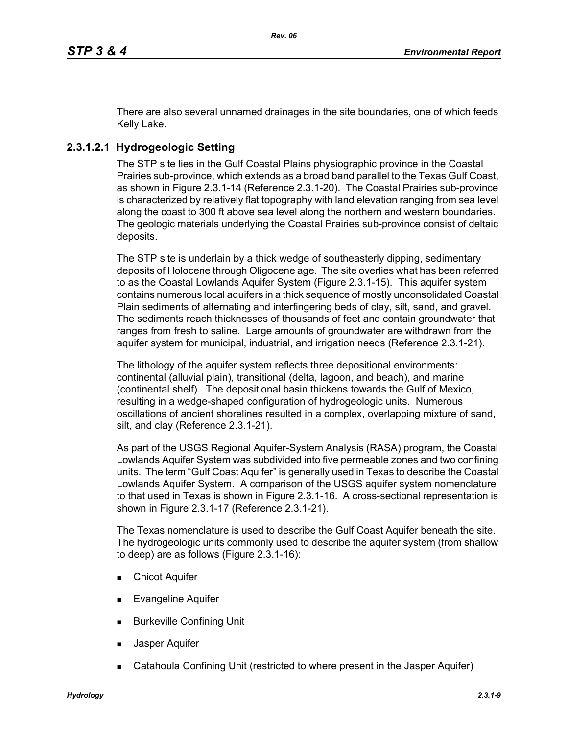There are also several unnamed drainages in the site boundaries, one of which feeds Kelly Lake.

# **2.3.1.2.1 Hydrogeologic Setting**

The STP site lies in the Gulf Coastal Plains physiographic province in the Coastal Prairies sub-province, which extends as a broad band parallel to the Texas Gulf Coast, as shown in Figure 2.3.1-14 (Reference 2.3.1-20). The Coastal Prairies sub-province is characterized by relatively flat topography with land elevation ranging from sea level along the coast to 300 ft above sea level along the northern and western boundaries. The geologic materials underlying the Coastal Prairies sub-province consist of deltaic deposits.

The STP site is underlain by a thick wedge of southeasterly dipping, sedimentary deposits of Holocene through Oligocene age. The site overlies what has been referred to as the Coastal Lowlands Aquifer System (Figure 2.3.1-15). This aquifer system contains numerous local aquifers in a thick sequence of mostly unconsolidated Coastal Plain sediments of alternating and interfingering beds of clay, silt, sand, and gravel. The sediments reach thicknesses of thousands of feet and contain groundwater that ranges from fresh to saline. Large amounts of groundwater are withdrawn from the aquifer system for municipal, industrial, and irrigation needs (Reference 2.3.1-21).

The lithology of the aquifer system reflects three depositional environments: continental (alluvial plain), transitional (delta, lagoon, and beach), and marine (continental shelf). The depositional basin thickens towards the Gulf of Mexico, resulting in a wedge-shaped configuration of hydrogeologic units. Numerous oscillations of ancient shorelines resulted in a complex, overlapping mixture of sand, silt, and clay (Reference 2.3.1-21).

As part of the USGS Regional Aquifer-System Analysis (RASA) program, the Coastal Lowlands Aquifer System was subdivided into five permeable zones and two confining units. The term "Gulf Coast Aquifer" is generally used in Texas to describe the Coastal Lowlands Aquifer System. A comparison of the USGS aquifer system nomenclature to that used in Texas is shown in Figure 2.3.1-16. A cross-sectional representation is shown in Figure 2.3.1-17 (Reference 2.3.1-21).

The Texas nomenclature is used to describe the Gulf Coast Aquifer beneath the site. The hydrogeologic units commonly used to describe the aquifer system (from shallow to deep) are as follows (Figure 2.3.1-16):

- **Chicot Aquifer**
- Evangeline Aquifer
- **Burkeville Confining Unit**
- Jasper Aquifer
- Catahoula Confining Unit (restricted to where present in the Jasper Aquifer)

*Hydrology 2.3.1-9*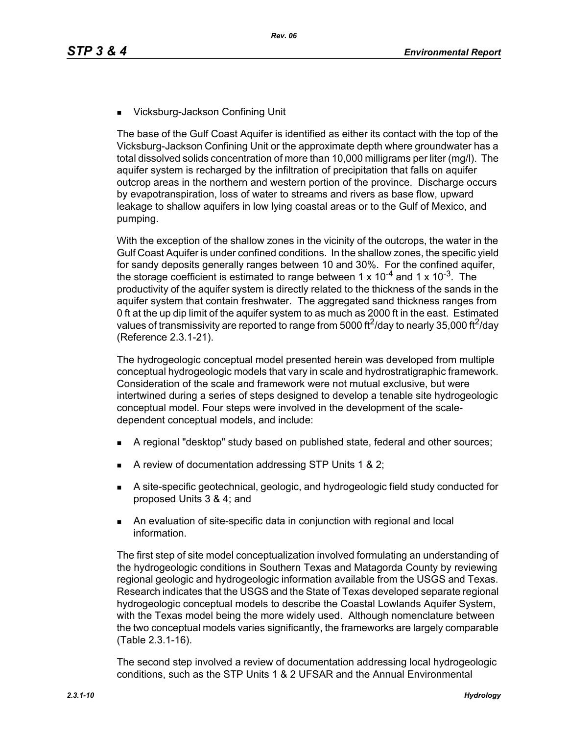■ Vicksburg-Jackson Confining Unit

The base of the Gulf Coast Aquifer is identified as either its contact with the top of the Vicksburg-Jackson Confining Unit or the approximate depth where groundwater has a total dissolved solids concentration of more than 10,000 milligrams per liter (mg/l). The aquifer system is recharged by the infiltration of precipitation that falls on aquifer outcrop areas in the northern and western portion of the province. Discharge occurs by evapotranspiration, loss of water to streams and rivers as base flow, upward leakage to shallow aquifers in low lying coastal areas or to the Gulf of Mexico, and pumping.

With the exception of the shallow zones in the vicinity of the outcrops, the water in the Gulf Coast Aquifer is under confined conditions. In the shallow zones, the specific yield for sandy deposits generally ranges between 10 and 30%. For the confined aquifer, the storage coefficient is estimated to range between 1 x  $10^{-4}$  and 1 x  $10^{-3}$ . The productivity of the aquifer system is directly related to the thickness of the sands in the aquifer system that contain freshwater. The aggregated sand thickness ranges from 0 ft at the up dip limit of the aquifer system to as much as 2000 ft in the east. Estimated values of transmissivity are reported to range from 5000 ft<sup>2</sup>/day to nearly 35,000 ft<sup>2</sup>/day (Reference 2.3.1-21).

The hydrogeologic conceptual model presented herein was developed from multiple conceptual hydrogeologic models that vary in scale and hydrostratigraphic framework. Consideration of the scale and framework were not mutual exclusive, but were intertwined during a series of steps designed to develop a tenable site hydrogeologic conceptual model. Four steps were involved in the development of the scaledependent conceptual models, and include:

- A regional "desktop" study based on published state, federal and other sources;
- A review of documentation addressing STP Units 1 & 2;
- A site-specific geotechnical, geologic, and hydrogeologic field study conducted for proposed Units 3 & 4; and
- An evaluation of site-specific data in conjunction with regional and local information.

The first step of site model conceptualization involved formulating an understanding of the hydrogeologic conditions in Southern Texas and Matagorda County by reviewing regional geologic and hydrogeologic information available from the USGS and Texas. Research indicates that the USGS and the State of Texas developed separate regional hydrogeologic conceptual models to describe the Coastal Lowlands Aquifer System, with the Texas model being the more widely used. Although nomenclature between the two conceptual models varies significantly, the frameworks are largely comparable (Table 2.3.1-16).

The second step involved a review of documentation addressing local hydrogeologic conditions, such as the STP Units 1 & 2 UFSAR and the Annual Environmental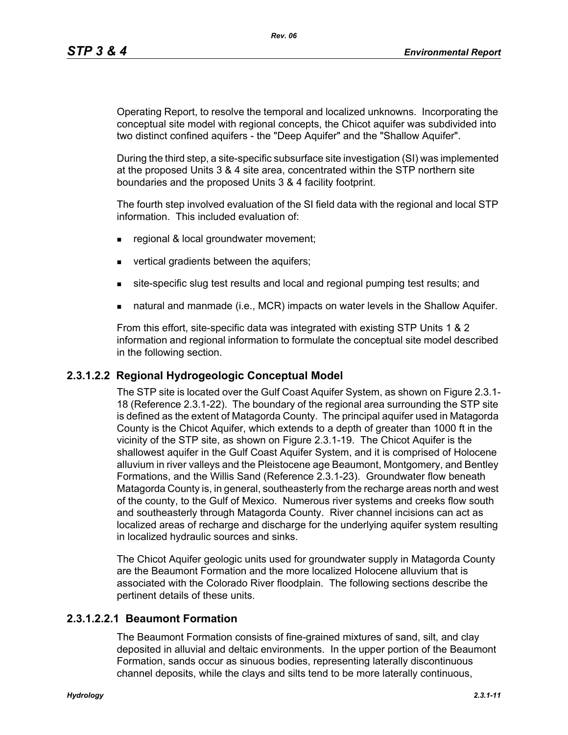Operating Report, to resolve the temporal and localized unknowns. Incorporating the conceptual site model with regional concepts, the Chicot aquifer was subdivided into two distinct confined aquifers - the "Deep Aquifer" and the "Shallow Aquifer".

During the third step, a site-specific subsurface site investigation (SI) was implemented at the proposed Units 3 & 4 site area, concentrated within the STP northern site boundaries and the proposed Units 3 & 4 facility footprint.

The fourth step involved evaluation of the SI field data with the regional and local STP information. This included evaluation of:

- **regional & local groundwater movement;**
- vertical gradients between the aquifers;
- site-specific slug test results and local and regional pumping test results; and
- natural and manmade (i.e., MCR) impacts on water levels in the Shallow Aquifer.

From this effort, site-specific data was integrated with existing STP Units 1 & 2 information and regional information to formulate the conceptual site model described in the following section.

## **2.3.1.2.2 Regional Hydrogeologic Conceptual Model**

The STP site is located over the Gulf Coast Aquifer System, as shown on Figure 2.3.1- 18 (Reference 2.3.1-22). The boundary of the regional area surrounding the STP site is defined as the extent of Matagorda County. The principal aquifer used in Matagorda County is the Chicot Aquifer, which extends to a depth of greater than 1000 ft in the vicinity of the STP site, as shown on Figure 2.3.1-19. The Chicot Aquifer is the shallowest aquifer in the Gulf Coast Aquifer System, and it is comprised of Holocene alluvium in river valleys and the Pleistocene age Beaumont, Montgomery, and Bentley Formations, and the Willis Sand (Reference 2.3.1-23). Groundwater flow beneath Matagorda County is, in general, southeasterly from the recharge areas north and west of the county, to the Gulf of Mexico. Numerous river systems and creeks flow south and southeasterly through Matagorda County. River channel incisions can act as localized areas of recharge and discharge for the underlying aquifer system resulting in localized hydraulic sources and sinks.

The Chicot Aquifer geologic units used for groundwater supply in Matagorda County are the Beaumont Formation and the more localized Holocene alluvium that is associated with the Colorado River floodplain. The following sections describe the pertinent details of these units.

## **2.3.1.2.2.1 Beaumont Formation**

The Beaumont Formation consists of fine-grained mixtures of sand, silt, and clay deposited in alluvial and deltaic environments. In the upper portion of the Beaumont Formation, sands occur as sinuous bodies, representing laterally discontinuous channel deposits, while the clays and silts tend to be more laterally continuous,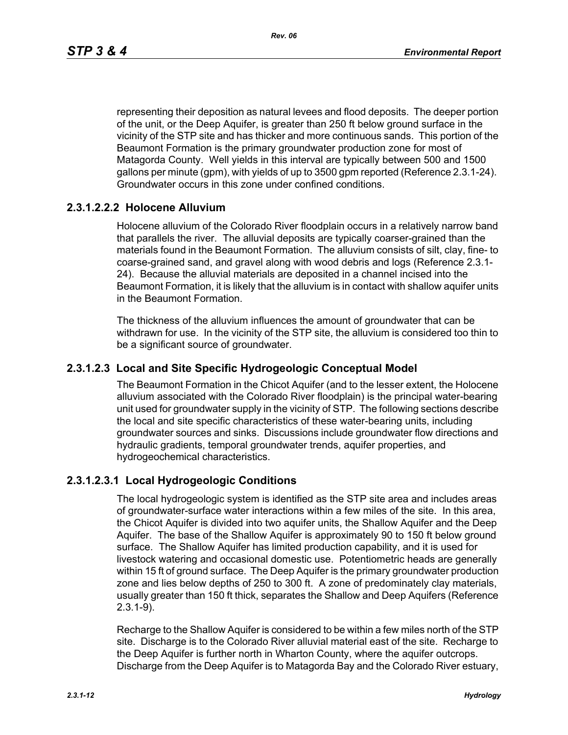representing their deposition as natural levees and flood deposits. The deeper portion of the unit, or the Deep Aquifer, is greater than 250 ft below ground surface in the vicinity of the STP site and has thicker and more continuous sands. This portion of the Beaumont Formation is the primary groundwater production zone for most of Matagorda County. Well yields in this interval are typically between 500 and 1500 gallons per minute (gpm), with yields of up to 3500 gpm reported (Reference 2.3.1-24). Groundwater occurs in this zone under confined conditions.

# **2.3.1.2.2.2 Holocene Alluvium**

Holocene alluvium of the Colorado River floodplain occurs in a relatively narrow band that parallels the river. The alluvial deposits are typically coarser-grained than the materials found in the Beaumont Formation. The alluvium consists of silt, clay, fine- to coarse-grained sand, and gravel along with wood debris and logs (Reference 2.3.1- 24). Because the alluvial materials are deposited in a channel incised into the Beaumont Formation, it is likely that the alluvium is in contact with shallow aquifer units in the Beaumont Formation.

The thickness of the alluvium influences the amount of groundwater that can be withdrawn for use. In the vicinity of the STP site, the alluvium is considered too thin to be a significant source of groundwater.

## **2.3.1.2.3 Local and Site Specific Hydrogeologic Conceptual Model**

The Beaumont Formation in the Chicot Aquifer (and to the lesser extent, the Holocene alluvium associated with the Colorado River floodplain) is the principal water-bearing unit used for groundwater supply in the vicinity of STP. The following sections describe the local and site specific characteristics of these water-bearing units, including groundwater sources and sinks. Discussions include groundwater flow directions and hydraulic gradients, temporal groundwater trends, aquifer properties, and hydrogeochemical characteristics.

## **2.3.1.2.3.1 Local Hydrogeologic Conditions**

The local hydrogeologic system is identified as the STP site area and includes areas of groundwater-surface water interactions within a few miles of the site. In this area, the Chicot Aquifer is divided into two aquifer units, the Shallow Aquifer and the Deep Aquifer. The base of the Shallow Aquifer is approximately 90 to 150 ft below ground surface. The Shallow Aquifer has limited production capability, and it is used for livestock watering and occasional domestic use. Potentiometric heads are generally within 15 ft of ground surface. The Deep Aquifer is the primary groundwater production zone and lies below depths of 250 to 300 ft. A zone of predominately clay materials, usually greater than 150 ft thick, separates the Shallow and Deep Aquifers (Reference 2.3.1-9).

Recharge to the Shallow Aquifer is considered to be within a few miles north of the STP site. Discharge is to the Colorado River alluvial material east of the site. Recharge to the Deep Aquifer is further north in Wharton County, where the aquifer outcrops. Discharge from the Deep Aquifer is to Matagorda Bay and the Colorado River estuary,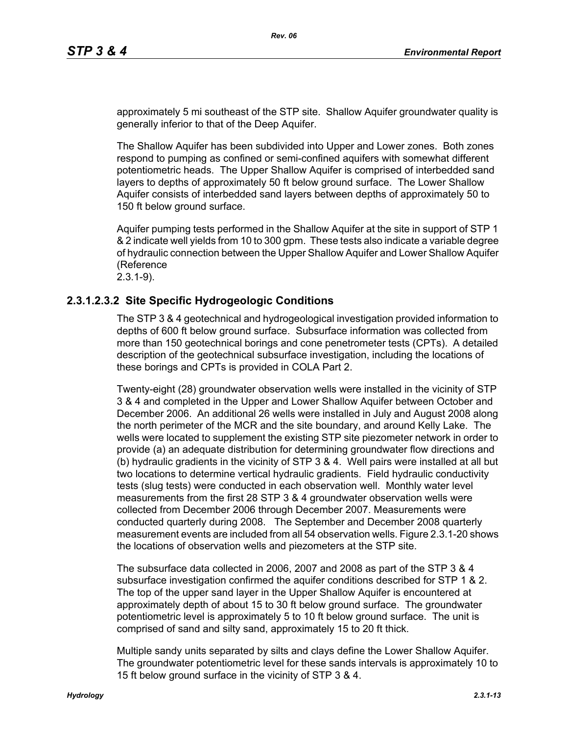approximately 5 mi southeast of the STP site. Shallow Aquifer groundwater quality is generally inferior to that of the Deep Aquifer.

The Shallow Aquifer has been subdivided into Upper and Lower zones. Both zones respond to pumping as confined or semi-confined aquifers with somewhat different potentiometric heads. The Upper Shallow Aquifer is comprised of interbedded sand layers to depths of approximately 50 ft below ground surface. The Lower Shallow Aquifer consists of interbedded sand layers between depths of approximately 50 to 150 ft below ground surface.

Aquifer pumping tests performed in the Shallow Aquifer at the site in support of STP 1 & 2 indicate well yields from 10 to 300 gpm. These tests also indicate a variable degree of hydraulic connection between the Upper Shallow Aquifer and Lower Shallow Aquifer (Reference

2.3.1-9).

# **2.3.1.2.3.2 Site Specific Hydrogeologic Conditions**

The STP 3 & 4 geotechnical and hydrogeological investigation provided information to depths of 600 ft below ground surface. Subsurface information was collected from more than 150 geotechnical borings and cone penetrometer tests (CPTs). A detailed description of the geotechnical subsurface investigation, including the locations of these borings and CPTs is provided in COLA Part 2.

Twenty-eight (28) groundwater observation wells were installed in the vicinity of STP 3 & 4 and completed in the Upper and Lower Shallow Aquifer between October and December 2006. An additional 26 wells were installed in July and August 2008 along the north perimeter of the MCR and the site boundary, and around Kelly Lake. The wells were located to supplement the existing STP site piezometer network in order to provide (a) an adequate distribution for determining groundwater flow directions and (b) hydraulic gradients in the vicinity of STP 3 & 4. Well pairs were installed at all but two locations to determine vertical hydraulic gradients. Field hydraulic conductivity tests (slug tests) were conducted in each observation well. Monthly water level measurements from the first 28 STP 3 & 4 groundwater observation wells were collected from December 2006 through December 2007. Measurements were conducted quarterly during 2008. The September and December 2008 quarterly measurement events are included from all 54 observation wells. Figure 2.3.1-20 shows the locations of observation wells and piezometers at the STP site.

The subsurface data collected in 2006, 2007 and 2008 as part of the STP 3 & 4 subsurface investigation confirmed the aquifer conditions described for STP 1 & 2. The top of the upper sand layer in the Upper Shallow Aquifer is encountered at approximately depth of about 15 to 30 ft below ground surface. The groundwater potentiometric level is approximately 5 to 10 ft below ground surface. The unit is comprised of sand and silty sand, approximately 15 to 20 ft thick.

Multiple sandy units separated by silts and clays define the Lower Shallow Aquifer. The groundwater potentiometric level for these sands intervals is approximately 10 to 15 ft below ground surface in the vicinity of STP 3 & 4.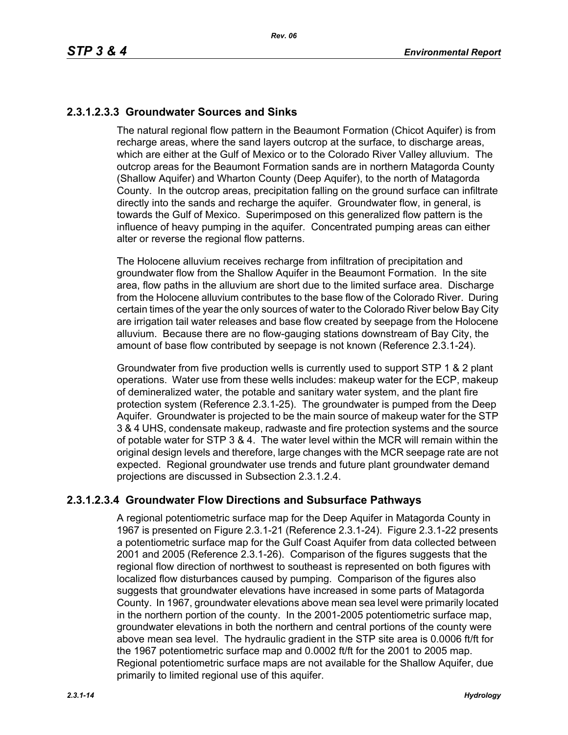# **2.3.1.2.3.3 Groundwater Sources and Sinks**

The natural regional flow pattern in the Beaumont Formation (Chicot Aquifer) is from recharge areas, where the sand layers outcrop at the surface, to discharge areas, which are either at the Gulf of Mexico or to the Colorado River Valley alluvium. The outcrop areas for the Beaumont Formation sands are in northern Matagorda County (Shallow Aquifer) and Wharton County (Deep Aquifer), to the north of Matagorda County. In the outcrop areas, precipitation falling on the ground surface can infiltrate directly into the sands and recharge the aquifer. Groundwater flow, in general, is towards the Gulf of Mexico. Superimposed on this generalized flow pattern is the influence of heavy pumping in the aquifer. Concentrated pumping areas can either alter or reverse the regional flow patterns.

The Holocene alluvium receives recharge from infiltration of precipitation and groundwater flow from the Shallow Aquifer in the Beaumont Formation. In the site area, flow paths in the alluvium are short due to the limited surface area. Discharge from the Holocene alluvium contributes to the base flow of the Colorado River. During certain times of the year the only sources of water to the Colorado River below Bay City are irrigation tail water releases and base flow created by seepage from the Holocene alluvium. Because there are no flow-gauging stations downstream of Bay City, the amount of base flow contributed by seepage is not known (Reference 2.3.1-24).

Groundwater from five production wells is currently used to support STP 1 & 2 plant operations. Water use from these wells includes: makeup water for the ECP, makeup of demineralized water, the potable and sanitary water system, and the plant fire protection system (Reference 2.3.1-25). The groundwater is pumped from the Deep Aquifer. Groundwater is projected to be the main source of makeup water for the STP 3 & 4 UHS, condensate makeup, radwaste and fire protection systems and the source of potable water for STP 3 & 4. The water level within the MCR will remain within the original design levels and therefore, large changes with the MCR seepage rate are not expected. Regional groundwater use trends and future plant groundwater demand projections are discussed in Subsection 2.3.1.2.4.

# **2.3.1.2.3.4 Groundwater Flow Directions and Subsurface Pathways**

A regional potentiometric surface map for the Deep Aquifer in Matagorda County in 1967 is presented on Figure 2.3.1-21 (Reference 2.3.1-24). Figure 2.3.1-22 presents a potentiometric surface map for the Gulf Coast Aquifer from data collected between 2001 and 2005 (Reference 2.3.1-26). Comparison of the figures suggests that the regional flow direction of northwest to southeast is represented on both figures with localized flow disturbances caused by pumping. Comparison of the figures also suggests that groundwater elevations have increased in some parts of Matagorda County. In 1967, groundwater elevations above mean sea level were primarily located in the northern portion of the county. In the 2001-2005 potentiometric surface map, groundwater elevations in both the northern and central portions of the county were above mean sea level. The hydraulic gradient in the STP site area is 0.0006 ft/ft for the 1967 potentiometric surface map and 0.0002 ft/ft for the 2001 to 2005 map. Regional potentiometric surface maps are not available for the Shallow Aquifer, due primarily to limited regional use of this aquifer.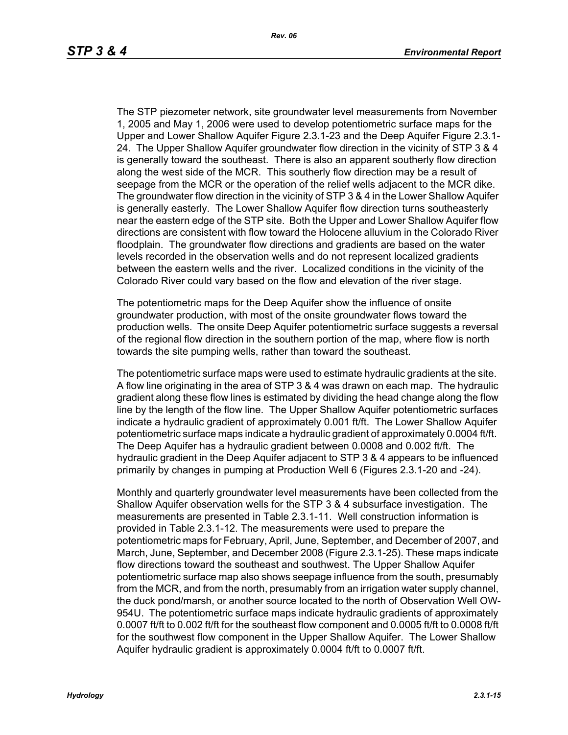The STP piezometer network, site groundwater level measurements from November 1, 2005 and May 1, 2006 were used to develop potentiometric surface maps for the Upper and Lower Shallow Aquifer Figure 2.3.1-23 and the Deep Aquifer Figure 2.3.1- 24. The Upper Shallow Aquifer groundwater flow direction in the vicinity of STP 3 & 4 is generally toward the southeast. There is also an apparent southerly flow direction along the west side of the MCR. This southerly flow direction may be a result of seepage from the MCR or the operation of the relief wells adjacent to the MCR dike. The groundwater flow direction in the vicinity of STP 3 & 4 in the Lower Shallow Aquifer is generally easterly. The Lower Shallow Aquifer flow direction turns southeasterly near the eastern edge of the STP site. Both the Upper and Lower Shallow Aquifer flow directions are consistent with flow toward the Holocene alluvium in the Colorado River floodplain. The groundwater flow directions and gradients are based on the water levels recorded in the observation wells and do not represent localized gradients between the eastern wells and the river. Localized conditions in the vicinity of the Colorado River could vary based on the flow and elevation of the river stage.

The potentiometric maps for the Deep Aquifer show the influence of onsite groundwater production, with most of the onsite groundwater flows toward the production wells. The onsite Deep Aquifer potentiometric surface suggests a reversal of the regional flow direction in the southern portion of the map, where flow is north towards the site pumping wells, rather than toward the southeast.

The potentiometric surface maps were used to estimate hydraulic gradients at the site. A flow line originating in the area of STP 3 & 4 was drawn on each map. The hydraulic gradient along these flow lines is estimated by dividing the head change along the flow line by the length of the flow line. The Upper Shallow Aquifer potentiometric surfaces indicate a hydraulic gradient of approximately 0.001 ft/ft. The Lower Shallow Aquifer potentiometric surface maps indicate a hydraulic gradient of approximately 0.0004 ft/ft. The Deep Aquifer has a hydraulic gradient between 0.0008 and 0.002 ft/ft. The hydraulic gradient in the Deep Aquifer adjacent to STP 3 & 4 appears to be influenced primarily by changes in pumping at Production Well 6 (Figures 2.3.1-20 and -24).

Monthly and quarterly groundwater level measurements have been collected from the Shallow Aquifer observation wells for the STP 3 & 4 subsurface investigation. The measurements are presented in Table 2.3.1-11. Well construction information is provided in Table 2.3.1-12. The measurements were used to prepare the potentiometric maps for February, April, June, September, and December of 2007, and March, June, September, and December 2008 (Figure 2.3.1-25). These maps indicate flow directions toward the southeast and southwest. The Upper Shallow Aquifer potentiometric surface map also shows seepage influence from the south, presumably from the MCR, and from the north, presumably from an irrigation water supply channel, the duck pond/marsh, or another source located to the north of Observation Well OW-954U. The potentiometric surface maps indicate hydraulic gradients of approximately 0.0007 ft/ft to 0.002 ft/ft for the southeast flow component and 0.0005 ft/ft to 0.0008 ft/ft for the southwest flow component in the Upper Shallow Aquifer. The Lower Shallow Aquifer hydraulic gradient is approximately 0.0004 ft/ft to 0.0007 ft/ft.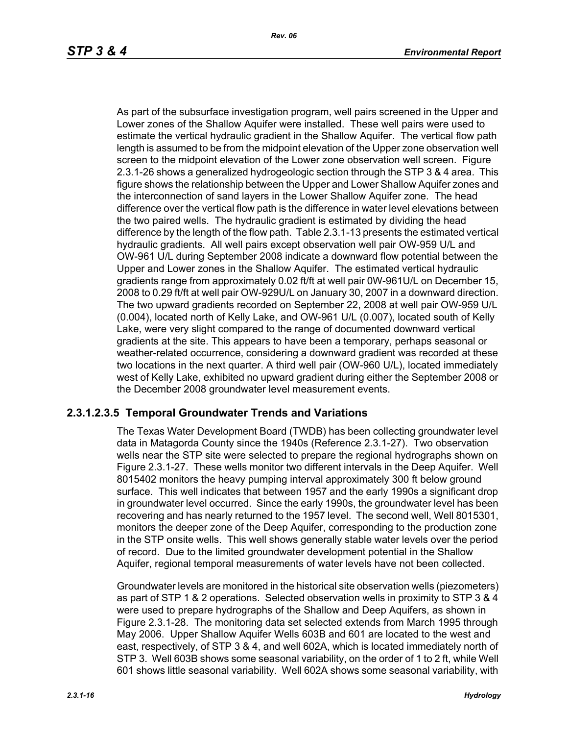As part of the subsurface investigation program, well pairs screened in the Upper and Lower zones of the Shallow Aquifer were installed. These well pairs were used to estimate the vertical hydraulic gradient in the Shallow Aquifer. The vertical flow path length is assumed to be from the midpoint elevation of the Upper zone observation well screen to the midpoint elevation of the Lower zone observation well screen. Figure 2.3.1-26 shows a generalized hydrogeologic section through the STP 3 & 4 area. This figure shows the relationship between the Upper and Lower Shallow Aquifer zones and the interconnection of sand layers in the Lower Shallow Aquifer zone. The head difference over the vertical flow path is the difference in water level elevations between the two paired wells. The hydraulic gradient is estimated by dividing the head difference by the length of the flow path. Table 2.3.1-13 presents the estimated vertical hydraulic gradients. All well pairs except observation well pair OW-959 U/L and OW-961 U/L during September 2008 indicate a downward flow potential between the Upper and Lower zones in the Shallow Aquifer. The estimated vertical hydraulic gradients range from approximately 0.02 ft/ft at well pair 0W-961U/L on December 15, 2008 to 0.29 ft/ft at well pair OW-929U/L on January 30, 2007 in a downward direction. The two upward gradients recorded on September 22, 2008 at well pair OW-959 U/L (0.004), located north of Kelly Lake, and OW-961 U/L (0.007), located south of Kelly Lake, were very slight compared to the range of documented downward vertical gradients at the site. This appears to have been a temporary, perhaps seasonal or weather-related occurrence, considering a downward gradient was recorded at these two locations in the next quarter. A third well pair (OW-960 U/L), located immediately west of Kelly Lake, exhibited no upward gradient during either the September 2008 or the December 2008 groundwater level measurement events.

# **2.3.1.2.3.5 Temporal Groundwater Trends and Variations**

The Texas Water Development Board (TWDB) has been collecting groundwater level data in Matagorda County since the 1940s (Reference 2.3.1-27). Two observation wells near the STP site were selected to prepare the regional hydrographs shown on Figure 2.3.1-27. These wells monitor two different intervals in the Deep Aquifer. Well 8015402 monitors the heavy pumping interval approximately 300 ft below ground surface. This well indicates that between 1957 and the early 1990s a significant drop in groundwater level occurred. Since the early 1990s, the groundwater level has been recovering and has nearly returned to the 1957 level. The second well, Well 8015301, monitors the deeper zone of the Deep Aquifer, corresponding to the production zone in the STP onsite wells. This well shows generally stable water levels over the period of record. Due to the limited groundwater development potential in the Shallow Aquifer, regional temporal measurements of water levels have not been collected.

Groundwater levels are monitored in the historical site observation wells (piezometers) as part of STP 1 & 2 operations. Selected observation wells in proximity to STP 3 & 4 were used to prepare hydrographs of the Shallow and Deep Aquifers, as shown in Figure 2.3.1-28. The monitoring data set selected extends from March 1995 through May 2006. Upper Shallow Aquifer Wells 603B and 601 are located to the west and east, respectively, of STP 3 & 4, and well 602A, which is located immediately north of STP 3. Well 603B shows some seasonal variability, on the order of 1 to 2 ft, while Well 601 shows little seasonal variability. Well 602A shows some seasonal variability, with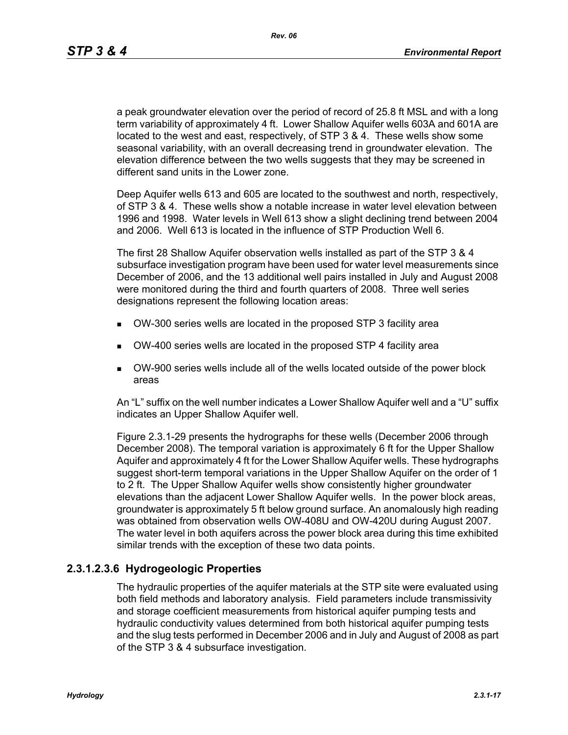*Rev. 06*

a peak groundwater elevation over the period of record of 25.8 ft MSL and with a long term variability of approximately 4 ft. Lower Shallow Aquifer wells 603A and 601A are located to the west and east, respectively, of STP 3 & 4. These wells show some seasonal variability, with an overall decreasing trend in groundwater elevation. The elevation difference between the two wells suggests that they may be screened in different sand units in the Lower zone.

Deep Aquifer wells 613 and 605 are located to the southwest and north, respectively, of STP 3 & 4. These wells show a notable increase in water level elevation between 1996 and 1998. Water levels in Well 613 show a slight declining trend between 2004 and 2006. Well 613 is located in the influence of STP Production Well 6.

The first 28 Shallow Aquifer observation wells installed as part of the STP 3 & 4 subsurface investigation program have been used for water level measurements since December of 2006, and the 13 additional well pairs installed in July and August 2008 were monitored during the third and fourth quarters of 2008. Three well series designations represent the following location areas:

- OW-300 series wells are located in the proposed STP 3 facility area
- OW-400 series wells are located in the proposed STP 4 facility area
- OW-900 series wells include all of the wells located outside of the power block areas

An "L" suffix on the well number indicates a Lower Shallow Aquifer well and a "U" suffix indicates an Upper Shallow Aquifer well.

Figure 2.3.1-29 presents the hydrographs for these wells (December 2006 through December 2008). The temporal variation is approximately 6 ft for the Upper Shallow Aquifer and approximately 4 ft for the Lower Shallow Aquifer wells. These hydrographs suggest short-term temporal variations in the Upper Shallow Aquifer on the order of 1 to 2 ft. The Upper Shallow Aquifer wells show consistently higher groundwater elevations than the adjacent Lower Shallow Aquifer wells. In the power block areas, groundwater is approximately 5 ft below ground surface. An anomalously high reading was obtained from observation wells OW-408U and OW-420U during August 2007. The water level in both aquifers across the power block area during this time exhibited similar trends with the exception of these two data points.

# **2.3.1.2.3.6 Hydrogeologic Properties**

The hydraulic properties of the aquifer materials at the STP site were evaluated using both field methods and laboratory analysis. Field parameters include transmissivity and storage coefficient measurements from historical aquifer pumping tests and hydraulic conductivity values determined from both historical aquifer pumping tests and the slug tests performed in December 2006 and in July and August of 2008 as part of the STP 3 & 4 subsurface investigation.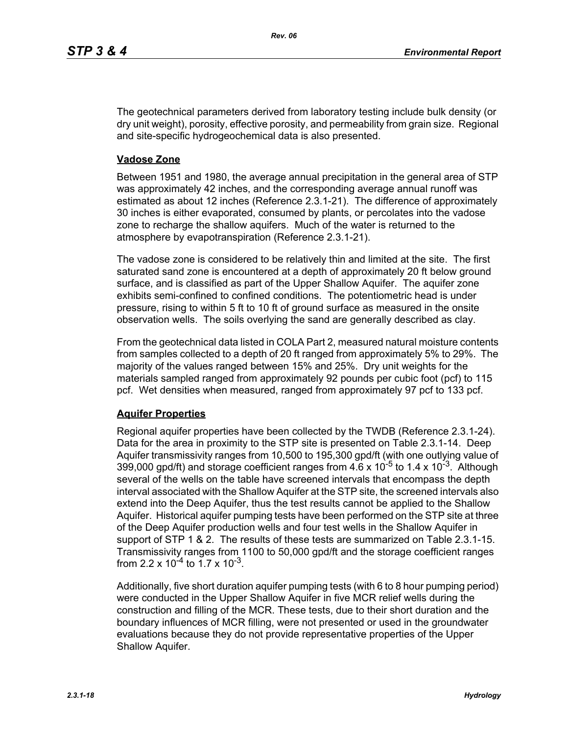The geotechnical parameters derived from laboratory testing include bulk density (or dry unit weight), porosity, effective porosity, and permeability from grain size. Regional and site-specific hydrogeochemical data is also presented.

## **Vadose Zone**

Between 1951 and 1980, the average annual precipitation in the general area of STP was approximately 42 inches, and the corresponding average annual runoff was estimated as about 12 inches (Reference 2.3.1-21). The difference of approximately 30 inches is either evaporated, consumed by plants, or percolates into the vadose zone to recharge the shallow aquifers. Much of the water is returned to the atmosphere by evapotranspiration (Reference 2.3.1-21).

The vadose zone is considered to be relatively thin and limited at the site. The first saturated sand zone is encountered at a depth of approximately 20 ft below ground surface, and is classified as part of the Upper Shallow Aquifer. The aquifer zone exhibits semi-confined to confined conditions. The potentiometric head is under pressure, rising to within 5 ft to 10 ft of ground surface as measured in the onsite observation wells. The soils overlying the sand are generally described as clay.

From the geotechnical data listed in COLA Part 2, measured natural moisture contents from samples collected to a depth of 20 ft ranged from approximately 5% to 29%. The majority of the values ranged between 15% and 25%. Dry unit weights for the materials sampled ranged from approximately 92 pounds per cubic foot (pcf) to 115 pcf. Wet densities when measured, ranged from approximately 97 pcf to 133 pcf.

## **Aquifer Properties**

Regional aquifer properties have been collected by the TWDB (Reference 2.3.1-24). Data for the area in proximity to the STP site is presented on Table 2.3.1-14. Deep Aquifer transmissivity ranges from 10,500 to 195,300 gpd/ft (with one outlying value of 399,000 gpd/ft) and storage coefficient ranges from  $4.6 \times 10^{-5}$  to 1.4 x 10<sup>-3</sup>. Although several of the wells on the table have screened intervals that encompass the depth interval associated with the Shallow Aquifer at the STP site, the screened intervals also extend into the Deep Aquifer, thus the test results cannot be applied to the Shallow Aquifer. Historical aquifer pumping tests have been performed on the STP site at three of the Deep Aquifer production wells and four test wells in the Shallow Aquifer in support of STP 1 & 2. The results of these tests are summarized on Table 2.3.1-15. Transmissivity ranges from 1100 to 50,000 gpd/ft and the storage coefficient ranges from 2.2 x  $10^{-4}$  to 1.7 x  $10^{-3}$ .

Additionally, five short duration aquifer pumping tests (with 6 to 8 hour pumping period) were conducted in the Upper Shallow Aquifer in five MCR relief wells during the construction and filling of the MCR. These tests, due to their short duration and the boundary influences of MCR filling, were not presented or used in the groundwater evaluations because they do not provide representative properties of the Upper Shallow Aquifer.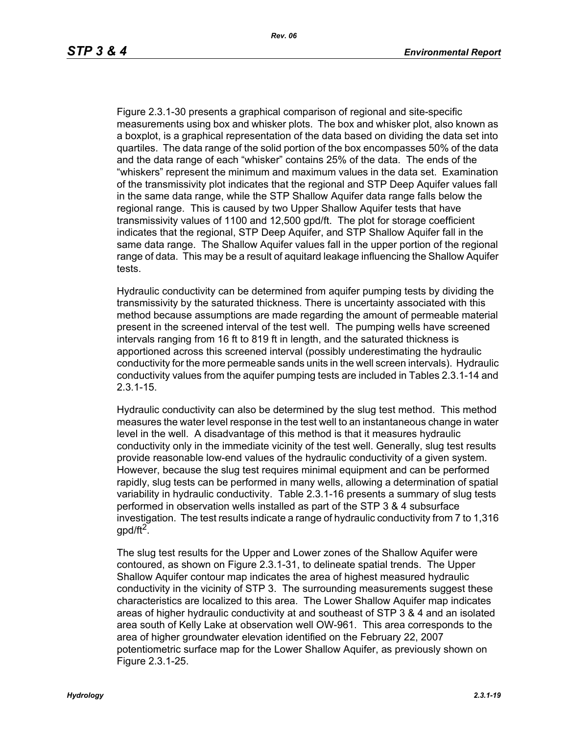Figure 2.3.1-30 presents a graphical comparison of regional and site-specific measurements using box and whisker plots. The box and whisker plot, also known as a boxplot, is a graphical representation of the data based on dividing the data set into quartiles. The data range of the solid portion of the box encompasses 50% of the data and the data range of each "whisker" contains 25% of the data. The ends of the "whiskers" represent the minimum and maximum values in the data set. Examination of the transmissivity plot indicates that the regional and STP Deep Aquifer values fall in the same data range, while the STP Shallow Aquifer data range falls below the regional range. This is caused by two Upper Shallow Aquifer tests that have transmissivity values of 1100 and 12,500 gpd/ft. The plot for storage coefficient indicates that the regional, STP Deep Aquifer, and STP Shallow Aquifer fall in the same data range. The Shallow Aquifer values fall in the upper portion of the regional range of data. This may be a result of aquitard leakage influencing the Shallow Aquifer tests.

Hydraulic conductivity can be determined from aquifer pumping tests by dividing the transmissivity by the saturated thickness. There is uncertainty associated with this method because assumptions are made regarding the amount of permeable material present in the screened interval of the test well. The pumping wells have screened intervals ranging from 16 ft to 819 ft in length, and the saturated thickness is apportioned across this screened interval (possibly underestimating the hydraulic conductivity for the more permeable sands units in the well screen intervals). Hydraulic conductivity values from the aquifer pumping tests are included in Tables 2.3.1-14 and 2.3.1-15.

Hydraulic conductivity can also be determined by the slug test method. This method measures the water level response in the test well to an instantaneous change in water level in the well. A disadvantage of this method is that it measures hydraulic conductivity only in the immediate vicinity of the test well. Generally, slug test results provide reasonable low-end values of the hydraulic conductivity of a given system. However, because the slug test requires minimal equipment and can be performed rapidly, slug tests can be performed in many wells, allowing a determination of spatial variability in hydraulic conductivity. Table 2.3.1-16 presents a summary of slug tests performed in observation wells installed as part of the STP 3 & 4 subsurface investigation. The test results indicate a range of hydraulic conductivity from 7 to 1,316 gpd/ft<sup>2</sup>.

The slug test results for the Upper and Lower zones of the Shallow Aquifer were contoured, as shown on Figure 2.3.1-31, to delineate spatial trends. The Upper Shallow Aquifer contour map indicates the area of highest measured hydraulic conductivity in the vicinity of STP 3. The surrounding measurements suggest these characteristics are localized to this area. The Lower Shallow Aquifer map indicates areas of higher hydraulic conductivity at and southeast of STP 3 & 4 and an isolated area south of Kelly Lake at observation well OW-961. This area corresponds to the area of higher groundwater elevation identified on the February 22, 2007 potentiometric surface map for the Lower Shallow Aquifer, as previously shown on Figure 2.3.1-25.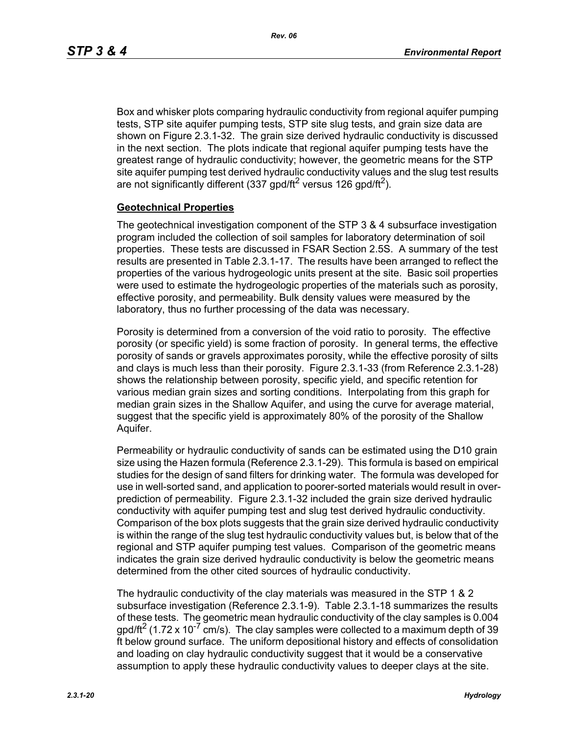Box and whisker plots comparing hydraulic conductivity from regional aquifer pumping tests, STP site aquifer pumping tests, STP site slug tests, and grain size data are shown on Figure 2.3.1-32. The grain size derived hydraulic conductivity is discussed in the next section. The plots indicate that regional aquifer pumping tests have the greatest range of hydraulic conductivity; however, the geometric means for the STP site aquifer pumping test derived hydraulic conductivity values and the slug test results are not significantly different (337 gpd/ft<sup>2</sup> versus 126 gpd/ft<sup>2</sup>).

#### **Geotechnical Properties**

The geotechnical investigation component of the STP 3 & 4 subsurface investigation program included the collection of soil samples for laboratory determination of soil properties. These tests are discussed in FSAR Section 2.5S. A summary of the test results are presented in Table 2.3.1-17. The results have been arranged to reflect the properties of the various hydrogeologic units present at the site. Basic soil properties were used to estimate the hydrogeologic properties of the materials such as porosity, effective porosity, and permeability. Bulk density values were measured by the laboratory, thus no further processing of the data was necessary.

Porosity is determined from a conversion of the void ratio to porosity. The effective porosity (or specific yield) is some fraction of porosity. In general terms, the effective porosity of sands or gravels approximates porosity, while the effective porosity of silts and clays is much less than their porosity. Figure 2.3.1-33 (from Reference 2.3.1-28) shows the relationship between porosity, specific yield, and specific retention for various median grain sizes and sorting conditions. Interpolating from this graph for median grain sizes in the Shallow Aquifer, and using the curve for average material, suggest that the specific yield is approximately 80% of the porosity of the Shallow Aquifer.

Permeability or hydraulic conductivity of sands can be estimated using the D10 grain size using the Hazen formula (Reference 2.3.1-29). This formula is based on empirical studies for the design of sand filters for drinking water. The formula was developed for use in well-sorted sand, and application to poorer-sorted materials would result in overprediction of permeability. Figure 2.3.1-32 included the grain size derived hydraulic conductivity with aquifer pumping test and slug test derived hydraulic conductivity. Comparison of the box plots suggests that the grain size derived hydraulic conductivity is within the range of the slug test hydraulic conductivity values but, is below that of the regional and STP aquifer pumping test values. Comparison of the geometric means indicates the grain size derived hydraulic conductivity is below the geometric means determined from the other cited sources of hydraulic conductivity.

The hydraulic conductivity of the clay materials was measured in the STP 1 & 2 subsurface investigation (Reference 2.3.1-9). Table 2.3.1-18 summarizes the results of these tests. The geometric mean hydraulic conductivity of the clay samples is 0.004  $q$  apd/ft<sup>2</sup> (1.72 x 10<sup>-7</sup> cm/s). The clay samples were collected to a maximum depth of 39 ft below ground surface. The uniform depositional history and effects of consolidation and loading on clay hydraulic conductivity suggest that it would be a conservative assumption to apply these hydraulic conductivity values to deeper clays at the site.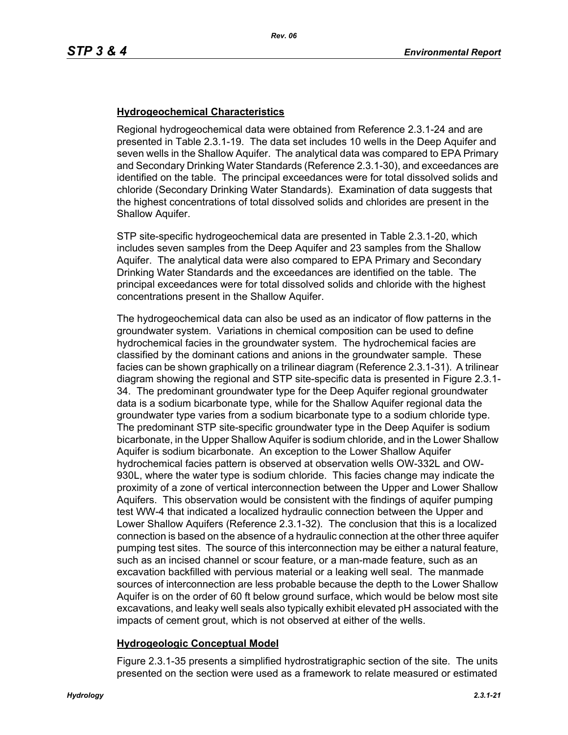## **Hydrogeochemical Characteristics**

Regional hydrogeochemical data were obtained from Reference 2.3.1-24 and are presented in Table 2.3.1-19. The data set includes 10 wells in the Deep Aquifer and seven wells in the Shallow Aquifer. The analytical data was compared to EPA Primary and Secondary Drinking Water Standards (Reference 2.3.1-30), and exceedances are identified on the table. The principal exceedances were for total dissolved solids and chloride (Secondary Drinking Water Standards). Examination of data suggests that the highest concentrations of total dissolved solids and chlorides are present in the Shallow Aquifer.

STP site-specific hydrogeochemical data are presented in Table 2.3.1-20, which includes seven samples from the Deep Aquifer and 23 samples from the Shallow Aquifer. The analytical data were also compared to EPA Primary and Secondary Drinking Water Standards and the exceedances are identified on the table. The principal exceedances were for total dissolved solids and chloride with the highest concentrations present in the Shallow Aquifer.

The hydrogeochemical data can also be used as an indicator of flow patterns in the groundwater system. Variations in chemical composition can be used to define hydrochemical facies in the groundwater system. The hydrochemical facies are classified by the dominant cations and anions in the groundwater sample. These facies can be shown graphically on a trilinear diagram (Reference 2.3.1-31). A trilinear diagram showing the regional and STP site-specific data is presented in Figure 2.3.1- 34. The predominant groundwater type for the Deep Aquifer regional groundwater data is a sodium bicarbonate type, while for the Shallow Aquifer regional data the groundwater type varies from a sodium bicarbonate type to a sodium chloride type. The predominant STP site-specific groundwater type in the Deep Aquifer is sodium bicarbonate, in the Upper Shallow Aquifer is sodium chloride, and in the Lower Shallow Aquifer is sodium bicarbonate. An exception to the Lower Shallow Aquifer hydrochemical facies pattern is observed at observation wells OW-332L and OW-930L, where the water type is sodium chloride. This facies change may indicate the proximity of a zone of vertical interconnection between the Upper and Lower Shallow Aquifers. This observation would be consistent with the findings of aquifer pumping test WW-4 that indicated a localized hydraulic connection between the Upper and Lower Shallow Aquifers (Reference 2.3.1-32). The conclusion that this is a localized connection is based on the absence of a hydraulic connection at the other three aquifer pumping test sites. The source of this interconnection may be either a natural feature, such as an incised channel or scour feature, or a man-made feature, such as an excavation backfilled with pervious material or a leaking well seal. The manmade sources of interconnection are less probable because the depth to the Lower Shallow Aquifer is on the order of 60 ft below ground surface, which would be below most site excavations, and leaky well seals also typically exhibit elevated pH associated with the impacts of cement grout, which is not observed at either of the wells.

## **Hydrogeologic Conceptual Model**

Figure 2.3.1-35 presents a simplified hydrostratigraphic section of the site. The units presented on the section were used as a framework to relate measured or estimated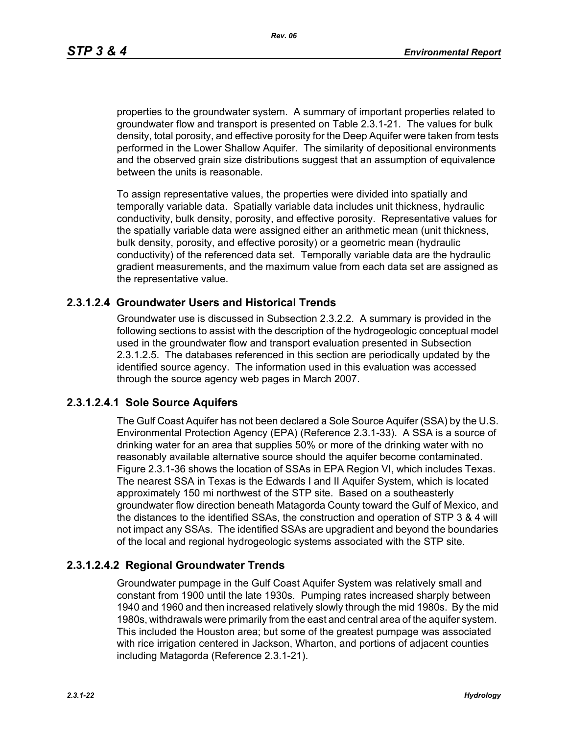*Rev. 06*

properties to the groundwater system. A summary of important properties related to groundwater flow and transport is presented on Table 2.3.1-21. The values for bulk density, total porosity, and effective porosity for the Deep Aquifer were taken from tests performed in the Lower Shallow Aquifer. The similarity of depositional environments and the observed grain size distributions suggest that an assumption of equivalence between the units is reasonable.

To assign representative values, the properties were divided into spatially and temporally variable data. Spatially variable data includes unit thickness, hydraulic conductivity, bulk density, porosity, and effective porosity. Representative values for the spatially variable data were assigned either an arithmetic mean (unit thickness, bulk density, porosity, and effective porosity) or a geometric mean (hydraulic conductivity) of the referenced data set. Temporally variable data are the hydraulic gradient measurements, and the maximum value from each data set are assigned as the representative value.

## **2.3.1.2.4 Groundwater Users and Historical Trends**

Groundwater use is discussed in Subsection 2.3.2.2. A summary is provided in the following sections to assist with the description of the hydrogeologic conceptual model used in the groundwater flow and transport evaluation presented in Subsection 2.3.1.2.5. The databases referenced in this section are periodically updated by the identified source agency. The information used in this evaluation was accessed through the source agency web pages in March 2007.

# **2.3.1.2.4.1 Sole Source Aquifers**

The Gulf Coast Aquifer has not been declared a Sole Source Aquifer (SSA) by the U.S. Environmental Protection Agency (EPA) (Reference 2.3.1-33). A SSA is a source of drinking water for an area that supplies 50% or more of the drinking water with no reasonably available alternative source should the aquifer become contaminated. Figure 2.3.1-36 shows the location of SSAs in EPA Region VI, which includes Texas. The nearest SSA in Texas is the Edwards I and II Aquifer System, which is located approximately 150 mi northwest of the STP site. Based on a southeasterly groundwater flow direction beneath Matagorda County toward the Gulf of Mexico, and the distances to the identified SSAs, the construction and operation of STP 3 & 4 will not impact any SSAs. The identified SSAs are upgradient and beyond the boundaries of the local and regional hydrogeologic systems associated with the STP site.

# **2.3.1.2.4.2 Regional Groundwater Trends**

Groundwater pumpage in the Gulf Coast Aquifer System was relatively small and constant from 1900 until the late 1930s. Pumping rates increased sharply between 1940 and 1960 and then increased relatively slowly through the mid 1980s. By the mid 1980s, withdrawals were primarily from the east and central area of the aquifer system. This included the Houston area; but some of the greatest pumpage was associated with rice irrigation centered in Jackson, Wharton, and portions of adjacent counties including Matagorda (Reference 2.3.1-21).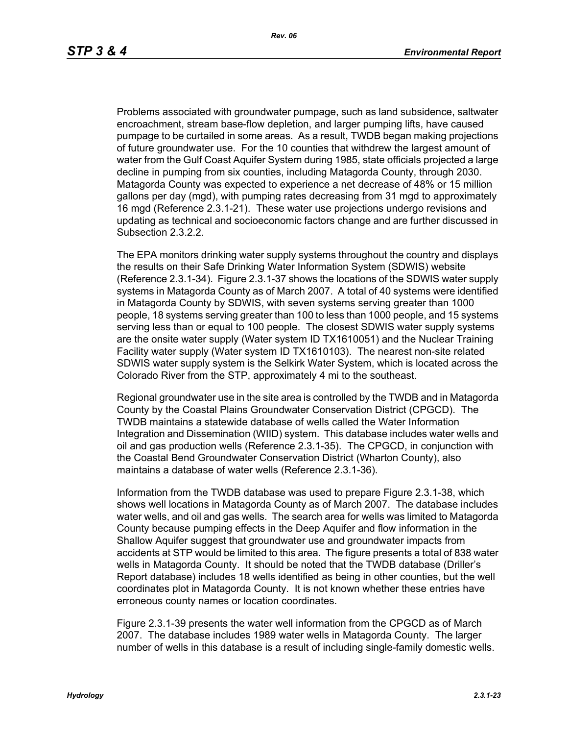Problems associated with groundwater pumpage, such as land subsidence, saltwater encroachment, stream base-flow depletion, and larger pumping lifts, have caused pumpage to be curtailed in some areas. As a result, TWDB began making projections of future groundwater use. For the 10 counties that withdrew the largest amount of water from the Gulf Coast Aquifer System during 1985, state officials projected a large decline in pumping from six counties, including Matagorda County, through 2030. Matagorda County was expected to experience a net decrease of 48% or 15 million gallons per day (mgd), with pumping rates decreasing from 31 mgd to approximately 16 mgd (Reference 2.3.1-21). These water use projections undergo revisions and updating as technical and socioeconomic factors change and are further discussed in Subsection 2.3.2.2.

The EPA monitors drinking water supply systems throughout the country and displays the results on their Safe Drinking Water Information System (SDWIS) website (Reference 2.3.1-34). Figure 2.3.1-37 shows the locations of the SDWIS water supply systems in Matagorda County as of March 2007. A total of 40 systems were identified in Matagorda County by SDWIS, with seven systems serving greater than 1000 people, 18 systems serving greater than 100 to less than 1000 people, and 15 systems serving less than or equal to 100 people. The closest SDWIS water supply systems are the onsite water supply (Water system ID TX1610051) and the Nuclear Training Facility water supply (Water system ID TX1610103). The nearest non-site related SDWIS water supply system is the Selkirk Water System, which is located across the Colorado River from the STP, approximately 4 mi to the southeast.

Regional groundwater use in the site area is controlled by the TWDB and in Matagorda County by the Coastal Plains Groundwater Conservation District (CPGCD). The TWDB maintains a statewide database of wells called the Water Information Integration and Dissemination (WIID) system. This database includes water wells and oil and gas production wells (Reference 2.3.1-35). The CPGCD, in conjunction with the Coastal Bend Groundwater Conservation District (Wharton County), also maintains a database of water wells (Reference 2.3.1-36).

Information from the TWDB database was used to prepare Figure 2.3.1-38, which shows well locations in Matagorda County as of March 2007. The database includes water wells, and oil and gas wells. The search area for wells was limited to Matagorda County because pumping effects in the Deep Aquifer and flow information in the Shallow Aquifer suggest that groundwater use and groundwater impacts from accidents at STP would be limited to this area. The figure presents a total of 838 water wells in Matagorda County. It should be noted that the TWDB database (Driller's Report database) includes 18 wells identified as being in other counties, but the well coordinates plot in Matagorda County. It is not known whether these entries have erroneous county names or location coordinates.

Figure 2.3.1-39 presents the water well information from the CPGCD as of March 2007. The database includes 1989 water wells in Matagorda County. The larger number of wells in this database is a result of including single-family domestic wells.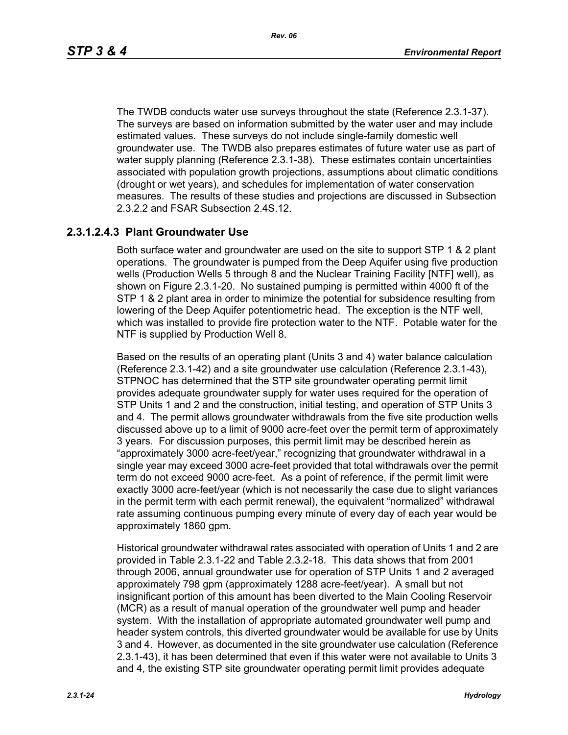The TWDB conducts water use surveys throughout the state (Reference 2.3.1-37). The surveys are based on information submitted by the water user and may include estimated values. These surveys do not include single-family domestic well groundwater use. The TWDB also prepares estimates of future water use as part of water supply planning (Reference 2.3.1-38). These estimates contain uncertainties associated with population growth projections, assumptions about climatic conditions (drought or wet years), and schedules for implementation of water conservation measures. The results of these studies and projections are discussed in Subsection 2.3.2.2 and FSAR Subsection 2.4S.12.

# **2.3.1.2.4.3 Plant Groundwater Use**

Both surface water and groundwater are used on the site to support STP 1 & 2 plant operations. The groundwater is pumped from the Deep Aquifer using five production wells (Production Wells 5 through 8 and the Nuclear Training Facility [NTF] well), as shown on Figure 2.3.1-20. No sustained pumping is permitted within 4000 ft of the STP 1 & 2 plant area in order to minimize the potential for subsidence resulting from lowering of the Deep Aquifer potentiometric head. The exception is the NTF well, which was installed to provide fire protection water to the NTF. Potable water for the NTF is supplied by Production Well 8.

Based on the results of an operating plant (Units 3 and 4) water balance calculation (Reference 2.3.1-42) and a site groundwater use calculation (Reference 2.3.1-43), STPNOC has determined that the STP site groundwater operating permit limit provides adequate groundwater supply for water uses required for the operation of STP Units 1 and 2 and the construction, initial testing, and operation of STP Units 3 and 4. The permit allows groundwater withdrawals from the five site production wells discussed above up to a limit of 9000 acre-feet over the permit term of approximately 3 years. For discussion purposes, this permit limit may be described herein as "approximately 3000 acre-feet/year," recognizing that groundwater withdrawal in a single year may exceed 3000 acre-feet provided that total withdrawals over the permit term do not exceed 9000 acre-feet. As a point of reference, if the permit limit were exactly 3000 acre-feet/year (which is not necessarily the case due to slight variances in the permit term with each permit renewal), the equivalent "normalized" withdrawal rate assuming continuous pumping every minute of every day of each year would be approximately 1860 gpm.

Historical groundwater withdrawal rates associated with operation of Units 1 and 2 are provided in Table 2.3.1-22 and Table 2.3.2-18. This data shows that from 2001 through 2006, annual groundwater use for operation of STP Units 1 and 2 averaged approximately 798 gpm (approximately 1288 acre-feet/year). A small but not insignificant portion of this amount has been diverted to the Main Cooling Reservoir (MCR) as a result of manual operation of the groundwater well pump and header system. With the installation of appropriate automated groundwater well pump and header system controls, this diverted groundwater would be available for use by Units 3 and 4. However, as documented in the site groundwater use calculation (Reference 2.3.1-43), it has been determined that even if this water were not available to Units 3 and 4, the existing STP site groundwater operating permit limit provides adequate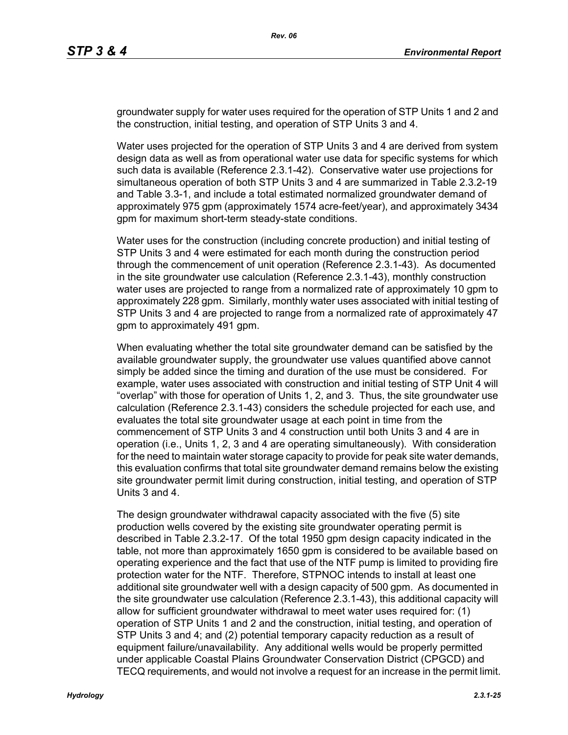groundwater supply for water uses required for the operation of STP Units 1 and 2 and the construction, initial testing, and operation of STP Units 3 and 4.

Water uses projected for the operation of STP Units 3 and 4 are derived from system design data as well as from operational water use data for specific systems for which such data is available (Reference 2.3.1-42). Conservative water use projections for simultaneous operation of both STP Units 3 and 4 are summarized in Table 2.3.2-19 and Table 3.3-1, and include a total estimated normalized groundwater demand of approximately 975 gpm (approximately 1574 acre-feet/year), and approximately 3434 gpm for maximum short-term steady-state conditions.

Water uses for the construction (including concrete production) and initial testing of STP Units 3 and 4 were estimated for each month during the construction period through the commencement of unit operation (Reference 2.3.1-43). As documented in the site groundwater use calculation (Reference 2.3.1-43), monthly construction water uses are projected to range from a normalized rate of approximately 10 gpm to approximately 228 gpm. Similarly, monthly water uses associated with initial testing of STP Units 3 and 4 are projected to range from a normalized rate of approximately 47 gpm to approximately 491 gpm.

When evaluating whether the total site groundwater demand can be satisfied by the available groundwater supply, the groundwater use values quantified above cannot simply be added since the timing and duration of the use must be considered. For example, water uses associated with construction and initial testing of STP Unit 4 will "overlap" with those for operation of Units 1, 2, and 3. Thus, the site groundwater use calculation (Reference 2.3.1-43) considers the schedule projected for each use, and evaluates the total site groundwater usage at each point in time from the commencement of STP Units 3 and 4 construction until both Units 3 and 4 are in operation (i.e., Units 1, 2, 3 and 4 are operating simultaneously). With consideration for the need to maintain water storage capacity to provide for peak site water demands, this evaluation confirms that total site groundwater demand remains below the existing site groundwater permit limit during construction, initial testing, and operation of STP Units 3 and 4.

The design groundwater withdrawal capacity associated with the five (5) site production wells covered by the existing site groundwater operating permit is described in Table 2.3.2-17. Of the total 1950 gpm design capacity indicated in the table, not more than approximately 1650 gpm is considered to be available based on operating experience and the fact that use of the NTF pump is limited to providing fire protection water for the NTF. Therefore, STPNOC intends to install at least one additional site groundwater well with a design capacity of 500 gpm. As documented in the site groundwater use calculation (Reference 2.3.1-43), this additional capacity will allow for sufficient groundwater withdrawal to meet water uses required for: (1) operation of STP Units 1 and 2 and the construction, initial testing, and operation of STP Units 3 and 4; and (2) potential temporary capacity reduction as a result of equipment failure/unavailability. Any additional wells would be properly permitted under applicable Coastal Plains Groundwater Conservation District (CPGCD) and TECQ requirements, and would not involve a request for an increase in the permit limit.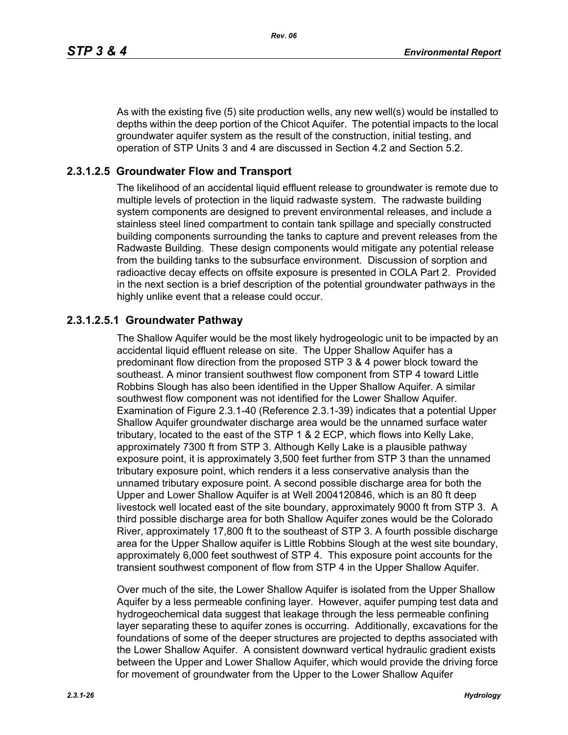As with the existing five (5) site production wells, any new well(s) would be installed to depths within the deep portion of the Chicot Aquifer. The potential impacts to the local groundwater aquifer system as the result of the construction, initial testing, and operation of STP Units 3 and 4 are discussed in Section 4.2 and Section 5.2.

# **2.3.1.2.5 Groundwater Flow and Transport**

The likelihood of an accidental liquid effluent release to groundwater is remote due to multiple levels of protection in the liquid radwaste system. The radwaste building system components are designed to prevent environmental releases, and include a stainless steel lined compartment to contain tank spillage and specially constructed building components surrounding the tanks to capture and prevent releases from the Radwaste Building. These design components would mitigate any potential release from the building tanks to the subsurface environment. Discussion of sorption and radioactive decay effects on offsite exposure is presented in COLA Part 2. Provided in the next section is a brief description of the potential groundwater pathways in the highly unlike event that a release could occur.

# **2.3.1.2.5.1 Groundwater Pathway**

The Shallow Aquifer would be the most likely hydrogeologic unit to be impacted by an accidental liquid effluent release on site. The Upper Shallow Aquifer has a predominant flow direction from the proposed STP 3 & 4 power block toward the southeast. A minor transient southwest flow component from STP 4 toward Little Robbins Slough has also been identified in the Upper Shallow Aquifer. A similar southwest flow component was not identified for the Lower Shallow Aquifer. Examination of Figure 2.3.1-40 (Reference 2.3.1-39) indicates that a potential Upper Shallow Aquifer groundwater discharge area would be the unnamed surface water tributary, located to the east of the STP 1 & 2 ECP, which flows into Kelly Lake, approximately 7300 ft from STP 3. Although Kelly Lake is a plausible pathway exposure point, it is approximately 3,500 feet further from STP 3 than the unnamed tributary exposure point, which renders it a less conservative analysis than the unnamed tributary exposure point. A second possible discharge area for both the Upper and Lower Shallow Aquifer is at Well 2004120846, which is an 80 ft deep livestock well located east of the site boundary, approximately 9000 ft from STP 3. A third possible discharge area for both Shallow Aquifer zones would be the Colorado River, approximately 17,800 ft to the southeast of STP 3. A fourth possible discharge area for the Upper Shallow aquifer is Little Robbins Slough at the west site boundary, approximately 6,000 feet southwest of STP 4. This exposure point accounts for the transient southwest component of flow from STP 4 in the Upper Shallow Aquifer.

Over much of the site, the Lower Shallow Aquifer is isolated from the Upper Shallow Aquifer by a less permeable confining layer. However, aquifer pumping test data and hydrogeochemical data suggest that leakage through the less permeable confining layer separating these to aquifer zones is occurring. Additionally, excavations for the foundations of some of the deeper structures are projected to depths associated with the Lower Shallow Aquifer. A consistent downward vertical hydraulic gradient exists between the Upper and Lower Shallow Aquifer, which would provide the driving force for movement of groundwater from the Upper to the Lower Shallow Aquifer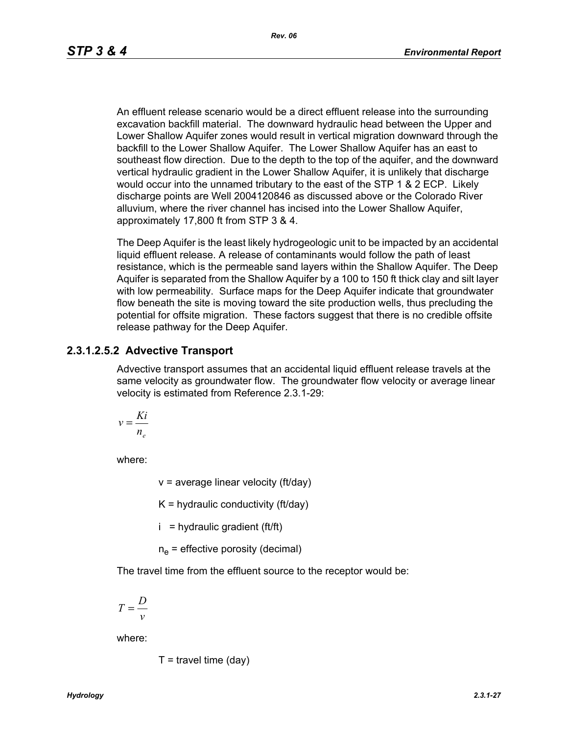An effluent release scenario would be a direct effluent release into the surrounding excavation backfill material. The downward hydraulic head between the Upper and Lower Shallow Aquifer zones would result in vertical migration downward through the backfill to the Lower Shallow Aquifer. The Lower Shallow Aquifer has an east to southeast flow direction. Due to the depth to the top of the aquifer, and the downward vertical hydraulic gradient in the Lower Shallow Aquifer, it is unlikely that discharge would occur into the unnamed tributary to the east of the STP 1 & 2 ECP. Likely discharge points are Well 2004120846 as discussed above or the Colorado River alluvium, where the river channel has incised into the Lower Shallow Aquifer, approximately 17,800 ft from STP 3 & 4.

The Deep Aquifer is the least likely hydrogeologic unit to be impacted by an accidental liquid effluent release. A release of contaminants would follow the path of least resistance, which is the permeable sand layers within the Shallow Aquifer. The Deep Aquifer is separated from the Shallow Aquifer by a 100 to 150 ft thick clay and silt layer with low permeability. Surface maps for the Deep Aquifer indicate that groundwater flow beneath the site is moving toward the site production wells, thus precluding the potential for offsite migration. These factors suggest that there is no credible offsite release pathway for the Deep Aquifer.

#### **2.3.1.2.5.2 Advective Transport**

Advective transport assumes that an accidental liquid effluent release travels at the same velocity as groundwater flow. The groundwater flow velocity or average linear velocity is estimated from Reference 2.3.1-29:

$$
v = \frac{Ki}{n_e}
$$

where:

 $v =$  average linear velocity (ft/day)

 $K =$  hydraulic conductivity (ft/day)

 $i =$  hydraulic gradient (ft/ft)

 $n_e$  = effective porosity (decimal)

The travel time from the effluent source to the receptor would be:

$$
T = \frac{D}{v}
$$

where:

$$
T =
$$
travel time (day)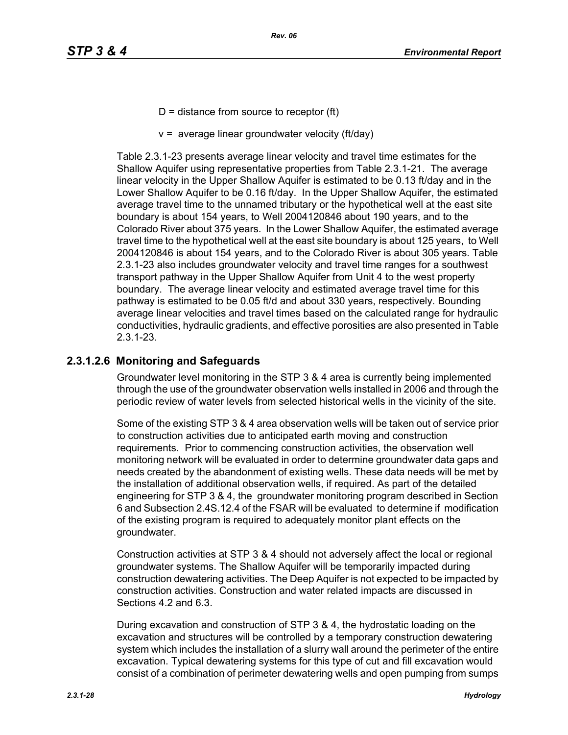- $D =$  distance from source to receptor (ft)
- $v =$  average linear groundwater velocity (ft/day)

Table 2.3.1-23 presents average linear velocity and travel time estimates for the Shallow Aquifer using representative properties from Table 2.3.1-21. The average linear velocity in the Upper Shallow Aquifer is estimated to be 0.13 ft/day and in the Lower Shallow Aquifer to be 0.16 ft/day. In the Upper Shallow Aquifer, the estimated average travel time to the unnamed tributary or the hypothetical well at the east site boundary is about 154 years, to Well 2004120846 about 190 years, and to the Colorado River about 375 years. In the Lower Shallow Aquifer, the estimated average travel time to the hypothetical well at the east site boundary is about 125 years, to Well 2004120846 is about 154 years, and to the Colorado River is about 305 years. Table 2.3.1-23 also includes groundwater velocity and travel time ranges for a southwest transport pathway in the Upper Shallow Aquifer from Unit 4 to the west property boundary. The average linear velocity and estimated average travel time for this pathway is estimated to be 0.05 ft/d and about 330 years, respectively. Bounding average linear velocities and travel times based on the calculated range for hydraulic conductivities, hydraulic gradients, and effective porosities are also presented in Table 2.3.1-23.

# **2.3.1.2.6 Monitoring and Safeguards**

Groundwater level monitoring in the STP 3 & 4 area is currently being implemented through the use of the groundwater observation wells installed in 2006 and through the periodic review of water levels from selected historical wells in the vicinity of the site.

Some of the existing STP 3 & 4 area observation wells will be taken out of service prior to construction activities due to anticipated earth moving and construction requirements. Prior to commencing construction activities, the observation well monitoring network will be evaluated in order to determine groundwater data gaps and needs created by the abandonment of existing wells. These data needs will be met by the installation of additional observation wells, if required. As part of the detailed engineering for STP 3 & 4, the groundwater monitoring program described in Section 6 and Subsection 2.4S.12.4 of the FSAR will be evaluated to determine if modification of the existing program is required to adequately monitor plant effects on the groundwater.

Construction activities at STP 3 & 4 should not adversely affect the local or regional groundwater systems. The Shallow Aquifer will be temporarily impacted during construction dewatering activities. The Deep Aquifer is not expected to be impacted by construction activities. Construction and water related impacts are discussed in Sections 4.2 and 6.3.

During excavation and construction of STP 3 & 4, the hydrostatic loading on the excavation and structures will be controlled by a temporary construction dewatering system which includes the installation of a slurry wall around the perimeter of the entire excavation. Typical dewatering systems for this type of cut and fill excavation would consist of a combination of perimeter dewatering wells and open pumping from sumps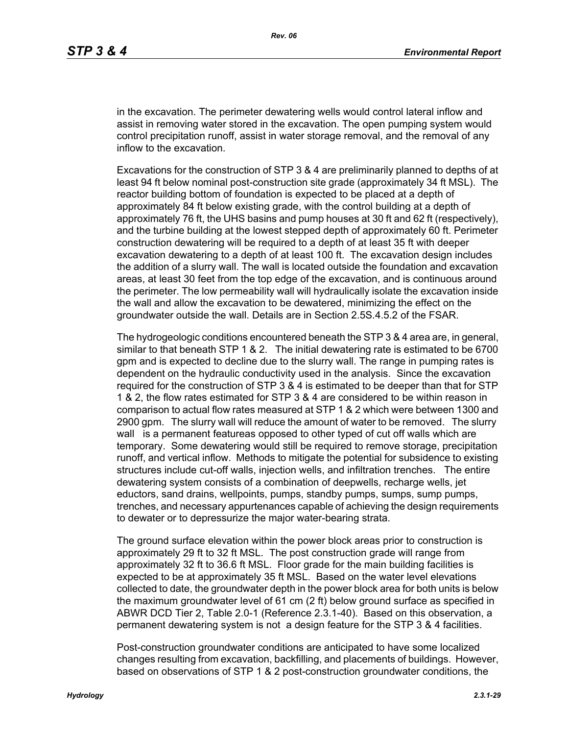in the excavation. The perimeter dewatering wells would control lateral inflow and assist in removing water stored in the excavation. The open pumping system would control precipitation runoff, assist in water storage removal, and the removal of any inflow to the excavation.

Excavations for the construction of STP 3 & 4 are preliminarily planned to depths of at least 94 ft below nominal post-construction site grade (approximately 34 ft MSL). The reactor building bottom of foundation is expected to be placed at a depth of approximately 84 ft below existing grade, with the control building at a depth of approximately 76 ft, the UHS basins and pump houses at 30 ft and 62 ft (respectively), and the turbine building at the lowest stepped depth of approximately 60 ft. Perimeter construction dewatering will be required to a depth of at least 35 ft with deeper excavation dewatering to a depth of at least 100 ft. The excavation design includes the addition of a slurry wall. The wall is located outside the foundation and excavation areas, at least 30 feet from the top edge of the excavation, and is continuous around the perimeter. The low permeability wall will hydraulically isolate the excavation inside the wall and allow the excavation to be dewatered, minimizing the effect on the groundwater outside the wall. Details are in Section 2.5S.4.5.2 of the FSAR.

The hydrogeologic conditions encountered beneath the STP 3 & 4 area are, in general, similar to that beneath STP 1 & 2. The initial dewatering rate is estimated to be 6700 gpm and is expected to decline due to the slurry wall. The range in pumping rates is dependent on the hydraulic conductivity used in the analysis. Since the excavation required for the construction of STP 3 & 4 is estimated to be deeper than that for STP 1 & 2, the flow rates estimated for STP 3 & 4 are considered to be within reason in comparison to actual flow rates measured at STP 1 & 2 which were between 1300 and 2900 gpm. The slurry wall will reduce the amount of water to be removed. The slurry wall is a permanent featureas opposed to other typed of cut off walls which are temporary. Some dewatering would still be required to remove storage, precipitation runoff, and vertical inflow. Methods to mitigate the potential for subsidence to existing structures include cut-off walls, injection wells, and infiltration trenches. The entire dewatering system consists of a combination of deepwells, recharge wells, jet eductors, sand drains, wellpoints, pumps, standby pumps, sumps, sump pumps, trenches, and necessary appurtenances capable of achieving the design requirements to dewater or to depressurize the major water-bearing strata.

The ground surface elevation within the power block areas prior to construction is approximately 29 ft to 32 ft MSL. The post construction grade will range from approximately 32 ft to 36.6 ft MSL. Floor grade for the main building facilities is expected to be at approximately 35 ft MSL. Based on the water level elevations collected to date, the groundwater depth in the power block area for both units is below the maximum groundwater level of 61 cm (2 ft) below ground surface as specified in ABWR DCD Tier 2, Table 2.0-1 (Reference 2.3.1-40). Based on this observation, a permanent dewatering system is not a design feature for the STP 3 & 4 facilities.

Post-construction groundwater conditions are anticipated to have some localized changes resulting from excavation, backfilling, and placements of buildings. However, based on observations of STP 1 & 2 post-construction groundwater conditions, the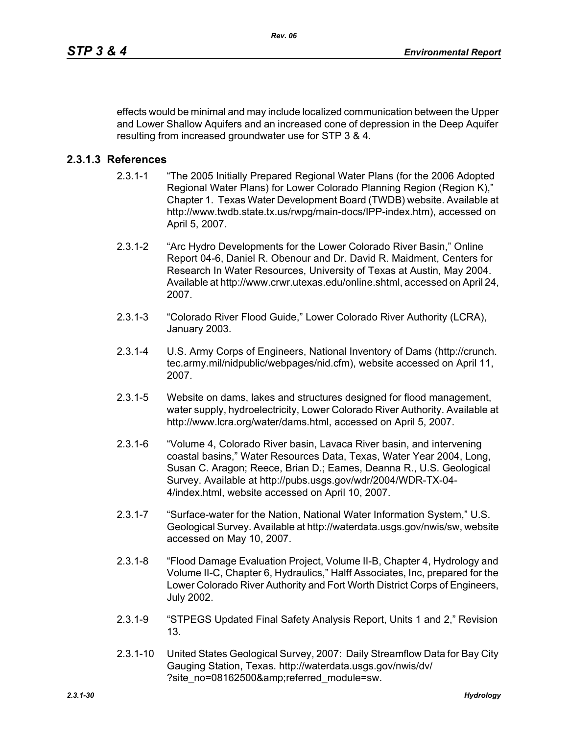effects would be minimal and may include localized communication between the Upper and Lower Shallow Aquifers and an increased cone of depression in the Deep Aquifer resulting from increased groundwater use for STP 3 & 4.

## **2.3.1.3 References**

- 2.3.1-1 "The 2005 Initially Prepared Regional Water Plans (for the 2006 Adopted Regional Water Plans) for Lower Colorado Planning Region (Region K)," Chapter 1. Texas Water Development Board (TWDB) website. Available at http://www.twdb.state.tx.us/rwpg/main-docs/IPP-index.htm), accessed on April 5, 2007.
- 2.3.1-2 "Arc Hydro Developments for the Lower Colorado River Basin," Online Report 04-6, Daniel R. Obenour and Dr. David R. Maidment, Centers for Research In Water Resources, University of Texas at Austin, May 2004. Available at http://www.crwr.utexas.edu/online.shtml, accessed on April 24, 2007.
- 2.3.1-3 "Colorado River Flood Guide," Lower Colorado River Authority (LCRA), January 2003.
- 2.3.1-4 U.S. Army Corps of Engineers, National Inventory of Dams (http://crunch. tec.army.mil/nidpublic/webpages/nid.cfm), website accessed on April 11, 2007.
- 2.3.1-5 Website on dams, lakes and structures designed for flood management, water supply, hydroelectricity, Lower Colorado River Authority. Available at http://www.lcra.org/water/dams.html, accessed on April 5, 2007.
- 2.3.1-6 "Volume 4, Colorado River basin, Lavaca River basin, and intervening coastal basins," Water Resources Data, Texas, Water Year 2004, Long, Susan C. Aragon; Reece, Brian D.; Eames, Deanna R., U.S. Geological Survey. Available at http://pubs.usgs.gov/wdr/2004/WDR-TX-04- 4/index.html, website accessed on April 10, 2007.
- 2.3.1-7 "Surface-water for the Nation, National Water Information System," U.S. Geological Survey. Available at http://waterdata.usgs.gov/nwis/sw, website accessed on May 10, 2007.
- 2.3.1-8 "Flood Damage Evaluation Project, Volume II-B, Chapter 4, Hydrology and Volume II-C, Chapter 6, Hydraulics," Halff Associates, Inc, prepared for the Lower Colorado River Authority and Fort Worth District Corps of Engineers, July 2002.
- 2.3.1-9 "STPEGS Updated Final Safety Analysis Report, Units 1 and 2," Revision 13.
- 2.3.1-10 United States Geological Survey, 2007: Daily Streamflow Data for Bay City Gauging Station, Texas. http://waterdata.usgs.gov/nwis/dv/ ?site\_no=08162500&referred\_module=sw.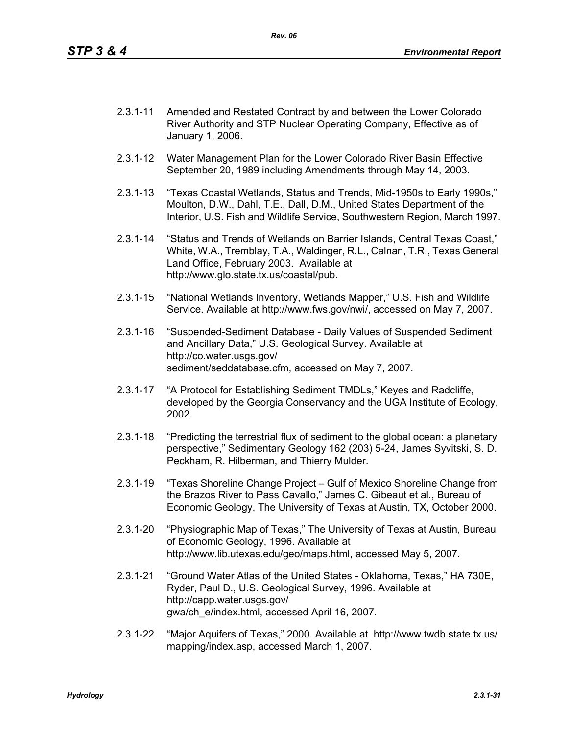- 2.3.1-11 Amended and Restated Contract by and between the Lower Colorado River Authority and STP Nuclear Operating Company, Effective as of January 1, 2006.
- 2.3.1-12 Water Management Plan for the Lower Colorado River Basin Effective September 20, 1989 including Amendments through May 14, 2003.
- 2.3.1-13 "Texas Coastal Wetlands, Status and Trends, Mid-1950s to Early 1990s," Moulton, D.W., Dahl, T.E., Dall, D.M., United States Department of the Interior, U.S. Fish and Wildlife Service, Southwestern Region, March 1997.
- 2.3.1-14 "Status and Trends of Wetlands on Barrier Islands, Central Texas Coast," White, W.A., Tremblay, T.A., Waldinger, R.L., Calnan, T.R., Texas General Land Office, February 2003. Available at http://www.glo.state.tx.us/coastal/pub.
- 2.3.1-15 "National Wetlands Inventory, Wetlands Mapper," U.S. Fish and Wildlife Service. Available at http://www.fws.gov/nwi/, accessed on May 7, 2007.
- 2.3.1-16 "Suspended-Sediment Database Daily Values of Suspended Sediment and Ancillary Data," U.S. Geological Survey. Available at http://co.water.usgs.gov/ sediment/seddatabase.cfm, accessed on May 7, 2007.
- 2.3.1-17 "A Protocol for Establishing Sediment TMDLs," Keyes and Radcliffe, developed by the Georgia Conservancy and the UGA Institute of Ecology, 2002.
- 2.3.1-18 "Predicting the terrestrial flux of sediment to the global ocean: a planetary perspective," Sedimentary Geology 162 (203) 5-24, James Syvitski, S. D. Peckham, R. Hilberman, and Thierry Mulder.
- 2.3.1-19 "Texas Shoreline Change Project Gulf of Mexico Shoreline Change from the Brazos River to Pass Cavallo," James C. Gibeaut et al., Bureau of Economic Geology, The University of Texas at Austin, TX, October 2000.
- 2.3.1-20 "Physiographic Map of Texas," The University of Texas at Austin, Bureau of Economic Geology, 1996. Available at http://www.lib.utexas.edu/geo/maps.html, accessed May 5, 2007.
- 2.3.1-21 "Ground Water Atlas of the United States Oklahoma, Texas," HA 730E, Ryder, Paul D., U.S. Geological Survey, 1996. Available at http://capp.water.usgs.gov/ gwa/ch\_e/index.html, accessed April 16, 2007.
- 2.3.1-22 "Major Aquifers of Texas," 2000. Available at http://www.twdb.state.tx.us/ mapping/index.asp, accessed March 1, 2007.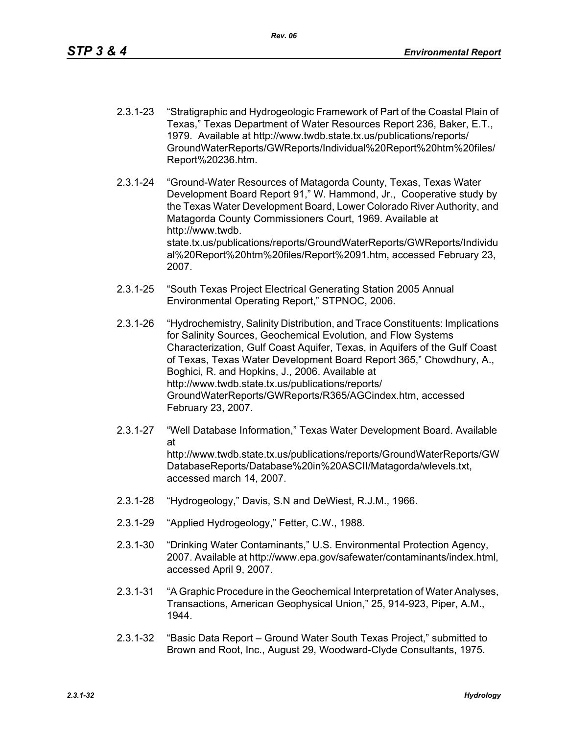- 2.3.1-23 "Stratigraphic and Hydrogeologic Framework of Part of the Coastal Plain of Texas," Texas Department of Water Resources Report 236, Baker, E.T., 1979. Available at http://www.twdb.state.tx.us/publications/reports/ GroundWaterReports/GWReports/Individual%20Report%20htm%20files/ Report%20236.htm.
- 2.3.1-24 "Ground-Water Resources of Matagorda County, Texas, Texas Water Development Board Report 91," W. Hammond, Jr., Cooperative study by the Texas Water Development Board, Lower Colorado River Authority, and Matagorda County Commissioners Court, 1969. Available at http://www.twdb. state.tx.us/publications/reports/GroundWaterReports/GWReports/Individu al%20Report%20htm%20files/Report%2091.htm, accessed February 23, 2007.
- 2.3.1-25 "South Texas Project Electrical Generating Station 2005 Annual Environmental Operating Report," STPNOC, 2006.
- 2.3.1-26 "Hydrochemistry, Salinity Distribution, and Trace Constituents: Implications for Salinity Sources, Geochemical Evolution, and Flow Systems Characterization, Gulf Coast Aquifer, Texas, in Aquifers of the Gulf Coast of Texas, Texas Water Development Board Report 365," Chowdhury, A., Boghici, R. and Hopkins, J., 2006. Available at http://www.twdb.state.tx.us/publications/reports/ GroundWaterReports/GWReports/R365/AGCindex.htm, accessed February 23, 2007.
- 2.3.1-27 "Well Database Information," Texas Water Development Board. Available at http://www.twdb.state.tx.us/publications/reports/GroundWaterReports/GW DatabaseReports/Database%20in%20ASCII/Matagorda/wlevels.txt, accessed march 14, 2007.
- 2.3.1-28 "Hydrogeology," Davis, S.N and DeWiest, R.J.M., 1966.
- 2.3.1-29 "Applied Hydrogeology," Fetter, C.W., 1988.
- 2.3.1-30 "Drinking Water Contaminants," U.S. Environmental Protection Agency, 2007. Available at http://www.epa.gov/safewater/contaminants/index.html, accessed April 9, 2007.
- 2.3.1-31 "A Graphic Procedure in the Geochemical Interpretation of Water Analyses, Transactions, American Geophysical Union," 25, 914-923, Piper, A.M., 1944.
- 2.3.1-32 "Basic Data Report Ground Water South Texas Project," submitted to Brown and Root, Inc., August 29, Woodward-Clyde Consultants, 1975.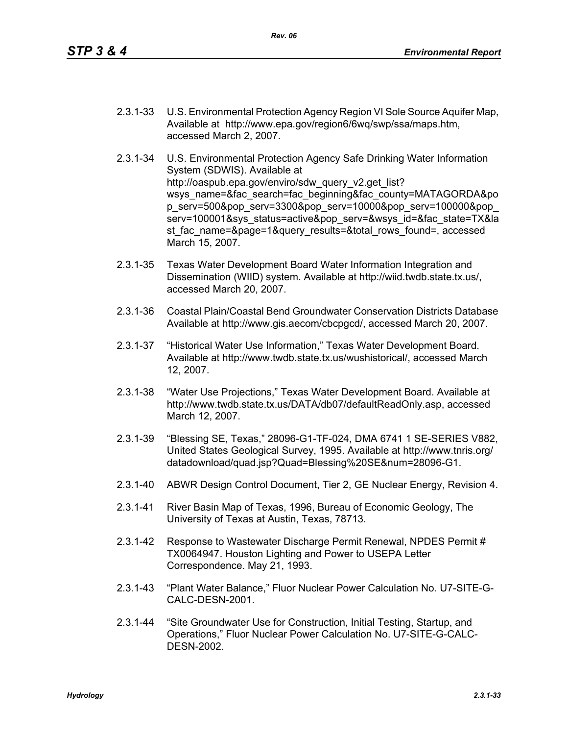- 2.3.1-33 U.S. Environmental Protection Agency Region VI Sole Source Aquifer Map, Available at http://www.epa.gov/region6/6wq/swp/ssa/maps.htm, accessed March 2, 2007.
- 2.3.1-34 U.S. Environmental Protection Agency Safe Drinking Water Information System (SDWIS). Available at http://oaspub.epa.gov/enviro/sdw\_query\_v2.get\_list? wsys\_name=&fac\_search=fac\_beginning&fac\_county=MATAGORDA&po p\_serv=500&pop\_serv=3300&pop\_serv=10000&pop\_serv=100000&pop\_ serv=100001&sys\_status=active&pop\_serv=&wsys\_id=&fac\_state=TX&la st fac\_name=&page=1&query\_results=&total\_rows\_found=, accessed March 15, 2007.
- 2.3.1-35 Texas Water Development Board Water Information Integration and Dissemination (WIID) system. Available at http://wiid.twdb.state.tx.us/, accessed March 20, 2007.
- 2.3.1-36 Coastal Plain/Coastal Bend Groundwater Conservation Districts Database Available at http://www.gis.aecom/cbcpgcd/, accessed March 20, 2007.
- 2.3.1-37 "Historical Water Use Information," Texas Water Development Board. Available at http://www.twdb.state.tx.us/wushistorical/, accessed March 12, 2007.
- 2.3.1-38 "Water Use Projections," Texas Water Development Board. Available at http://www.twdb.state.tx.us/DATA/db07/defaultReadOnly.asp, accessed March 12, 2007.
- 2.3.1-39 "Blessing SE, Texas," 28096-G1-TF-024, DMA 6741 1 SE-SERIES V882, United States Geological Survey, 1995. Available at http://www.tnris.org/ datadownload/quad.jsp?Quad=Blessing%20SE&num=28096-G1.
- 2.3.1-40 ABWR Design Control Document, Tier 2, GE Nuclear Energy, Revision 4.
- 2.3.1-41 River Basin Map of Texas, 1996, Bureau of Economic Geology, The University of Texas at Austin, Texas, 78713.
- 2.3.1-42 Response to Wastewater Discharge Permit Renewal, NPDES Permit # TX0064947. Houston Lighting and Power to USEPA Letter Correspondence. May 21, 1993.
- 2.3.1-43 "Plant Water Balance," Fluor Nuclear Power Calculation No. U7-SITE-G-CALC-DESN-2001.
- 2.3.1-44 "Site Groundwater Use for Construction, Initial Testing, Startup, and Operations," Fluor Nuclear Power Calculation No. U7-SITE-G-CALC-DESN-2002.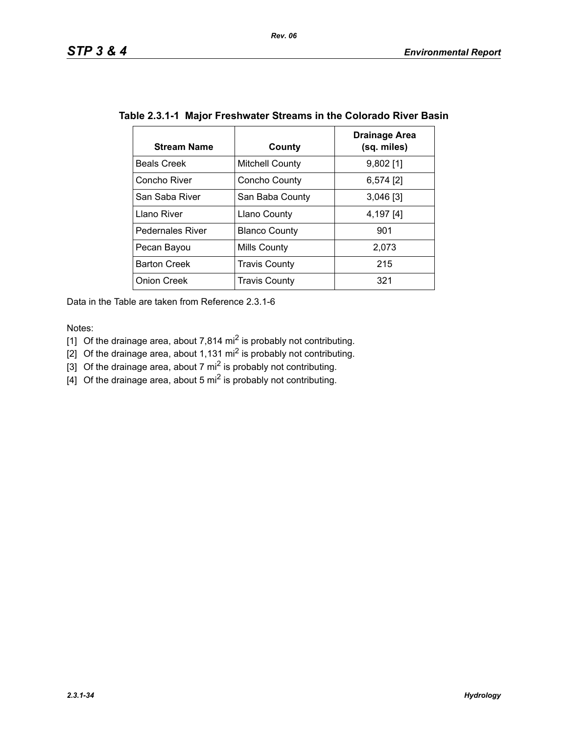| <b>Stream Name</b>      | County                 | Drainage Area<br>(sq. miles) |  |  |  |  |  |
|-------------------------|------------------------|------------------------------|--|--|--|--|--|
| <b>Beals Creek</b>      | <b>Mitchell County</b> | $9,802$ [1]                  |  |  |  |  |  |
| Concho River            | Concho County          | $6,574$ [2]                  |  |  |  |  |  |
| San Saba River          | San Baba County        | $3,046$ [3]                  |  |  |  |  |  |
| Llano River             | <b>Llano County</b>    | 4,197 [4]                    |  |  |  |  |  |
| <b>Pedernales River</b> | <b>Blanco County</b>   | 901                          |  |  |  |  |  |
| Pecan Bayou             | Mills County           | 2,073                        |  |  |  |  |  |
| <b>Barton Creek</b>     | <b>Travis County</b>   | 215                          |  |  |  |  |  |
| <b>Onion Creek</b>      | <b>Travis County</b>   | 321                          |  |  |  |  |  |

# **Table 2.3.1-1 Major Freshwater Streams in the Colorado River Basin**

Data in the Table are taken from Reference 2.3.1-6

Notes:

- [1] Of the drainage area, about 7,814 mi<sup>2</sup> is probably not contributing.
- [2] Of the drainage area, about 1,131 mi<sup>2</sup> is probably not contributing.
- [3] Of the drainage area, about 7 mi<sup>2</sup> is probably not contributing.
- $\left[4\right]$  Of the drainage area, about 5 mi<sup>2</sup> is probably not contributing.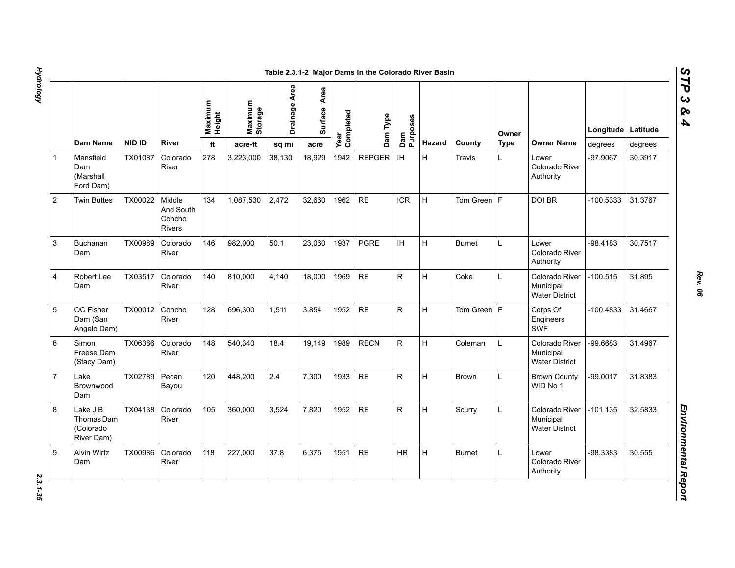|                |                                                   |               |                                         | Maximum<br>Height | Maximum<br>Storage | Drainage Area | Area<br>Surface | Year<br>Completed | Dam Type      | Dam<br>Purposes |               |               | Owner       |                                                      | Longitude Latitude |         |
|----------------|---------------------------------------------------|---------------|-----------------------------------------|-------------------|--------------------|---------------|-----------------|-------------------|---------------|-----------------|---------------|---------------|-------------|------------------------------------------------------|--------------------|---------|
|                | Dam Name                                          | <b>NID ID</b> | <b>River</b>                            | ft                | acre-ft            | sq mi         | acre            |                   |               |                 | <b>Hazard</b> | County        | <b>Type</b> | <b>Owner Name</b>                                    | degrees            | degrees |
|                | Mansfield<br>Dam<br>(Marshall<br>Ford Dam)        | TX01087       | Colorado<br>River                       | 278               | 3,223,000          | 38,130        | 18,929          | 1942              | <b>REPGER</b> | IH              | H             | Travis        | L.          | Lower<br>Colorado River<br>Authority                 | -97.9067           | 30.3917 |
| $\overline{2}$ | <b>Twin Buttes</b>                                | TX00022       | Middle<br>And South<br>Concho<br>Rivers | 134               | 1,087,530          | 2,472         | 32,660          | 1962              | <b>RE</b>     | <b>ICR</b>      | H             | Tom Green $F$ |             | DOI BR                                               | -100.5333          | 31.3767 |
| 3              | <b>Buchanan</b><br>Dam                            | TX00989       | Colorado<br>River                       | 146               | 982.000            | 50.1          | 23,060          | 1937              | <b>PGRE</b>   | <b>IH</b>       | H             | <b>Burnet</b> | L           | Lower<br>Colorado River<br>Authority                 | -98.4183           | 30.7517 |
| 4              | Robert Lee<br>Dam                                 | TX03517       | Colorado<br>River                       | 140               | 810,000            | 4,140         | 18,000          | 1969              | <b>RE</b>     | R               | H             | Coke          | L           | Colorado River<br>Municipal<br><b>Water District</b> | $-100.515$         | 31.895  |
| 5              | OC Fisher<br>Dam (San<br>Angelo Dam)              | TX00012       | Concho<br>River                         | 128               | 696,300            | 1,511         | 3,854           | 1952              | <b>RE</b>     | ${\sf R}$       | H             | Tom Green $F$ |             | Corps Of<br>Engineers<br><b>SWF</b>                  | $-100.4833$        | 31.4667 |
| 6              | Simon<br>Freese Dam<br>(Stacy Dam)                | TX06386       | Colorado<br>River                       | 148               | 540,340            | 18.4          | 19,149          | 1989              | <b>RECN</b>   | ${\sf R}$       | H             | Coleman       | L           | Colorado River<br>Municipal<br><b>Water District</b> | -99.6683           | 31.4967 |
| $\overline{7}$ | Lake<br>Brownwood<br>Dam                          | TX02789       | Pecan<br>Bayou                          | 120               | 448,200            | 2.4           | 7,300           | 1933              | <b>RE</b>     | ${\sf R}$       | H             | Brown         | L           | <b>Brown County</b><br>WID No 1                      | $-99.0017$         | 31.8383 |
| 8              | Lake J B<br>Thomas Dam<br>(Colorado<br>River Dam) | TX04138       | Colorado<br>River                       | 105               | 360,000            | 3,524         | 7,820           | 1952              | <b>RE</b>     | $\mathsf{R}$    | H             | Scurry        | L           | Colorado River<br>Municipal<br><b>Water District</b> | $-101.135$         | 32.5833 |
| 9              | <b>Alvin Wirtz</b><br>Dam                         | TX00986       | Colorado<br>River                       | 118               | 227,000            | 37.8          | 6,375           | 1951              | <b>RE</b>     | <b>HR</b>       | H             | <b>Burnet</b> | L           | Lower<br>Colorado River<br>Authority                 | -98.3383           | 30.555  |

*STP 3 & 4*

2.3.1-35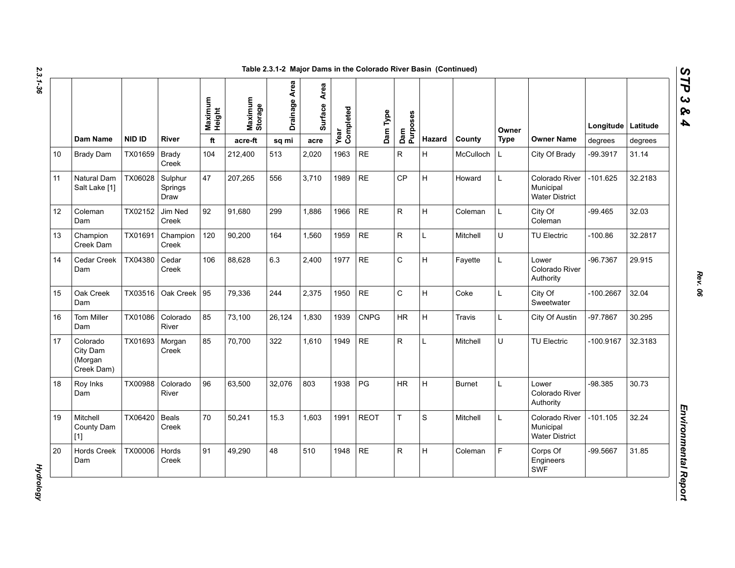| N  |
|----|
|    |
| ట  |
|    |
|    |
|    |
| دە |
|    |
|    |

|    | Dam Name                                      | <b>NID ID</b> | <b>River</b>               | Maximum<br>Height<br>ft | Maximum<br>Storage<br>$\operatorname{\sf acre\text{-}ft}$ | Drainage Area<br>sq mi | Area<br><b>Surface</b><br>acre | Completed<br>Year | Dam Type    | Dam<br>Purposes | Hazard      | County        | Owner<br><b>Type</b> | <b>Owner Name</b>                                    | Longitude   Latitude<br>degrees | degrees |
|----|-----------------------------------------------|---------------|----------------------------|-------------------------|-----------------------------------------------------------|------------------------|--------------------------------|-------------------|-------------|-----------------|-------------|---------------|----------------------|------------------------------------------------------|---------------------------------|---------|
| 10 | <b>Brady Dam</b>                              | TX01659       | <b>Brady</b><br>Creek      | 104                     | 212,400                                                   | 513                    | 2,020                          | 1963              | <b>RE</b>   | $\mathsf{R}$    | H           | McCulloch     | L                    | City Of Brady                                        | -99.3917                        | 31.14   |
| 11 | Natural Dam<br>Salt Lake [1]                  | TX06028       | Sulphur<br>Springs<br>Draw | 47                      | 207,265                                                   | 556                    | 3.710                          | 1989              | $\sf RE$    | <b>CP</b>       | H.          | Howard        | L                    | Colorado River<br>Municipal<br><b>Water District</b> | $-101.625$                      | 32.2183 |
| 12 | Coleman<br>Dam                                | TX02152       | Jim Ned<br>Creek           | 92                      | 91,680                                                    | 299                    | 1,886                          | 1966              | <b>RE</b>   | R               | H           | Coleman       | L                    | City Of<br>Coleman                                   | $-99.465$                       | 32.03   |
| 13 | Champion<br>Creek Dam                         | TX01691       | Champion<br>Creek          | 120                     | 90,200                                                    | 164                    | 1,560                          | 1959              | <b>RE</b>   | $\mathsf{R}$    | L           | Mitchell      | U                    | TU Electric                                          | $-100.86$                       | 32.2817 |
| 14 | Cedar Creek<br>Dam                            | TX04380       | Cedar<br>Creek             | 106                     | 88,628                                                    | 6.3                    | 2,400                          | 1977              | <b>RE</b>   | $\mathsf C$     | H           | Fayette       | Г                    | Lower<br>Colorado River<br>Authority                 | -96.7367                        | 29.915  |
| 15 | Oak Creek<br>Dam                              | TX03516       | Oak Creek                  | 95                      | 79.336                                                    | 244                    | 2,375                          | 1950              | <b>RE</b>   | $\mathsf{C}$    | H           | Coke          | L                    | City Of<br>Sweetwater                                | $-100.2667$                     | 32.04   |
| 16 | Tom Miller<br>Dam                             | TX01086       | Colorado<br>River          | 85                      | 73,100                                                    | 26,124                 | 1,830                          | 1939              | <b>CNPG</b> | <b>HR</b>       | H           | Travis        | L                    | City Of Austin                                       | $-97.7867$                      | 30.295  |
| 17 | Colorado<br>City Dam<br>(Morgan<br>Creek Dam) | TX01693       | Morgan<br>Creek            | 85                      | 70,700                                                    | 322                    | 1,610                          | 1949              | <b>RE</b>   | R               | L           | Mitchell      | U                    | TU Electric                                          | -100.9167                       | 32.3183 |
| 18 | Roy Inks<br>Dam                               | TX00988       | Colorado<br>River          | 96                      | 63,500                                                    | 32,076                 | 803                            | 1938              | PG          | <b>HR</b>       | H           | <b>Burnet</b> | L                    | Lower<br>Colorado River<br>Authority                 | $-98.385$                       | 30.73   |
| 19 | Mitchell<br>County Dam<br>$[1]$               | TX06420       | Beals<br>Creek             | 70                      | 50,241                                                    | 15.3                   | 1,603                          | 1991              | <b>REOT</b> | T.              | $\mathbf S$ | Mitchell      | L                    | Colorado River<br>Municipal<br><b>Water District</b> | -101.105                        | 32.24   |
| 20 | <b>Hords Creek</b><br>Dam                     | TX00006       | Hords<br>Creek             | 91                      | 49,290                                                    | 48                     | 510                            | 1948              | $\sf RE$    | $\mathsf R$     | H           | Coleman       | F                    | Corps Of<br>Engineers<br><b>SWF</b>                  | -99.5667                        | 31.85   |

*Rev. 06*

*STP 3 & 4*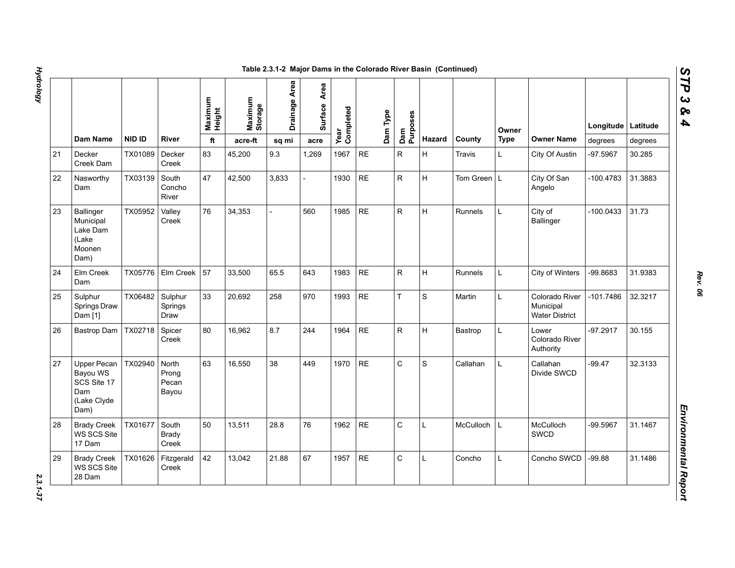|    |                                                                             |         |                                  |                   |                    | Table 2.3.1-2 Major Dams in the Colorado River Basin (Continued) |                 |                   |           |          |                 |              |                |             |                                                      |             |          |
|----|-----------------------------------------------------------------------------|---------|----------------------------------|-------------------|--------------------|------------------------------------------------------------------|-----------------|-------------------|-----------|----------|-----------------|--------------|----------------|-------------|------------------------------------------------------|-------------|----------|
|    |                                                                             |         |                                  | Maximum<br>Height | Maximum<br>Storage | Drainage Area                                                    | Area<br>Surface | Year<br>Completed |           | Dam Type | Dam<br>Purposes |              |                | Owner       |                                                      | Longitude   | Latitude |
|    | Dam Name                                                                    | NID ID  | River                            | ft                | acre-ft            | sq mi                                                            | acre            |                   |           |          |                 | Hazard       | County         | <b>Type</b> | <b>Owner Name</b>                                    | degrees     | degrees  |
| 21 | Decker<br>Creek Dam                                                         | TX01089 | Decker<br>Creek                  | 83                | 45,200             | 9.3                                                              | 1,269           | 1967              | <b>RE</b> |          | $\mathsf{R}$    | H            | Travis         | L           | City Of Austin                                       | -97.5967    | 30.285   |
| 22 | Nasworthy<br>Dam                                                            | TX03139 | South<br>Concho<br>River         | 47                | 42,500             | 3,833                                                            |                 | 1930              | <b>RE</b> |          | ${\sf R}$       | Iн.          | Tom Green L    |             | City Of San<br>Angelo                                | $-100.4783$ | 31.3883  |
| 23 | <b>Ballinger</b><br>Municipal<br>Lake Dam<br>(Lake<br>Moonen<br>Dam)        | TX05952 | Valley<br>Creek                  | 76                | 34,353             |                                                                  | 560             | 1985              | <b>RE</b> |          | ${\sf R}$       | H            | <b>Runnels</b> | L.          | City of<br><b>Ballinger</b>                          | -100.0433   | 31.73    |
| 24 | Elm Creek<br>Dam                                                            | TX05776 | Elm Creek                        | 57                | 33,500             | 65.5                                                             | 643             | 1983              | <b>RE</b> |          | ${\sf R}$       | H            | Runnels        | L           | City of Winters                                      | -99.8683    | 31.9383  |
| 25 | Sulphur<br>Springs Draw<br>Dam [1]                                          | TX06482 | Sulphur<br>Springs<br>Draw       | 33                | 20,692             | 258                                                              | 970             | 1993              | <b>RE</b> |          | $\bar{T}$       | S            | Martin         | L           | Colorado River<br>Municipal<br><b>Water District</b> | -101.7486   | 32.3217  |
| 26 | Bastrop Dam                                                                 | TX02718 | Spicer<br>Creek                  | 80                | 16,962             | 8.7                                                              | 244             | 1964              | <b>RE</b> |          | ${\sf R}$       | H            | Bastrop        | L           | Lower<br>Colorado River<br>Authority                 | $-97.2917$  | 30.155   |
| 27 | <b>Upper Pecan</b><br>Bayou WS<br>SCS Site 17<br>Dam<br>(Lake Clyde<br>Dam) | TX02940 | North<br>Prong<br>Pecan<br>Bayou | 63                | 16,550             | 38                                                               | 449             | 1970              | <b>RE</b> |          | $\mathsf{C}$    | S            | Callahan       | L.          | Callahan<br>Divide SWCD                              | $-99.47$    | 32.3133  |
| 28 | <b>Brady Creek</b><br>WS SCS Site<br>17 Dam                                 | TX01677 | South<br>Brady<br>Creek          | 50                | 13,511             | 28.8                                                             | 76              | 1962              | <b>RE</b> |          | $\mathsf{C}$    | $\mathsf{L}$ | McCulloch      | L           | McCulloch<br><b>SWCD</b>                             | -99.5967    | 31.1467  |
| 29 | <b>Brady Creek</b><br>WS SCS Site<br>28 Dam                                 | TX01626 | Fitzgerald<br>Creek              | 42                | 13,042             | 21.88                                                            | 67              | 1957              | <b>RE</b> |          | $\mathsf C$     | $\mathbf{L}$ | Concho         | L           | Concho SWCD                                          | $-99.88$    | 31.1486  |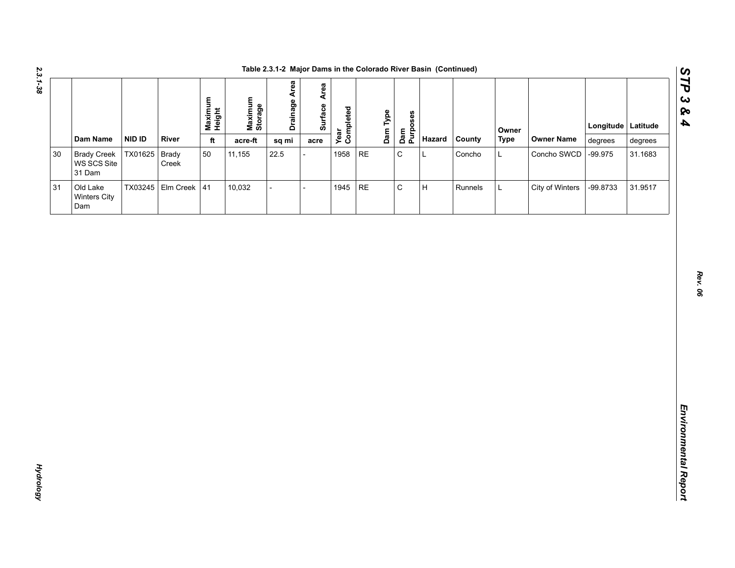| Dam Name<br><b>NID ID</b><br><b>River</b><br>Hazard<br>County<br><b>Type</b><br><b>Owner Name</b><br>ft<br>acre-ft<br>degrees<br>sq mi<br>degrees<br>acre<br>$\mathsf C$<br>TX01625 Brady<br>50<br>1958<br>$\sf RE$<br><b>Brady Creek</b><br>11,155<br>22.5<br>L<br>Concho<br>Concho SWCD<br>$-99.975$<br>31.1683<br>L<br>WS SCS Site<br>Creek<br>31 Dam<br>$\mathsf C$<br>TX03245 Elm Creek 41<br>$\sf RE$<br>$\sf H$<br>10,032<br>1945<br>City of Winters<br>-99.8733<br>31.9517<br>Old Lake<br>Runnels<br>$\overline{a}$<br>L<br>$\overline{a}$<br>Winters City<br>Dam |        |  | Maximum<br>Height | Maximum<br>Storage | <b>Drainage Area</b> | Surface Area | Year<br>Completed | Dam Type<br>Dam<br>Purposes |  | Owner | Longitude Latitude |  |
|---------------------------------------------------------------------------------------------------------------------------------------------------------------------------------------------------------------------------------------------------------------------------------------------------------------------------------------------------------------------------------------------------------------------------------------------------------------------------------------------------------------------------------------------------------------------------|--------|--|-------------------|--------------------|----------------------|--------------|-------------------|-----------------------------|--|-------|--------------------|--|
|                                                                                                                                                                                                                                                                                                                                                                                                                                                                                                                                                                           |        |  |                   |                    |                      |              |                   |                             |  |       |                    |  |
|                                                                                                                                                                                                                                                                                                                                                                                                                                                                                                                                                                           | $30\,$ |  |                   |                    |                      |              |                   |                             |  |       |                    |  |
|                                                                                                                                                                                                                                                                                                                                                                                                                                                                                                                                                                           | 31     |  |                   |                    |                      |              |                   |                             |  |       |                    |  |
|                                                                                                                                                                                                                                                                                                                                                                                                                                                                                                                                                                           |        |  |                   |                    |                      |              |                   |                             |  |       |                    |  |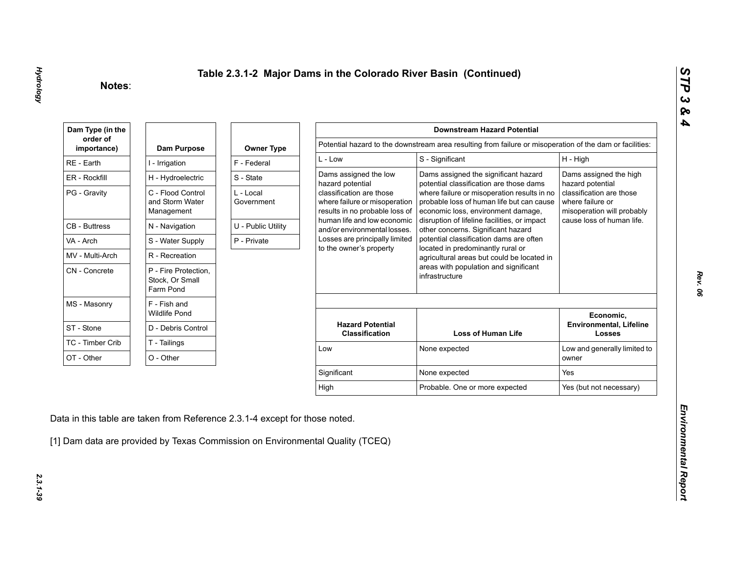| Dam Type (in the        |                                                      |                         |                                                                                             | <b>Downstream Hazard Potential</b>                                                                                             |                                                                            |
|-------------------------|------------------------------------------------------|-------------------------|---------------------------------------------------------------------------------------------|--------------------------------------------------------------------------------------------------------------------------------|----------------------------------------------------------------------------|
| order of<br>importance) | Dam Purpose                                          | <b>Owner Type</b>       |                                                                                             | Potential hazard to the downstream area resulting from failure or misoperation of the dam or facilities:                       |                                                                            |
| RE - Earth              | I - Irrigation                                       | F - Federal             | $L - Low$                                                                                   | S - Significant                                                                                                                | H - High                                                                   |
| ER - Rockfill           | H - Hydroelectric                                    | S - State               | Dams assigned the low<br>hazard potential                                                   | Dams assigned the significant hazard<br>potential classification are those dams                                                | Dams assigned the high<br>hazard potential                                 |
| PG - Gravity            | C - Flood Control<br>and Storm Water<br>Management   | L - Local<br>Government | classification are those<br>where failure or misoperation<br>results in no probable loss of | where failure or misoperation results in no<br>probable loss of human life but can cause<br>economic loss, environment damage, | classification are those<br>where failure or<br>misoperation will probably |
| <b>CB</b> - Buttress    | N - Navigation                                       | U - Public Utility      | human life and low economic<br>and/or environmental losses.                                 | disruption of lifeline facilities, or impact<br>other concerns. Significant hazard                                             | cause loss of human life.                                                  |
| VA - Arch               | S - Water Supply                                     | P - Private             | Losses are principally limited                                                              | potential classification dams are often                                                                                        |                                                                            |
| MV - Multi-Arch         | R - Recreation                                       |                         | to the owner's property                                                                     | located in predominantly rural or<br>agricultural areas but could be located in                                                |                                                                            |
| CN - Concrete           | P - Fire Protection,<br>Stock, Or Small<br>Farm Pond |                         |                                                                                             | areas with population and significant<br>infrastructure                                                                        |                                                                            |
| MS - Masonry            | F - Fish and<br><b>Wildlife Pond</b>                 |                         |                                                                                             |                                                                                                                                | Economic,                                                                  |
| ST - Stone              | D - Debris Control                                   |                         | <b>Hazard Potential</b><br><b>Classification</b>                                            | <b>Loss of Human Life</b>                                                                                                      | <b>Environmental, Lifeline</b><br><b>Losses</b>                            |
| TC - Timber Crib        | T - Tailings                                         |                         | Low                                                                                         | None expected                                                                                                                  | Low and generally limited to                                               |
| OT - Other              | O - Other                                            |                         |                                                                                             |                                                                                                                                | owner                                                                      |
|                         |                                                      |                         | Significant                                                                                 | None expected                                                                                                                  | Yes                                                                        |
|                         |                                                      |                         |                                                                                             |                                                                                                                                | Yes (but not necessary)                                                    |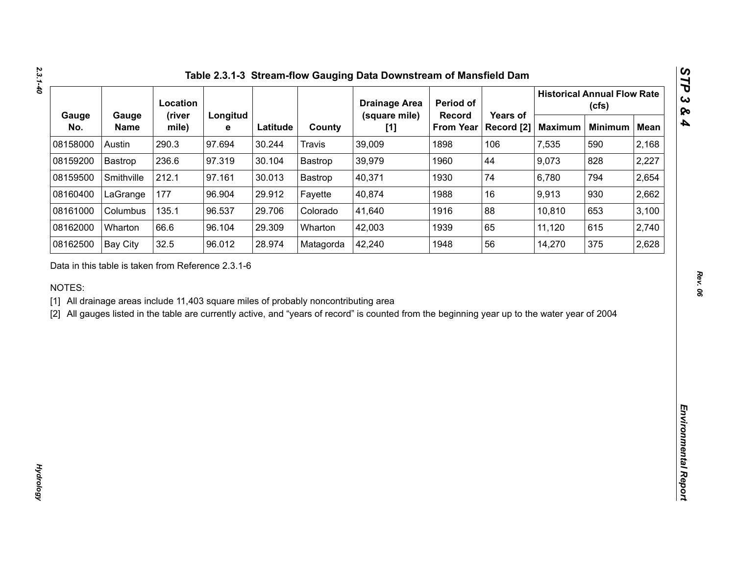|              |                                                    | Location        |               |          |                                                                                     | <b>Drainage Area</b>                                                                                                                           | Period of                  |                        |                | <b>Historical Annual Flow Rate</b><br>(cfs) |             |
|--------------|----------------------------------------------------|-----------------|---------------|----------|-------------------------------------------------------------------------------------|------------------------------------------------------------------------------------------------------------------------------------------------|----------------------------|------------------------|----------------|---------------------------------------------|-------------|
| Gauge<br>No. | Gauge<br><b>Name</b>                               | (river<br>mile) | Longitud<br>е | Latitude | County                                                                              | (square mile)<br>[1]                                                                                                                           | Record<br><b>From Year</b> | Years of<br>Record [2] | <b>Maximum</b> | <b>Minimum</b>                              | <b>Mean</b> |
| 08158000     | Austin                                             | 290.3           | 97.694        | 30.244   | <b>Travis</b>                                                                       | 39,009                                                                                                                                         | 1898                       | 106                    | 7,535          | 590                                         | 2,168       |
| 08159200     | Bastrop                                            | 236.6           | 97.319        | 30.104   | Bastrop                                                                             | 39,979                                                                                                                                         | 1960                       | 44                     | 9,073          | 828                                         | 2,227       |
| 08159500     | Smithville                                         | 212.1           | 97.161        | 30.013   | Bastrop                                                                             | 40,371                                                                                                                                         | 1930                       | 74                     | 6,780          | 794                                         | 2,654       |
| 08160400     | LaGrange                                           | 177             | 96.904        | 29.912   | Fayette                                                                             | 40,874                                                                                                                                         | 1988                       | 16                     | 9,913          | 930                                         | 2,662       |
| 08161000     | Columbus                                           | 135.1           | 96.537        | 29.706   | Colorado                                                                            | 41,640                                                                                                                                         | 1916                       | 88                     | 10,810         | 653                                         | 3,100       |
| 08162000     | Wharton                                            | 66.6            | 96.104        | 29.309   | Wharton                                                                             | 42,003                                                                                                                                         | 1939                       | 65                     | 11,120         | 615                                         | 2,740       |
| 08162500     | <b>Bay City</b>                                    | 32.5            | 96.012        | 28.974   | Matagorda                                                                           | 42,240                                                                                                                                         | 1948                       | 56                     | 14,270         | 375                                         | 2,628       |
| NOTES:       | Data in this table is taken from Reference 2.3.1-6 |                 |               |          | [1] All drainage areas include 11,403 square miles of probably noncontributing area | [2] All gauges listed in the table are currently active, and "years of record" is counted from the beginning year up to the water year of 2004 |                            |                        |                |                                             |             |
|              |                                                    |                 |               |          |                                                                                     |                                                                                                                                                |                            |                        |                |                                             |             |
|              |                                                    |                 |               |          |                                                                                     |                                                                                                                                                |                            |                        |                |                                             |             |
|              |                                                    |                 |               |          |                                                                                     |                                                                                                                                                |                            |                        |                |                                             |             |
|              |                                                    |                 |               |          |                                                                                     |                                                                                                                                                |                            |                        |                |                                             |             |
|              |                                                    |                 |               |          |                                                                                     |                                                                                                                                                |                            |                        |                |                                             |             |
|              |                                                    |                 |               |          |                                                                                     |                                                                                                                                                |                            |                        |                |                                             |             |
|              |                                                    |                 |               |          |                                                                                     |                                                                                                                                                |                            |                        |                |                                             |             |
|              |                                                    |                 |               |          |                                                                                     |                                                                                                                                                |                            |                        |                |                                             |             |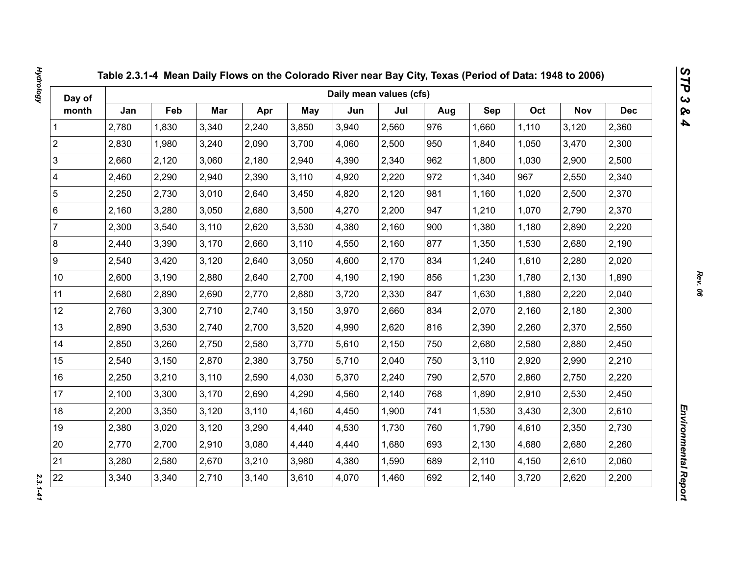| Day of                  |       |       |       |       |            | Daily mean values (cfs) |       |     |       |       |            |            |
|-------------------------|-------|-------|-------|-------|------------|-------------------------|-------|-----|-------|-------|------------|------------|
| month                   | Jan   | Feb   | Mar   | Apr   | <b>May</b> | Jun                     | Jul   | Aug | Sep   | Oct   | <b>Nov</b> | <b>Dec</b> |
| 1                       | 2,780 | 1,830 | 3,340 | 2,240 | 3,850      | 3,940                   | 2,560 | 976 | 1,660 | 1,110 | 3,120      | 2,360      |
| $\overline{2}$          | 2,830 | 1,980 | 3,240 | 2,090 | 3,700      | 4,060                   | 2,500 | 950 | 1,840 | 1,050 | 3,470      | 2,300      |
| 3                       | 2,660 | 2,120 | 3,060 | 2,180 | 2,940      | 4,390                   | 2,340 | 962 | 1,800 | 1,030 | 2,900      | 2,500      |
| $\overline{\mathbf{4}}$ | 2,460 | 2,290 | 2,940 | 2,390 | 3,110      | 4,920                   | 2,220 | 972 | 1,340 | 967   | 2,550      | 2,340      |
| $\sqrt{5}$              | 2,250 | 2,730 | 3,010 | 2,640 | 3,450      | 4,820                   | 2,120 | 981 | 1,160 | 1,020 | 2,500      | 2,370      |
| $\,6\,$                 | 2,160 | 3,280 | 3,050 | 2,680 | 3,500      | 4,270                   | 2,200 | 947 | 1,210 | 1,070 | 2,790      | 2,370      |
| $\overline{7}$          | 2,300 | 3,540 | 3,110 | 2,620 | 3,530      | 4,380                   | 2,160 | 900 | 1,380 | 1,180 | 2,890      | 2,220      |
| $\bf 8$                 | 2,440 | 3,390 | 3,170 | 2,660 | 3,110      | 4,550                   | 2,160 | 877 | 1,350 | 1,530 | 2,680      | 2,190      |
| $\boldsymbol{9}$        | 2,540 | 3,420 | 3,120 | 2,640 | 3,050      | 4,600                   | 2,170 | 834 | 1,240 | 1,610 | 2,280      | 2,020      |
| 10 <sup>1</sup>         | 2,600 | 3,190 | 2,880 | 2,640 | 2,700      | 4,190                   | 2,190 | 856 | 1,230 | 1,780 | 2,130      | 1,890      |
| 11                      | 2,680 | 2,890 | 2,690 | 2,770 | 2,880      | 3,720                   | 2,330 | 847 | 1,630 | 1,880 | 2,220      | 2,040      |
| 12                      | 2,760 | 3,300 | 2,710 | 2,740 | 3,150      | 3,970                   | 2,660 | 834 | 2,070 | 2,160 | 2,180      | 2,300      |
| 13                      | 2,890 | 3,530 | 2,740 | 2,700 | 3,520      | 4,990                   | 2,620 | 816 | 2,390 | 2,260 | 2,370      | 2,550      |
| 14                      | 2,850 | 3,260 | 2,750 | 2,580 | 3,770      | 5,610                   | 2,150 | 750 | 2,680 | 2,580 | 2,880      | 2,450      |
| 15                      | 2,540 | 3,150 | 2,870 | 2,380 | 3,750      | 5,710                   | 2,040 | 750 | 3,110 | 2,920 | 2,990      | 2,210      |
| 16                      | 2,250 | 3,210 | 3,110 | 2,590 | 4,030      | 5,370                   | 2,240 | 790 | 2,570 | 2,860 | 2,750      | 2,220      |
| 17                      | 2,100 | 3,300 | 3,170 | 2,690 | 4,290      | 4,560                   | 2,140 | 768 | 1,890 | 2,910 | 2,530      | 2,450      |
| 18                      | 2,200 | 3,350 | 3,120 | 3,110 | 4,160      | 4,450                   | 1,900 | 741 | 1,530 | 3,430 | 2,300      | 2,610      |
| 19                      | 2,380 | 3,020 | 3,120 | 3,290 | 4,440      | 4,530                   | 1,730 | 760 | 1,790 | 4,610 | 2,350      | 2,730      |
| 20                      | 2,770 | 2,700 | 2,910 | 3,080 | 4,440      | 4,440                   | 1,680 | 693 | 2,130 | 4,680 | 2,680      | 2,260      |
| 21                      | 3,280 | 2,580 | 2,670 | 3,210 | 3,980      | 4,380                   | 1,590 | 689 | 2,110 | 4,150 | 2,610      | 2,060      |
| 22                      | 3,340 | 3,340 | 2,710 | 3,140 | 3,610      | 4,070                   | 1,460 | 692 | 2,140 | 3,720 | 2,620      | 2,200      |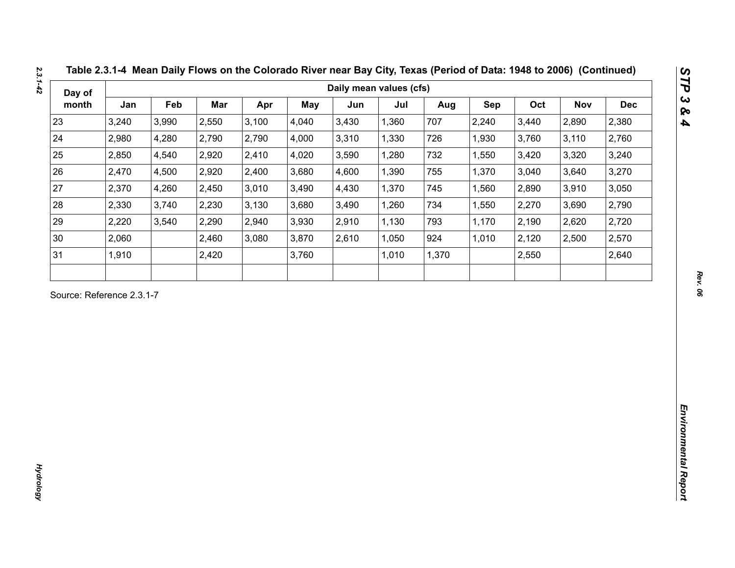| Day of                    |       |       |       |       |       | Daily mean values (cfs) |       |       |       |       |       |            |
|---------------------------|-------|-------|-------|-------|-------|-------------------------|-------|-------|-------|-------|-------|------------|
| month                     | Jan   | Feb   | Mar   | Apr   | May   | Jun                     | Jul   | Aug   | Sep   | Oct   | Nov   | <b>Dec</b> |
| 23                        | 3,240 | 3,990 | 2,550 | 3,100 | 4,040 | 3,430                   | 1,360 | 707   | 2,240 | 3,440 | 2,890 | 2,380      |
| 24                        | 2,980 | 4,280 | 2,790 | 2,790 | 4,000 | 3,310                   | 1,330 | 726   | 1,930 | 3,760 | 3,110 | 2,760      |
| 25                        | 2,850 | 4,540 | 2,920 | 2,410 | 4,020 | 3,590                   | 1,280 | 732   | 1,550 | 3,420 | 3,320 | 3,240      |
| 26                        | 2,470 | 4,500 | 2,920 | 2,400 | 3,680 | 4,600                   | 1,390 | 755   | 1,370 | 3,040 | 3,640 | 3,270      |
| 27                        | 2,370 | 4,260 | 2,450 | 3,010 | 3,490 | 4,430                   | 1,370 | 745   | 1,560 | 2,890 | 3,910 | 3,050      |
| 28                        | 2,330 | 3,740 | 2,230 | 3,130 | 3,680 | 3,490                   | 1,260 | 734   | 1,550 | 2,270 | 3,690 | 2,790      |
| 29                        | 2,220 | 3,540 | 2,290 | 2,940 | 3,930 | 2,910                   | 1,130 | 793   | 1,170 | 2,190 | 2,620 | 2,720      |
| 30                        | 2,060 |       | 2,460 | 3,080 | 3,870 | 2,610                   | 1,050 | 924   | 1,010 | 2,120 | 2,500 | 2,570      |
| 31                        | 1,910 |       | 2,420 |       | 3,760 |                         | 1,010 | 1,370 |       | 2,550 |       | 2,640      |
| Source: Reference 2.3.1-7 |       |       |       |       |       |                         |       |       |       |       |       |            |
|                           |       |       |       |       |       |                         |       |       |       |       |       |            |

*2.3.1-42*

**Hydrology** *Hydrology*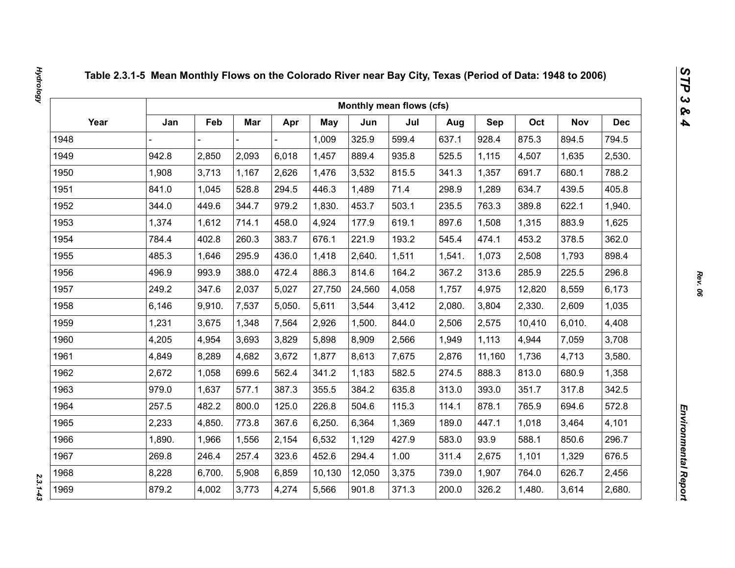|      |        |        |       |        |            |        | Monthly mean flows (cfs) |        |            |        |            |            |
|------|--------|--------|-------|--------|------------|--------|--------------------------|--------|------------|--------|------------|------------|
| Year | Jan    | Feb    | Mar   | Apr    | <b>May</b> | Jun    | Jul                      | Aug    | <b>Sep</b> | Oct    | <b>Nov</b> | <b>Dec</b> |
| 1948 |        |        |       |        | 1,009      | 325.9  | 599.4                    | 637.1  | 928.4      | 875.3  | 894.5      | 794.5      |
| 1949 | 942.8  | 2,850  | 2,093 | 6,018  | 1,457      | 889.4  | 935.8                    | 525.5  | 1,115      | 4,507  | 1,635      | 2,530.     |
| 1950 | 1,908  | 3,713  | 1,167 | 2,626  | 1,476      | 3,532  | 815.5                    | 341.3  | 1,357      | 691.7  | 680.1      | 788.2      |
| 1951 | 841.0  | 1,045  | 528.8 | 294.5  | 446.3      | 1,489  | 71.4                     | 298.9  | 1,289      | 634.7  | 439.5      | 405.8      |
| 1952 | 344.0  | 449.6  | 344.7 | 979.2  | 1,830.     | 453.7  | 503.1                    | 235.5  | 763.3      | 389.8  | 622.1      | 1,940.     |
| 1953 | 1,374  | 1,612  | 714.1 | 458.0  | 4,924      | 177.9  | 619.1                    | 897.6  | 1,508      | 1,315  | 883.9      | 1,625      |
| 1954 | 784.4  | 402.8  | 260.3 | 383.7  | 676.1      | 221.9  | 193.2                    | 545.4  | 474.1      | 453.2  | 378.5      | 362.0      |
| 1955 | 485.3  | 1,646  | 295.9 | 436.0  | 1,418      | 2,640. | 1,511                    | 1,541. | 1,073      | 2,508  | 1,793      | 898.4      |
| 1956 | 496.9  | 993.9  | 388.0 | 472.4  | 886.3      | 814.6  | 164.2                    | 367.2  | 313.6      | 285.9  | 225.5      | 296.8      |
| 1957 | 249.2  | 347.6  | 2,037 | 5,027  | 27,750     | 24,560 | 4,058                    | 1,757  | 4,975      | 12,820 | 8,559      | 6,173      |
| 1958 | 6,146  | 9,910. | 7,537 | 5,050. | 5,611      | 3,544  | 3,412                    | 2,080. | 3,804      | 2,330. | 2,609      | 1,035      |
| 1959 | 1,231  | 3,675  | 1,348 | 7,564  | 2,926      | 1,500. | 844.0                    | 2,506  | 2,575      | 10,410 | 6,010.     | 4,408      |
| 1960 | 4,205  | 4,954  | 3,693 | 3,829  | 5,898      | 8,909  | 2,566                    | 1,949  | 1,113      | 4,944  | 7,059      | 3,708      |
| 1961 | 4,849  | 8,289  | 4,682 | 3,672  | 1,877      | 8,613  | 7,675                    | 2,876  | 11,160     | 1,736  | 4,713      | 3,580.     |
| 1962 | 2,672  | 1,058  | 699.6 | 562.4  | 341.2      | 1,183  | 582.5                    | 274.5  | 888.3      | 813.0  | 680.9      | 1,358      |
| 1963 | 979.0  | 1,637  | 577.1 | 387.3  | 355.5      | 384.2  | 635.8                    | 313.0  | 393.0      | 351.7  | 317.8      | 342.5      |
| 1964 | 257.5  | 482.2  | 800.0 | 125.0  | 226.8      | 504.6  | 115.3                    | 114.1  | 878.1      | 765.9  | 694.6      | 572.8      |
| 1965 | 2,233  | 4,850. | 773.8 | 367.6  | 6,250.     | 6,364  | 1,369                    | 189.0  | 447.1      | 1,018  | 3,464      | 4,101      |
| 1966 | 1,890. | 1,966  | 1,556 | 2,154  | 6,532      | 1,129  | 427.9                    | 583.0  | 93.9       | 588.1  | 850.6      | 296.7      |
| 1967 | 269.8  | 246.4  | 257.4 | 323.6  | 452.6      | 294.4  | 1.00                     | 311.4  | 2,675      | 1,101  | 1,329      | 676.5      |
| 1968 | 8,228  | 6,700. | 5,908 | 6,859  | 10,130     | 12,050 | 3,375                    | 739.0  | 1,907      | 764.0  | 626.7      | 2,456      |
| 1969 | 879.2  | 4,002  | 3,773 | 4,274  | 5,566      | 901.8  | 371.3                    | 200.0  | 326.2      | 1,480. | 3,614      | 2,680.     |

 $2.3.1 - 4.3$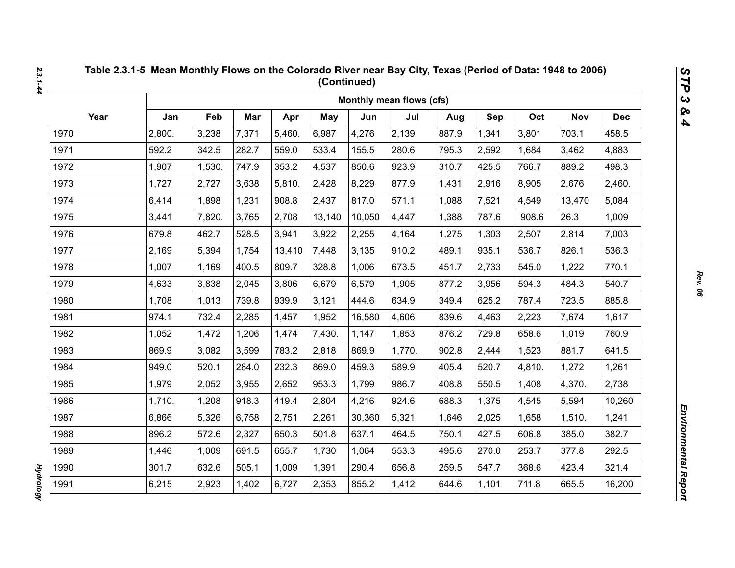|      |        |        |       |        |            |        | Monthly mean flows (cfs) |       |       |        |            |            |
|------|--------|--------|-------|--------|------------|--------|--------------------------|-------|-------|--------|------------|------------|
| Year | Jan    | Feb    | Mar   | Apr    | <b>May</b> | Jun    | Jul                      | Aug   | Sep   | Oct    | <b>Nov</b> | <b>Dec</b> |
| 1970 | 2,800. | 3,238  | 7,371 | 5,460. | 6,987      | 4,276  | 2,139                    | 887.9 | 1,341 | 3,801  | 703.1      | 458.5      |
| 1971 | 592.2  | 342.5  | 282.7 | 559.0  | 533.4      | 155.5  | 280.6                    | 795.3 | 2,592 | 1,684  | 3,462      | 4,883      |
| 1972 | 1,907  | 1,530. | 747.9 | 353.2  | 4,537      | 850.6  | 923.9                    | 310.7 | 425.5 | 766.7  | 889.2      | 498.3      |
| 1973 | 1,727  | 2,727  | 3,638 | 5,810. | 2,428      | 8,229  | 877.9                    | 1,431 | 2,916 | 8,905  | 2,676      | 2,460.     |
| 1974 | 6,414  | 1,898  | 1,231 | 908.8  | 2,437      | 817.0  | 571.1                    | 1,088 | 7,521 | 4,549  | 13,470     | 5,084      |
| 1975 | 3,441  | 7,820. | 3,765 | 2,708  | 13,140     | 10,050 | 4,447                    | 1,388 | 787.6 | 908.6  | 26.3       | 1,009      |
| 1976 | 679.8  | 462.7  | 528.5 | 3,941  | 3,922      | 2,255  | 4,164                    | 1,275 | 1,303 | 2,507  | 2,814      | 7,003      |
| 1977 | 2,169  | 5,394  | 1,754 | 13,410 | 7,448      | 3,135  | 910.2                    | 489.1 | 935.1 | 536.7  | 826.1      | 536.3      |
| 1978 | 1,007  | 1,169  | 400.5 | 809.7  | 328.8      | 1,006  | 673.5                    | 451.7 | 2,733 | 545.0  | 1,222      | 770.1      |
| 1979 | 4,633  | 3,838  | 2,045 | 3,806  | 6,679      | 6,579  | 1,905                    | 877.2 | 3,956 | 594.3  | 484.3      | 540.7      |
| 1980 | 1,708  | 1,013  | 739.8 | 939.9  | 3,121      | 444.6  | 634.9                    | 349.4 | 625.2 | 787.4  | 723.5      | 885.8      |
| 1981 | 974.1  | 732.4  | 2,285 | 1,457  | 1,952      | 16,580 | 4,606                    | 839.6 | 4,463 | 2,223  | 7,674      | 1,617      |
| 1982 | 1,052  | 1,472  | 1,206 | 1,474  | 7,430.     | 1,147  | 1,853                    | 876.2 | 729.8 | 658.6  | 1,019      | 760.9      |
| 1983 | 869.9  | 3,082  | 3,599 | 783.2  | 2,818      | 869.9  | 1,770.                   | 902.8 | 2,444 | 1,523  | 881.7      | 641.5      |
| 1984 | 949.0  | 520.1  | 284.0 | 232.3  | 869.0      | 459.3  | 589.9                    | 405.4 | 520.7 | 4,810. | 1,272      | 1,261      |
| 1985 | 1,979  | 2,052  | 3,955 | 2,652  | 953.3      | 1,799  | 986.7                    | 408.8 | 550.5 | 1,408  | 4,370.     | 2,738      |
| 1986 | 1,710. | 1,208  | 918.3 | 419.4  | 2,804      | 4,216  | 924.6                    | 688.3 | 1,375 | 4,545  | 5,594      | 10,260     |
| 1987 | 6,866  | 5,326  | 6,758 | 2,751  | 2,261      | 30,360 | 5,321                    | 1,646 | 2,025 | 1,658  | 1,510.     | 1,241      |
| 1988 | 896.2  | 572.6  | 2,327 | 650.3  | 501.8      | 637.1  | 464.5                    | 750.1 | 427.5 | 606.8  | 385.0      | 382.7      |
| 1989 | 1,446  | 1,009  | 691.5 | 655.7  | 1,730      | 1,064  | 553.3                    | 495.6 | 270.0 | 253.7  | 377.8      | 292.5      |
| 1990 | 301.7  | 632.6  | 505.1 | 1,009  | 1,391      | 290.4  | 656.8                    | 259.5 | 547.7 | 368.6  | 423.4      | 321.4      |
| 1991 | 6,215  | 2,923  | 1,402 | 6,727  | 2,353      | 855.2  | 1,412                    | 644.6 | 1,101 | 711.8  | 665.5      | 16,200     |

**Hydrology** *Hydrology*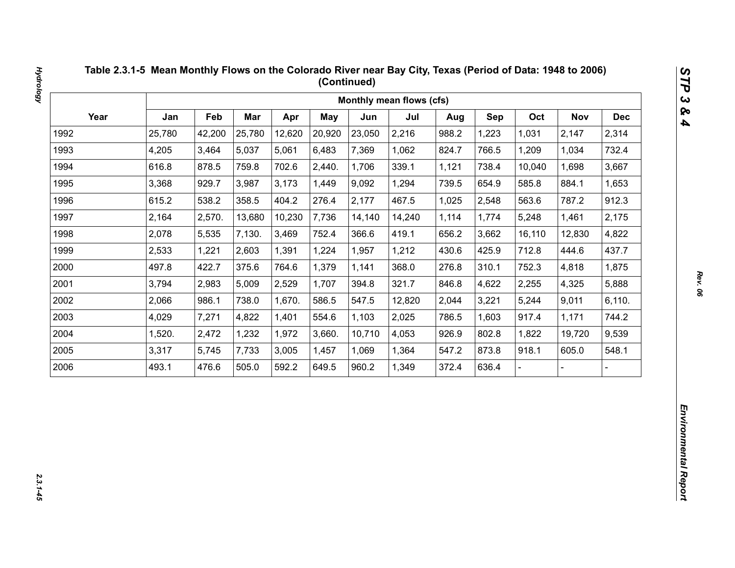|      |        |        |            |        |        |        | Monthly mean flows (cfs) |       |       |        |            |            |
|------|--------|--------|------------|--------|--------|--------|--------------------------|-------|-------|--------|------------|------------|
| Year | Jan    | Feb    | <b>Mar</b> | Apr    | May    | Jun    | Jul                      | Aug   | Sep   | Oct    | <b>Nov</b> | <b>Dec</b> |
| 1992 | 25,780 | 42,200 | 25,780     | 12,620 | 20,920 | 23,050 | 2,216                    | 988.2 | 1,223 | 1,031  | 2,147      | 2,314      |
| 1993 | 4,205  | 3,464  | 5,037      | 5,061  | 6,483  | 7,369  | 1,062                    | 824.7 | 766.5 | 1,209  | 1,034      | 732.4      |
| 1994 | 616.8  | 878.5  | 759.8      | 702.6  | 2,440. | 1,706  | 339.1                    | 1,121 | 738.4 | 10,040 | 1,698      | 3,667      |
| 1995 | 3,368  | 929.7  | 3,987      | 3,173  | 1,449  | 9,092  | 1,294                    | 739.5 | 654.9 | 585.8  | 884.1      | 1,653      |
| 1996 | 615.2  | 538.2  | 358.5      | 404.2  | 276.4  | 2,177  | 467.5                    | 1,025 | 2,548 | 563.6  | 787.2      | 912.3      |
| 1997 | 2,164  | 2,570. | 13,680     | 10,230 | 7,736  | 14,140 | 14,240                   | 1,114 | 1,774 | 5,248  | 1,461      | 2,175      |
| 1998 | 2,078  | 5,535  | 7,130.     | 3,469  | 752.4  | 366.6  | 419.1                    | 656.2 | 3,662 | 16,110 | 12,830     | 4,822      |
| 1999 | 2,533  | 1,221  | 2,603      | 1,391  | 1,224  | 1,957  | 1,212                    | 430.6 | 425.9 | 712.8  | 444.6      | 437.7      |
| 2000 | 497.8  | 422.7  | 375.6      | 764.6  | 1,379  | 1,141  | 368.0                    | 276.8 | 310.1 | 752.3  | 4,818      | 1,875      |
| 2001 | 3,794  | 2,983  | 5,009      | 2,529  | 1,707  | 394.8  | 321.7                    | 846.8 | 4,622 | 2,255  | 4,325      | 5,888      |
| 2002 | 2,066  | 986.1  | 738.0      | 1,670. | 586.5  | 547.5  | 12,820                   | 2,044 | 3,221 | 5,244  | 9,011      | 6,110.     |
| 2003 | 4,029  | 7,271  | 4,822      | 1,401  | 554.6  | 1,103  | 2,025                    | 786.5 | 1,603 | 917.4  | 1,171      | 744.2      |
| 2004 | 1,520. | 2,472  | 1,232      | 1,972  | 3,660. | 10,710 | 4,053                    | 926.9 | 802.8 | 1,822  | 19,720     | 9,539      |
| 2005 | 3,317  | 5,745  | 7,733      | 3,005  | 1,457  | 1,069  | 1,364                    | 547.2 | 873.8 | 918.1  | 605.0      | 548.1      |
| 2006 | 493.1  | 476.6  | 505.0      | 592.2  | 649.5  | 960.2  | 1,349                    | 372.4 | 636.4 |        |            |            |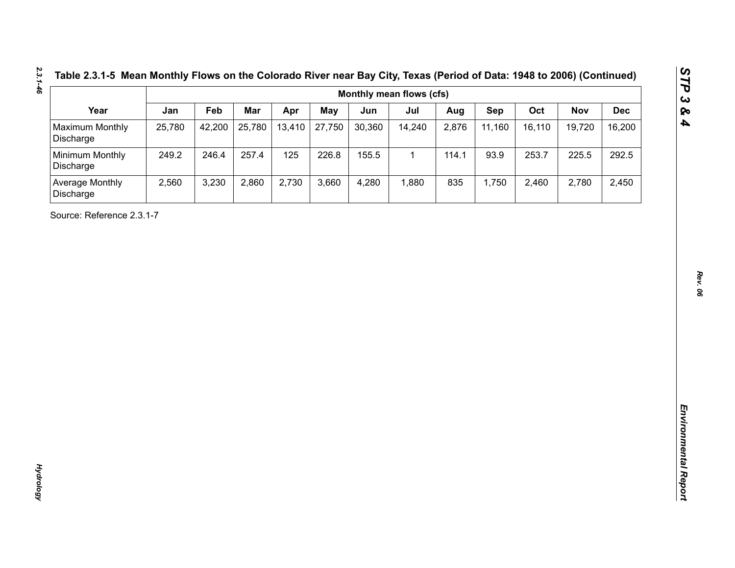| Table 2.3.1-5 Mean Monthly Flows on the Colorado River near Bay City, Texas (Period of Data: 1948 to 2006) (Continue |  |  |
|----------------------------------------------------------------------------------------------------------------------|--|--|
|----------------------------------------------------------------------------------------------------------------------|--|--|

| Year<br><b>Maximum Monthly</b><br>Discharge<br>Minimum Monthly<br>Discharge<br>Average Monthly<br>Discharge<br>Source: Reference 2.3.1-7 | Jan<br>25,780<br>249.2<br>2,560 | Feb<br>42,200<br>246.4<br>3,230 | Mar<br>25,780<br>257.4<br>2,860 | Apr<br>13,410<br>125<br>2,730 | <b>May</b><br>27,750<br>226.8<br>3,660 | Jun<br>30,360<br>155.5<br>4,280 | Jul<br>14,240<br>$\mathbf{1}$<br>1,880 | Aug<br>2,876<br>114.1<br>835 | Sep<br>11,160<br>93.9<br>1,750 | Oct<br>16,110<br>253.7<br>2,460 | <b>Nov</b><br>19,720<br>225.5<br>2,780 | <b>Dec</b><br>16,200<br>292.5<br>2,450 |
|------------------------------------------------------------------------------------------------------------------------------------------|---------------------------------|---------------------------------|---------------------------------|-------------------------------|----------------------------------------|---------------------------------|----------------------------------------|------------------------------|--------------------------------|---------------------------------|----------------------------------------|----------------------------------------|
|                                                                                                                                          |                                 |                                 |                                 |                               |                                        |                                 |                                        |                              |                                |                                 |                                        |                                        |
|                                                                                                                                          |                                 |                                 |                                 |                               |                                        |                                 |                                        |                              |                                |                                 |                                        |                                        |
|                                                                                                                                          |                                 |                                 |                                 |                               |                                        |                                 |                                        |                              |                                |                                 |                                        |                                        |
|                                                                                                                                          |                                 |                                 |                                 |                               |                                        |                                 |                                        |                              |                                |                                 |                                        |                                        |
|                                                                                                                                          |                                 |                                 |                                 |                               |                                        |                                 |                                        |                              |                                |                                 |                                        |                                        |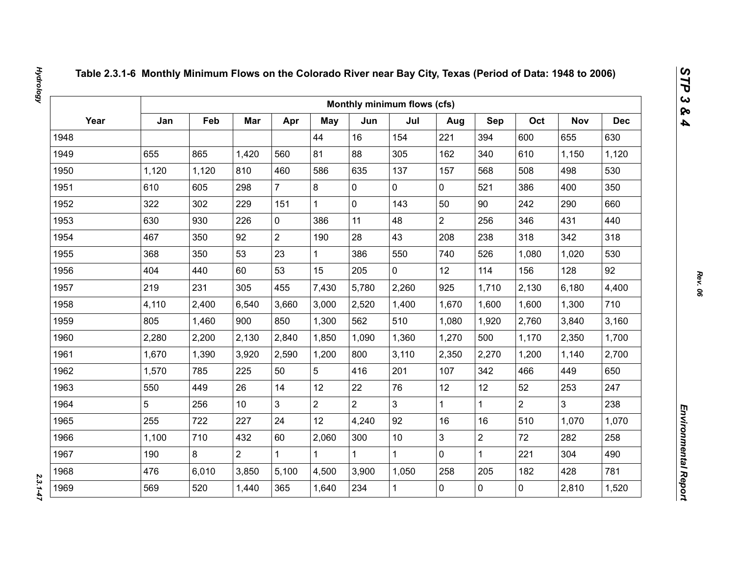|      |       |       |                 |                |                |                | Monthly minimum flows (cfs) |                |                |                |                |            |
|------|-------|-------|-----------------|----------------|----------------|----------------|-----------------------------|----------------|----------------|----------------|----------------|------------|
| Year | Jan   | Feb   | Mar             | Apr            | May            | Jun            | Jul                         | Aug            | Sep            | Oct            | <b>Nov</b>     | <b>Dec</b> |
| 1948 |       |       |                 |                | 44             | 16             | 154                         | 221            | 394            | 600            | 655            | 630        |
| 1949 | 655   | 865   | 1,420           | 560            | 81             | 88             | 305                         | 162            | 340            | 610            | 1,150          | 1,120      |
| 1950 | 1,120 | 1,120 | 810             | 460            | 586            | 635            | 137                         | 157            | 568            | 508            | 498            | 530        |
| 1951 | 610   | 605   | 298             | $\overline{7}$ | 8              | $\mathbf 0$    | 0                           | $\mathbf 0$    | 521            | 386            | 400            | 350        |
| 1952 | 322   | 302   | 229             | 151            | $\mathbf{1}$   | $\mathbf 0$    | 143                         | 50             | 90             | 242            | 290            | 660        |
| 1953 | 630   | 930   | 226             | $\mathbf 0$    | 386            | 11             | 48                          | $\overline{2}$ | 256            | 346            | 431            | 440        |
| 1954 | 467   | 350   | 92              | $\overline{2}$ | 190            | 28             | 43                          | 208            | 238            | 318            | 342            | 318        |
| 1955 | 368   | 350   | 53              | 23             | $\mathbf{1}$   | 386            | 550                         | 740            | 526            | 1,080          | 1,020          | 530        |
| 1956 | 404   | 440   | 60              | 53             | 15             | 205            | $\overline{0}$              | 12             | 114            | 156            | 128            | 92         |
| 1957 | 219   | 231   | 305             | 455            | 7,430          | 5,780          | 2,260                       | 925            | 1,710          | 2,130          | 6,180          | 4,400      |
| 1958 | 4,110 | 2,400 | 6,540           | 3,660          | 3,000          | 2,520          | 1,400                       | 1,670          | 1,600          | 1,600          | 1,300          | 710        |
| 1959 | 805   | 1,460 | 900             | 850            | 1,300          | 562            | 510                         | 1,080          | 1,920          | 2,760          | 3,840          | 3,160      |
| 1960 | 2,280 | 2,200 | 2,130           | 2,840          | 1,850          | 1,090          | 1,360                       | 1,270          | 500            | 1,170          | 2,350          | 1,700      |
| 1961 | 1,670 | 1,390 | 3,920           | 2,590          | 1,200          | 800            | 3,110                       | 2,350          | 2,270          | 1,200          | 1,140          | 2,700      |
| 1962 | 1,570 | 785   | 225             | 50             | 5              | 416            | 201                         | 107            | 342            | 466            | 449            | 650        |
| 1963 | 550   | 449   | 26              | 14             | 12             | 22             | 76                          | 12             | 12             | 52             | 253            | 247        |
| 1964 | 5     | 256   | 10 <sup>°</sup> | $\overline{3}$ | $\overline{2}$ | $\overline{2}$ | $\overline{3}$              | $\mathbf{1}$   | $\mathbf{1}$   | $\overline{2}$ | $\overline{3}$ | 238        |
| 1965 | 255   | 722   | 227             | 24             | 12             | 4,240          | 92                          | 16             | 16             | 510            | 1,070          | 1,070      |
| 1966 | 1,100 | 710   | 432             | 60             | 2,060          | 300            | 10                          | 3              | $\overline{2}$ | 72             | 282            | 258        |
| 1967 | 190   | 8     | $\overline{2}$  | $\mathbf 1$    | $\mathbf{1}$   |                | $\mathbf{1}$                | $\mathbf 0$    | $\mathbf{1}$   | 221            | 304            | 490        |
| 1968 | 476   | 6,010 | 3,850           | 5,100          | 4,500          | 3,900          | 1,050                       | 258            | 205            | 182            | 428            | 781        |
| 1969 | 569   | 520   | 1,440           | 365            | 1,640          | 234            | $\mathbf{1}$                | 0              | $\mathbf 0$    | $\mathbf 0$    | 2,810          | 1,520      |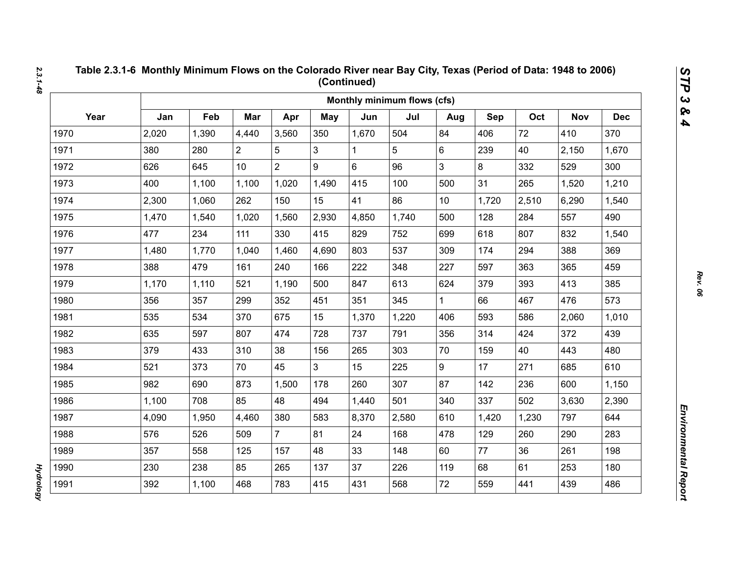|      |       |       |                |                |                |       | Monthly minimum flows (cfs) |                 |       |       |            |            |
|------|-------|-------|----------------|----------------|----------------|-------|-----------------------------|-----------------|-------|-------|------------|------------|
| Year | Jan   | Feb   | Mar            | Apr            | May            | Jun   | Jul                         | Aug             | Sep   | Oct   | <b>Nov</b> | <b>Dec</b> |
| 1970 | 2,020 | 1,390 | 4,440          | 3,560          | 350            | 1,670 | 504                         | 84              | 406   | 72    | 410        | 370        |
| 1971 | 380   | 280   | $\overline{2}$ | 5              | 3              | 1     | 5                           | 6               | 239   | 40    | 2,150      | 1,670      |
| 1972 | 626   | 645   | 10             | $\overline{2}$ | 9              | 6     | 96                          | 3               | 8     | 332   | 529        | 300        |
| 1973 | 400   | 1,100 | 1,100          | 1,020          | 1,490          | 415   | 100                         | 500             | 31    | 265   | 1,520      | 1,210      |
| 1974 | 2,300 | 1,060 | 262            | 150            | 15             | 41    | 86                          | 10 <sup>1</sup> | 1,720 | 2,510 | 6,290      | 1,540      |
| 1975 | 1,470 | 1,540 | 1,020          | 1,560          | 2,930          | 4,850 | 1,740                       | 500             | 128   | 284   | 557        | 490        |
| 1976 | 477   | 234   | 111            | 330            | 415            | 829   | 752                         | 699             | 618   | 807   | 832        | 1,540      |
| 1977 | 1,480 | 1,770 | 1,040          | 1,460          | 4,690          | 803   | 537                         | 309             | 174   | 294   | 388        | 369        |
| 1978 | 388   | 479   | 161            | 240            | 166            | 222   | 348                         | 227             | 597   | 363   | 365        | 459        |
| 1979 | 1,170 | 1,110 | 521            | 1,190          | 500            | 847   | 613                         | 624             | 379   | 393   | 413        | 385        |
| 1980 | 356   | 357   | 299            | 352            | 451            | 351   | 345                         | $\mathbf{1}$    | 66    | 467   | 476        | 573        |
| 1981 | 535   | 534   | 370            | 675            | 15             | 1,370 | 1,220                       | 406             | 593   | 586   | 2,060      | 1,010      |
| 1982 | 635   | 597   | 807            | 474            | 728            | 737   | 791                         | 356             | 314   | 424   | 372        | 439        |
| 1983 | 379   | 433   | 310            | 38             | 156            | 265   | 303                         | 70              | 159   | 40    | 443        | 480        |
| 1984 | 521   | 373   | 70             | 45             | 3 <sup>1</sup> | 15    | 225                         | 9               | 17    | 271   | 685        | 610        |
| 1985 | 982   | 690   | 873            | 1,500          | 178            | 260   | 307                         | 87              | 142   | 236   | 600        | 1,150      |
| 1986 | 1,100 | 708   | 85             | 48             | 494            | 1,440 | 501                         | 340             | 337   | 502   | 3,630      | 2,390      |
| 1987 | 4,090 | 1,950 | 4,460          | 380            | 583            | 8,370 | 2,580                       | 610             | 1,420 | 1,230 | 797        | 644        |
| 1988 | 576   | 526   | 509            | $\overline{7}$ | 81             | 24    | 168                         | 478             | 129   | 260   | 290        | 283        |
| 1989 | 357   | 558   | 125            | 157            | 48             | 33    | 148                         | 60              | 77    | 36    | 261        | 198        |
| 1990 | 230   | 238   | 85             | 265            | 137            | 37    | 226                         | 119             | 68    | 61    | 253        | 180        |
| 1991 | 392   | 1,100 | 468            | 783            | 415            | 431   | 568                         | 72              | 559   | 441   | 439        | 486        |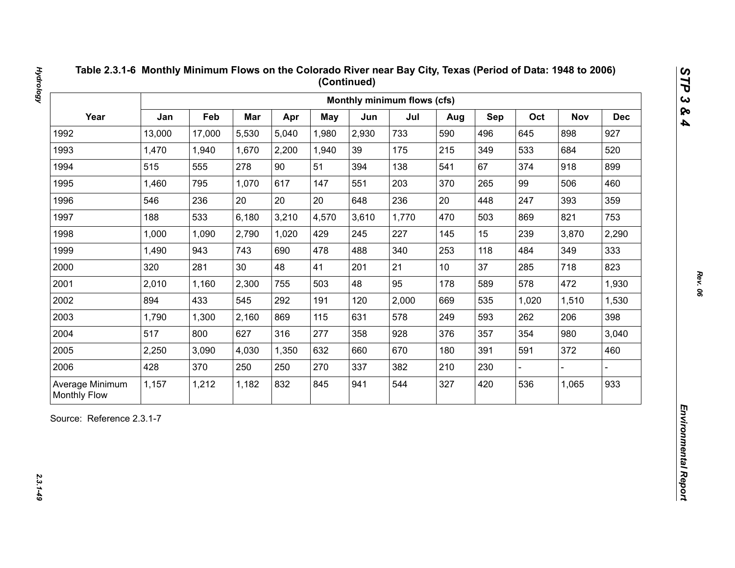| Year<br>Jan<br>Feb<br>Mar<br>Oct<br>Apr<br><b>May</b><br>Jun<br>Jul<br>Sep<br><b>Nov</b><br>Aug<br>13,000<br>5,530<br>5,040<br>2,930<br>733<br>496<br>898<br>1992<br>17,000<br>1,980<br>590<br>645<br>1993<br>1,470<br>2,200<br>39<br>175<br>215<br>349<br>533<br>684<br>1,940<br>1,670<br>1,940<br>90<br>67<br>1994<br>515<br>555<br>278<br>51<br>138<br>374<br>918<br>394<br>541<br>1995<br>1,460<br>795<br>1,070<br>617<br>203<br>265<br>99<br>506<br>147<br>551<br>370<br>20<br>20<br>20<br>236<br>20<br>393<br>1996<br>546<br>236<br>448<br>247<br>648<br>1997<br>188<br>533<br>6,180<br>3,210<br>4,570<br>3,610<br>1,770<br>503<br>821<br>470<br>869<br>2,790<br>1,020<br>227<br>15<br>239<br>1998<br>1,000<br>1,090<br>429<br>245<br>145<br>3,870<br>1999<br>1,490<br>943<br>743<br>690<br>478<br>488<br>340<br>253<br>118<br>349<br>484<br>21<br>37<br>2000<br>281<br>30<br>48<br>41<br>285<br>718<br>320<br>201<br>10 <sub>1</sub><br>2001<br>2,300<br>48<br>95<br>178<br>589<br>578<br>472<br>2,010<br>1,160<br>755<br>503<br>2002<br>894<br>433<br>545<br>292<br>2,000<br>535<br>191<br>120<br>669<br>1,020<br>1,510<br>2003<br>869<br>578<br>593<br>1,790<br>1,300<br>2,160<br>115<br>631<br>249<br>262<br>206<br>2004<br>517<br>277<br>354<br>980<br>800<br>627<br>316<br>928<br>357<br>358<br>376<br>2005<br>670<br>372<br>2,250<br>3,090<br>4,030<br>1,350<br>632<br>180<br>391<br>591<br>660<br>2006<br>428<br>370<br>250<br>250<br>270<br>337<br>382<br>210<br>230 |  |  |  | Monthly minimum flows (cfs) |  |  |            |
|-------------------------------------------------------------------------------------------------------------------------------------------------------------------------------------------------------------------------------------------------------------------------------------------------------------------------------------------------------------------------------------------------------------------------------------------------------------------------------------------------------------------------------------------------------------------------------------------------------------------------------------------------------------------------------------------------------------------------------------------------------------------------------------------------------------------------------------------------------------------------------------------------------------------------------------------------------------------------------------------------------------------------------------------------------------------------------------------------------------------------------------------------------------------------------------------------------------------------------------------------------------------------------------------------------------------------------------------------------------------------------------------------------------------------------------------------------------------------------------|--|--|--|-----------------------------|--|--|------------|
|                                                                                                                                                                                                                                                                                                                                                                                                                                                                                                                                                                                                                                                                                                                                                                                                                                                                                                                                                                                                                                                                                                                                                                                                                                                                                                                                                                                                                                                                                     |  |  |  |                             |  |  | <b>Dec</b> |
|                                                                                                                                                                                                                                                                                                                                                                                                                                                                                                                                                                                                                                                                                                                                                                                                                                                                                                                                                                                                                                                                                                                                                                                                                                                                                                                                                                                                                                                                                     |  |  |  |                             |  |  | 927        |
|                                                                                                                                                                                                                                                                                                                                                                                                                                                                                                                                                                                                                                                                                                                                                                                                                                                                                                                                                                                                                                                                                                                                                                                                                                                                                                                                                                                                                                                                                     |  |  |  |                             |  |  | 520        |
|                                                                                                                                                                                                                                                                                                                                                                                                                                                                                                                                                                                                                                                                                                                                                                                                                                                                                                                                                                                                                                                                                                                                                                                                                                                                                                                                                                                                                                                                                     |  |  |  |                             |  |  | 899        |
|                                                                                                                                                                                                                                                                                                                                                                                                                                                                                                                                                                                                                                                                                                                                                                                                                                                                                                                                                                                                                                                                                                                                                                                                                                                                                                                                                                                                                                                                                     |  |  |  |                             |  |  | 460        |
|                                                                                                                                                                                                                                                                                                                                                                                                                                                                                                                                                                                                                                                                                                                                                                                                                                                                                                                                                                                                                                                                                                                                                                                                                                                                                                                                                                                                                                                                                     |  |  |  |                             |  |  | 359        |
|                                                                                                                                                                                                                                                                                                                                                                                                                                                                                                                                                                                                                                                                                                                                                                                                                                                                                                                                                                                                                                                                                                                                                                                                                                                                                                                                                                                                                                                                                     |  |  |  |                             |  |  | 753        |
|                                                                                                                                                                                                                                                                                                                                                                                                                                                                                                                                                                                                                                                                                                                                                                                                                                                                                                                                                                                                                                                                                                                                                                                                                                                                                                                                                                                                                                                                                     |  |  |  |                             |  |  | 2,290      |
|                                                                                                                                                                                                                                                                                                                                                                                                                                                                                                                                                                                                                                                                                                                                                                                                                                                                                                                                                                                                                                                                                                                                                                                                                                                                                                                                                                                                                                                                                     |  |  |  |                             |  |  | 333        |
|                                                                                                                                                                                                                                                                                                                                                                                                                                                                                                                                                                                                                                                                                                                                                                                                                                                                                                                                                                                                                                                                                                                                                                                                                                                                                                                                                                                                                                                                                     |  |  |  |                             |  |  | 823        |
|                                                                                                                                                                                                                                                                                                                                                                                                                                                                                                                                                                                                                                                                                                                                                                                                                                                                                                                                                                                                                                                                                                                                                                                                                                                                                                                                                                                                                                                                                     |  |  |  |                             |  |  | 1,930      |
|                                                                                                                                                                                                                                                                                                                                                                                                                                                                                                                                                                                                                                                                                                                                                                                                                                                                                                                                                                                                                                                                                                                                                                                                                                                                                                                                                                                                                                                                                     |  |  |  |                             |  |  | 1,530      |
|                                                                                                                                                                                                                                                                                                                                                                                                                                                                                                                                                                                                                                                                                                                                                                                                                                                                                                                                                                                                                                                                                                                                                                                                                                                                                                                                                                                                                                                                                     |  |  |  |                             |  |  | 398        |
|                                                                                                                                                                                                                                                                                                                                                                                                                                                                                                                                                                                                                                                                                                                                                                                                                                                                                                                                                                                                                                                                                                                                                                                                                                                                                                                                                                                                                                                                                     |  |  |  |                             |  |  | 3,040      |
|                                                                                                                                                                                                                                                                                                                                                                                                                                                                                                                                                                                                                                                                                                                                                                                                                                                                                                                                                                                                                                                                                                                                                                                                                                                                                                                                                                                                                                                                                     |  |  |  |                             |  |  | 460        |
|                                                                                                                                                                                                                                                                                                                                                                                                                                                                                                                                                                                                                                                                                                                                                                                                                                                                                                                                                                                                                                                                                                                                                                                                                                                                                                                                                                                                                                                                                     |  |  |  |                             |  |  |            |
| 832<br>544<br>420<br>536<br>Average Minimum<br>1,157<br>1,212<br>1,182<br>845<br>327<br>1,065<br>941<br><b>Monthly Flow</b>                                                                                                                                                                                                                                                                                                                                                                                                                                                                                                                                                                                                                                                                                                                                                                                                                                                                                                                                                                                                                                                                                                                                                                                                                                                                                                                                                         |  |  |  |                             |  |  | 933        |

 $2.3.1 - 49$ 

*Hydrology 2.3.1-49*

**Hydrology**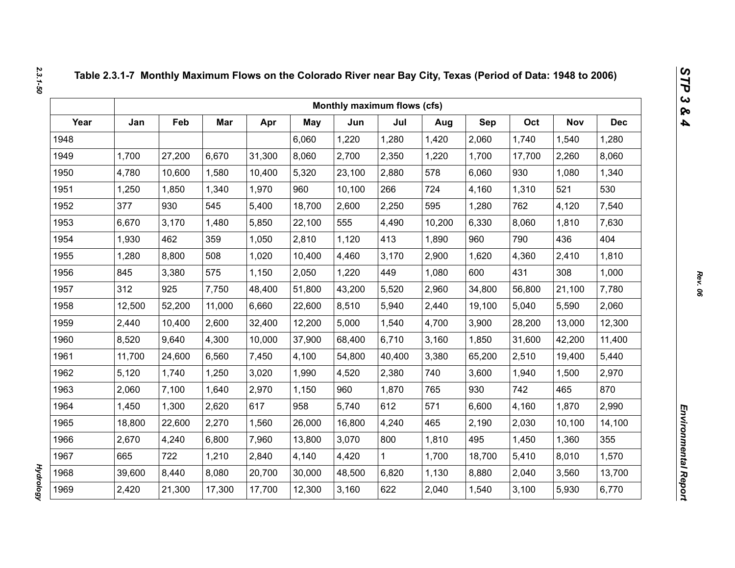|      |        |        |        |        |            | Monthly maximum flows (cfs) |        |        |        |        |            |            |
|------|--------|--------|--------|--------|------------|-----------------------------|--------|--------|--------|--------|------------|------------|
| Year | Jan    | Feb    | Mar    | Apr    | <b>May</b> | Jun                         | Jul    | Aug    | Sep    | Oct    | <b>Nov</b> | <b>Dec</b> |
| 1948 |        |        |        |        | 6,060      | 1,220                       | 1,280  | 1,420  | 2,060  | 1,740  | 1,540      | 1,280      |
| 1949 | 1,700  | 27,200 | 6,670  | 31,300 | 8,060      | 2,700                       | 2,350  | 1,220  | 1,700  | 17,700 | 2,260      | 8,060      |
| 1950 | 4,780  | 10,600 | 1,580  | 10,400 | 5,320      | 23,100                      | 2,880  | 578    | 6,060  | 930    | 1,080      | 1,340      |
| 1951 | 1,250  | 1,850  | 1,340  | 1,970  | 960        | 10,100                      | 266    | 724    | 4,160  | 1,310  | 521        | 530        |
| 1952 | 377    | 930    | 545    | 5,400  | 18,700     | 2,600                       | 2,250  | 595    | 1,280  | 762    | 4,120      | 7,540      |
| 1953 | 6,670  | 3,170  | 1,480  | 5,850  | 22,100     | 555                         | 4,490  | 10,200 | 6,330  | 8,060  | 1,810      | 7,630      |
| 1954 | 1,930  | 462    | 359    | 1,050  | 2,810      | 1,120                       | 413    | 1,890  | 960    | 790    | 436        | 404        |
| 1955 | 1,280  | 8,800  | 508    | 1,020  | 10,400     | 4,460                       | 3,170  | 2,900  | 1,620  | 4,360  | 2,410      | 1,810      |
| 1956 | 845    | 3,380  | 575    | 1,150  | 2,050      | 1,220                       | 449    | 1,080  | 600    | 431    | 308        | 1,000      |
| 1957 | 312    | 925    | 7,750  | 48,400 | 51,800     | 43,200                      | 5,520  | 2,960  | 34,800 | 56,800 | 21,100     | 7,780      |
| 1958 | 12,500 | 52,200 | 11,000 | 6,660  | 22,600     | 8,510                       | 5,940  | 2,440  | 19,100 | 5,040  | 5,590      | 2,060      |
| 1959 | 2,440  | 10,400 | 2,600  | 32,400 | 12,200     | 5,000                       | 1,540  | 4,700  | 3,900  | 28,200 | 13,000     | 12,300     |
| 1960 | 8,520  | 9,640  | 4,300  | 10,000 | 37,900     | 68,400                      | 6,710  | 3,160  | 1,850  | 31,600 | 42,200     | 11,400     |
| 1961 | 11,700 | 24,600 | 6,560  | 7,450  | 4,100      | 54,800                      | 40,400 | 3,380  | 65,200 | 2,510  | 19,400     | 5,440      |
| 1962 | 5,120  | 1,740  | 1,250  | 3,020  | 1,990      | 4,520                       | 2,380  | 740    | 3,600  | 1,940  | 1,500      | 2,970      |
| 1963 | 2,060  | 7,100  | 1,640  | 2,970  | 1,150      | 960                         | 1,870  | 765    | 930    | 742    | 465        | 870        |
| 1964 | 1,450  | 1,300  | 2,620  | 617    | 958        | 5,740                       | 612    | 571    | 6,600  | 4,160  | 1,870      | 2,990      |
| 1965 | 18,800 | 22,600 | 2,270  | 1,560  | 26,000     | 16,800                      | 4,240  | 465    | 2,190  | 2,030  | 10,100     | 14,100     |
| 1966 | 2,670  | 4,240  | 6,800  | 7,960  | 13,800     | 3,070                       | 800    | 1,810  | 495    | 1,450  | 1,360      | 355        |
| 1967 | 665    | 722    | 1,210  | 2,840  | 4,140      | 4,420                       | 1      | 1,700  | 18,700 | 5,410  | 8,010      | 1,570      |
| 1968 | 39,600 | 8,440  | 8,080  | 20,700 | 30,000     | 48,500                      | 6,820  | 1,130  | 8,880  | 2,040  | 3,560      | 13,700     |
| 1969 | 2,420  | 21,300 | 17,300 | 17,700 | 12,300     | 3,160                       | 622    | 2,040  | 1,540  | 3,100  | 5,930      | 6,770      |

*Hydrology* 

**Hydrology**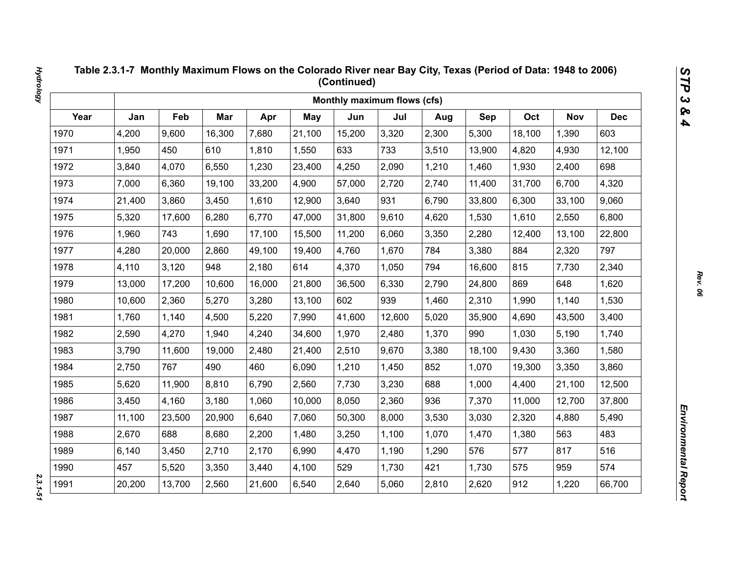|      |        |        |        |        |        | Monthly maximum flows (cfs) |        |       |        |        |            |            |
|------|--------|--------|--------|--------|--------|-----------------------------|--------|-------|--------|--------|------------|------------|
| Year | Jan    | Feb    | Mar    | Apr    | May    | Jun                         | Jul    | Aug   | Sep    | Oct    | <b>Nov</b> | <b>Dec</b> |
| 1970 | 4,200  | 9,600  | 16,300 | 7,680  | 21,100 | 15,200                      | 3,320  | 2,300 | 5,300  | 18,100 | 1,390      | 603        |
| 1971 | 1,950  | 450    | 610    | 1,810  | 1,550  | 633                         | 733    | 3,510 | 13,900 | 4,820  | 4,930      | 12,100     |
| 1972 | 3,840  | 4,070  | 6,550  | 1,230  | 23,400 | 4,250                       | 2,090  | 1,210 | 1,460  | 1,930  | 2,400      | 698        |
| 1973 | 7,000  | 6,360  | 19,100 | 33,200 | 4,900  | 57,000                      | 2,720  | 2,740 | 11,400 | 31,700 | 6,700      | 4,320      |
| 1974 | 21,400 | 3,860  | 3,450  | 1,610  | 12,900 | 3,640                       | 931    | 6,790 | 33,800 | 6,300  | 33,100     | 9,060      |
| 1975 | 5,320  | 17,600 | 6,280  | 6,770  | 47,000 | 31,800                      | 9,610  | 4,620 | 1,530  | 1,610  | 2,550      | 6,800      |
| 1976 | 1,960  | 743    | 1,690  | 17,100 | 15,500 | 11,200                      | 6,060  | 3,350 | 2,280  | 12,400 | 13,100     | 22,800     |
| 1977 | 4,280  | 20,000 | 2,860  | 49,100 | 19,400 | 4,760                       | 1,670  | 784   | 3,380  | 884    | 2,320      | 797        |
| 1978 | 4,110  | 3,120  | 948    | 2,180  | 614    | 4,370                       | 1,050  | 794   | 16,600 | 815    | 7,730      | 2,340      |
| 1979 | 13,000 | 17,200 | 10,600 | 16,000 | 21,800 | 36,500                      | 6,330  | 2,790 | 24,800 | 869    | 648        | 1,620      |
| 1980 | 10,600 | 2,360  | 5,270  | 3,280  | 13,100 | 602                         | 939    | 1,460 | 2,310  | 1,990  | 1,140      | 1,530      |
| 1981 | 1,760  | 1,140  | 4,500  | 5,220  | 7,990  | 41,600                      | 12,600 | 5,020 | 35,900 | 4,690  | 43,500     | 3,400      |
| 1982 | 2,590  | 4,270  | 1,940  | 4,240  | 34,600 | 1,970                       | 2,480  | 1,370 | 990    | 1,030  | 5,190      | 1,740      |
| 1983 | 3,790  | 11,600 | 19,000 | 2,480  | 21,400 | 2,510                       | 9,670  | 3,380 | 18,100 | 9,430  | 3,360      | 1,580      |
| 1984 | 2,750  | 767    | 490    | 460    | 6,090  | 1,210                       | 1,450  | 852   | 1,070  | 19,300 | 3,350      | 3,860      |
| 1985 | 5,620  | 11,900 | 8,810  | 6,790  | 2,560  | 7,730                       | 3,230  | 688   | 1,000  | 4,400  | 21,100     | 12,500     |
| 1986 | 3,450  | 4,160  | 3,180  | 1,060  | 10,000 | 8,050                       | 2,360  | 936   | 7,370  | 11,000 | 12,700     | 37,800     |
| 1987 | 11,100 | 23,500 | 20,900 | 6,640  | 7,060  | 50,300                      | 8,000  | 3,530 | 3,030  | 2,320  | 4,880      | 5,490      |
| 1988 | 2,670  | 688    | 8,680  | 2,200  | 1,480  | 3,250                       | 1,100  | 1,070 | 1,470  | 1,380  | 563        | 483        |
| 1989 | 6,140  | 3,450  | 2,710  | 2,170  | 6,990  | 4,470                       | 1,190  | 1,290 | 576    | 577    | 817        | 516        |
| 1990 | 457    | 5,520  | 3,350  | 3,440  | 4,100  | 529                         | 1,730  | 421   | 1,730  | 575    | 959        | 574        |
| 1991 | 20,200 | 13,700 | 2,560  | 21,600 | 6,540  | 2,640                       | 5,060  | 2,810 | 2,620  | 912    | 1,220      | 66,700     |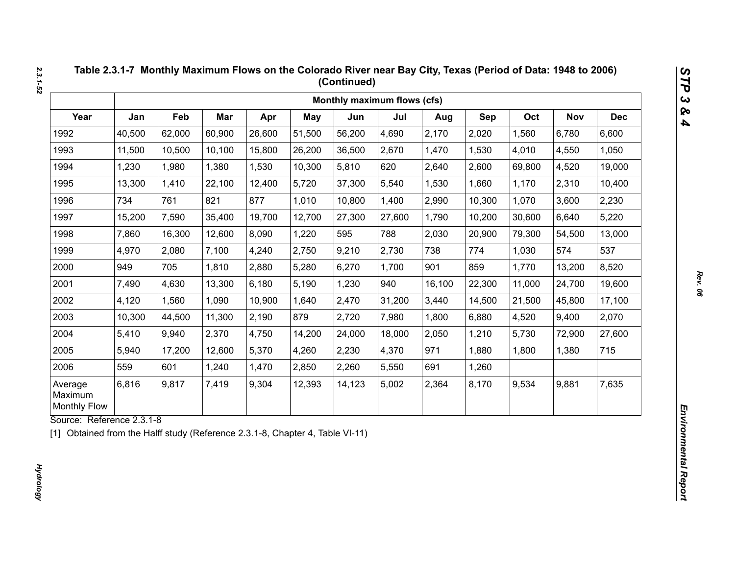|                                           |        |        |        |        |            | Monthly maximum flows (cfs) |        |        |        |        |            |            |
|-------------------------------------------|--------|--------|--------|--------|------------|-----------------------------|--------|--------|--------|--------|------------|------------|
| Year                                      | Jan    | Feb    | Mar    | Apr    | <b>May</b> | Jun                         | Jul    | Aug    | Sep    | Oct    | <b>Nov</b> | <b>Dec</b> |
| 1992                                      | 40,500 | 62,000 | 60,900 | 26,600 | 51,500     | 56,200                      | 4,690  | 2,170  | 2,020  | 1,560  | 6,780      | 6,600      |
| 1993                                      | 11,500 | 10,500 | 10,100 | 15,800 | 26,200     | 36,500                      | 2,670  | 1,470  | 1,530  | 4,010  | 4,550      | 1,050      |
| 1994                                      | 1,230  | 1,980  | 1,380  | 1,530  | 10,300     | 5,810                       | 620    | 2,640  | 2,600  | 69,800 | 4,520      | 19,000     |
| 1995                                      | 13,300 | 1,410  | 22,100 | 12,400 | 5,720      | 37,300                      | 5,540  | 1,530  | 1,660  | 1,170  | 2,310      | 10,400     |
| 1996                                      | 734    | 761    | 821    | 877    | 1,010      | 10,800                      | 1,400  | 2,990  | 10,300 | 1,070  | 3,600      | 2,230      |
| 1997                                      | 15,200 | 7,590  | 35,400 | 19,700 | 12,700     | 27,300                      | 27,600 | 1,790  | 10,200 | 30,600 | 6,640      | 5,220      |
| 1998                                      | 7,860  | 16,300 | 12,600 | 8,090  | 1,220      | 595                         | 788    | 2,030  | 20,900 | 79,300 | 54,500     | 13,000     |
| 1999                                      | 4,970  | 2,080  | 7,100  | 4,240  | 2,750      | 9,210                       | 2,730  | 738    | 774    | 1,030  | 574        | 537        |
| 2000                                      | 949    | 705    | 1,810  | 2,880  | 5,280      | 6,270                       | 1,700  | 901    | 859    | 1,770  | 13,200     | 8,520      |
| 2001                                      | 7,490  | 4,630  | 13,300 | 6,180  | 5,190      | 1,230                       | 940    | 16,100 | 22,300 | 11,000 | 24,700     | 19,600     |
| 2002                                      | 4,120  | 1,560  | 1,090  | 10,900 | 1,640      | 2,470                       | 31,200 | 3,440  | 14,500 | 21,500 | 45,800     | 17,100     |
| 2003                                      | 10,300 | 44,500 | 11,300 | 2,190  | 879        | 2,720                       | 7,980  | 1,800  | 6,880  | 4,520  | 9,400      | 2,070      |
| 2004                                      | 5,410  | 9,940  | 2,370  | 4,750  | 14,200     | 24,000                      | 18,000 | 2,050  | 1,210  | 5,730  | 72,900     | 27,600     |
| 2005                                      | 5,940  | 17,200 | 12,600 | 5,370  | 4,260      | 2,230                       | 4,370  | 971    | 1,880  | 1,800  | 1,380      | 715        |
| 2006                                      | 559    | 601    | 1,240  | 1,470  | 2,850      | 2,260                       | 5,550  | 691    | 1,260  |        |            |            |
| Average<br>Maximum<br><b>Monthly Flow</b> | 6,816  | 9,817  | 7,419  | 9,304  | 12,393     | 14,123                      | 5,002  | 2,364  | 8,170  | 9,534  | 9,881      | 7,635      |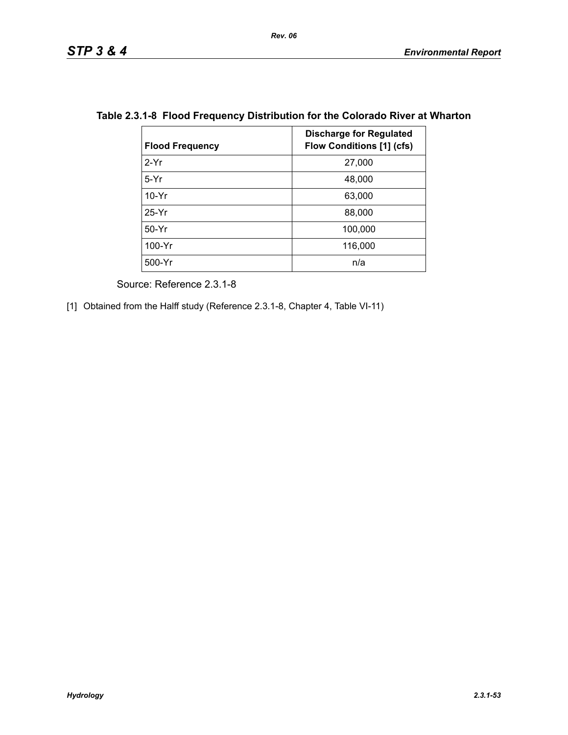| <b>Flood Frequency</b> | <b>Discharge for Regulated</b><br><b>Flow Conditions [1] (cfs)</b> |
|------------------------|--------------------------------------------------------------------|
| $2-Yr$                 | 27,000                                                             |
| $5-Yr$                 | 48,000                                                             |
| $10-Yr$                | 63,000                                                             |
| $25-Yr$                | 88,000                                                             |
| $50-Yr$                | 100,000                                                            |
| 100-Yr                 | 116,000                                                            |
| $500-Yr$               | n/a                                                                |

## **Table 2.3.1-8 Flood Frequency Distribution for the Colorado River at Wharton**

Source: Reference 2.3.1-8

[1] Obtained from the Halff study (Reference 2.3.1-8, Chapter 4, Table VI-11)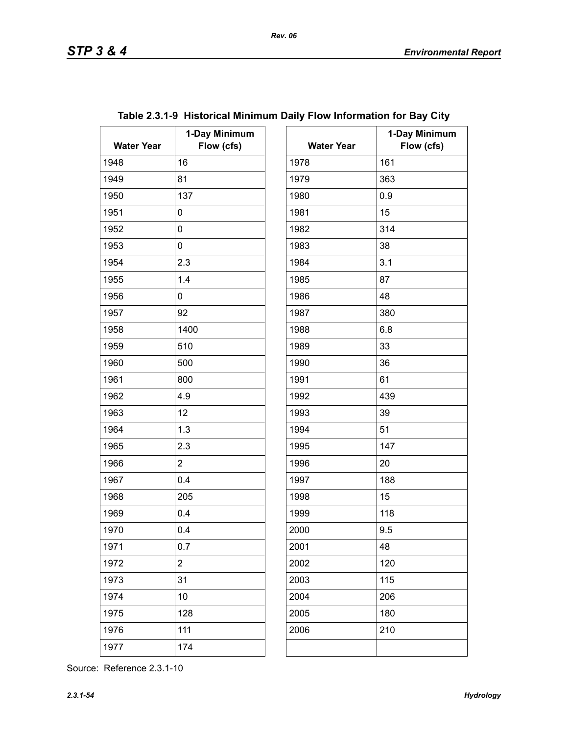| <b>Water Year</b> | 1-Day Minimum<br>Flow (cfs) | <b>Water Year</b> | $\mathbf 1$ |
|-------------------|-----------------------------|-------------------|-------------|
| 1948              | 16                          | 1978              | 161         |
| 1949              | 81                          | 1979              | 363         |
| 1950              | 137                         | 1980              | 0.9         |
| 1951              | 0                           | 1981              | 15          |
| 1952              | 0                           | 1982              | 314         |
| 1953              | 0                           | 1983              | 38          |
| 1954              | 2.3                         | 1984              | 3.1         |
| 1955              | 1.4                         | 1985              | 87          |
| 1956              | 0                           | 1986              | 48          |
| 1957              | 92                          | 1987              | 380         |
| 1958              | 1400                        | 1988              | 6.8         |
| 1959              | 510                         | 1989              | 33          |
| 1960              | 500                         | 1990              | 36          |
| 1961              | 800                         | 1991              | 61          |
| 1962              | 4.9                         | 1992              | 439         |
| 1963              | 12                          | 1993              | 39          |
| 1964              | 1.3                         | 1994              | 51          |
| 1965              | 2.3                         | 1995              | 147         |
| 1966              | $\overline{2}$              | 1996              | 20          |
| 1967              | 0.4                         | 1997              | 188         |
| 1968              | 205                         | 1998              | 15          |
| 1969              | 0.4                         | 1999              | 118         |
| 1970              | 0.4                         | 2000              | 9.5         |
| 1971              | 0.7                         | 2001              | 48          |
| 1972              | $\overline{c}$              | 2002              | 120         |
| 1973              | 31                          | 2003              | 115         |
| 1974              | 10                          | 2004              | 206         |
| 1975              | 128                         | 2005              | 180         |
| 1976              | 111                         | 2006              | 210         |
| 1977              | 174                         |                   |             |

# **Table 2.3.1-9 Historical Minimum Daily Flow Information for Bay City**

| ay Minimum |                   | 1-Day Minimum |
|------------|-------------------|---------------|
| Flow (cfs) | <b>Water Year</b> | Flow (cfs)    |
|            | 1978              | 161           |
|            | 1979              | 363           |
|            | 1980              | 0.9           |
|            | 1981              | 15            |
|            | 1982              | 314           |
|            | 1983              | 38            |
|            | 1984              | 3.1           |
|            | 1985              | 87            |
|            | 1986              | 48            |
|            | 1987              | 380           |
|            | 1988              | 6.8           |
|            | 1989              | 33            |
|            | 1990              | 36            |
|            | 1991              | 61            |
|            | 1992              | 439           |
|            | 1993              | 39            |
|            | 1994              | 51            |
|            | 1995              | 147           |
|            | 1996              | 20            |
|            | 1997              | 188           |
|            | 1998              | 15            |
|            | 1999              | 118           |
|            | 2000              | 9.5           |
|            | 2001              | 48            |
|            | 2002              | 120           |
|            | 2003              | 115           |
|            | 2004              | 206           |
|            | 2005              | 180           |
|            | 2006              | 210           |
|            |                   |               |
|            |                   |               |

Source: Reference 2.3.1-10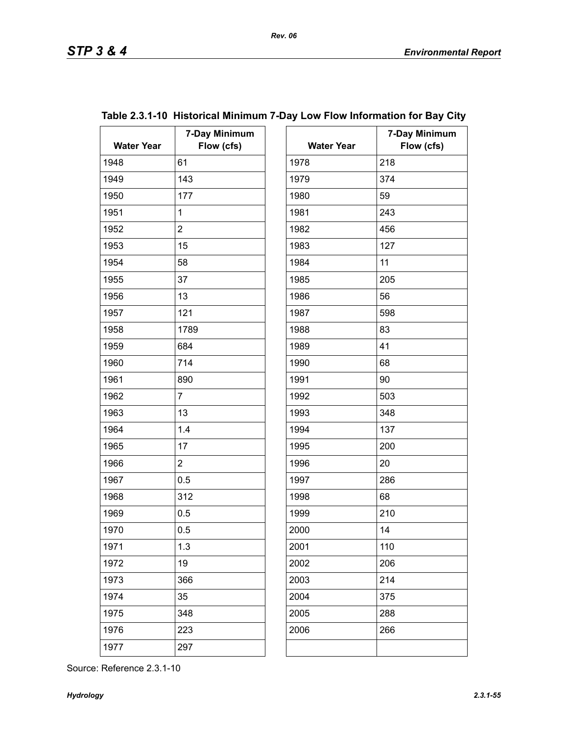| <b>Water Year</b> | 7-Day Minimum<br>Flow (cfs) | <b>Water Year</b> | $7-$ |
|-------------------|-----------------------------|-------------------|------|
| 1948              | 61                          | 1978              | 218  |
| 1949              | 143                         | 1979              | 374  |
| 1950              | 177                         | 1980              | 59   |
| 1951              | $\mathbf 1$                 | 1981              | 243  |
| 1952              | $\overline{2}$              | 1982              | 456  |
| 1953              | 15                          | 1983              | 127  |
| 1954              | 58                          | 1984              | 11   |
| 1955              | 37                          | 1985              | 205  |
| 1956              | 13                          | 1986              | 56   |
| 1957              | 121                         | 1987              | 598  |
| 1958              | 1789                        | 1988              | 83   |
| 1959              | 684                         | 1989              | 41   |
| 1960              | 714                         | 1990              | 68   |
| 1961              | 890                         | 1991              | 90   |
| 1962              | $\overline{7}$              | 1992              | 503  |
| 1963              | 13                          | 1993              | 348  |
| 1964              | 1.4                         | 1994              | 137  |
| 1965              | 17                          | 1995              | 200  |
| 1966              | $\overline{2}$              | 1996              | 20   |
| 1967              | 0.5                         | 1997              | 286  |
| 1968              | 312                         | 1998              | 68   |
| 1969              | 0.5                         | 1999              | 210  |
| 1970              | 0.5                         | 2000              | 14   |
| 1971              | 1.3                         | 2001              | 110  |
| 1972              | 19                          | 2002              | 206  |
| 1973              | 366                         | 2003              | 214  |
| 1974              | 35                          | 2004              | 375  |
| 1975              | 348                         | 2005              | 288  |
| 1976              | 223                         | 2006              | 266  |
| 1977              | 297                         |                   |      |
|                   |                             |                   |      |

|                   | Table 2.3.1-10 Historical Minimum 7-Day Low Flow Information for Bay City |                   |               |
|-------------------|---------------------------------------------------------------------------|-------------------|---------------|
|                   | 7-Day Minimum                                                             |                   | 7-Day Minimum |
| <b>Water Year</b> | Flow (cfs)                                                                | <b>Water Year</b> | Flow (cfs)    |

| <b>Water Year</b> | <i>ı</i> -vay wınınınun<br>Flow (cfs) |
|-------------------|---------------------------------------|
| 1978              | 218                                   |
| 1979              | 374                                   |
| 1980              | 59                                    |
| 1981              | 243                                   |
| 1982              | 456                                   |
| 1983              | 127                                   |
| 1984              | 11                                    |
| 1985              | 205                                   |
| 1986              | 56                                    |
| 1987              | 598                                   |
| 1988              | 83                                    |
| 1989              | 41                                    |
| 1990              | 68                                    |
| 1991              | 90                                    |
| 1992              | 503                                   |
| 1993              | 348                                   |
| 1994              | 137                                   |
| 1995              | 200                                   |
| 1996              | 20                                    |
| 1997              | 286                                   |
| 1998              | 68                                    |
| 1999              | 210                                   |
| 2000              | 14                                    |
| 2001              | 110                                   |
| 2002              | 206                                   |
| 2003              | 214                                   |
| 2004              | 375                                   |
| 2005              | 288                                   |
| 2006              | 266                                   |
|                   |                                       |

### Source: Reference 2.3.1-10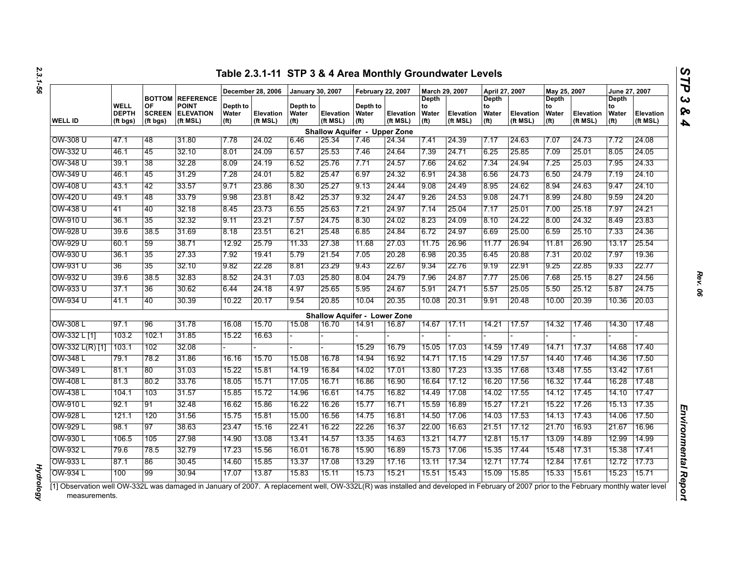|                   |                                  |                                 |                                                                         |                                        | December 28, 2006     | <b>January 30, 2007</b>                |                                     | <b>February 22, 2007</b>               |                       | March 29, 2007                            |                              | April 27, 2007                                   |                              | May 25, 2007                                     |                       | June 27, 2007                             |                       |
|-------------------|----------------------------------|---------------------------------|-------------------------------------------------------------------------|----------------------------------------|-----------------------|----------------------------------------|-------------------------------------|----------------------------------------|-----------------------|-------------------------------------------|------------------------------|--------------------------------------------------|------------------------------|--------------------------------------------------|-----------------------|-------------------------------------------|-----------------------|
| <b>WELL ID</b>    | WELL<br><b>DEPTH</b><br>(ft bgs) | OF<br><b>SCREEN</b><br>(ft bgs) | <b>BOTTOM REFERENCE</b><br><b>POINT</b><br><b>ELEVATION</b><br>(ft MSL) | Depth to<br>Water<br>(f <sup>t</sup> ) | Elevation<br>(ft MSL) | Depth to<br>Water<br>(f <sup>t</sup> ) | <b>Elevation</b><br>(ft MSL)        | Depth to<br>Water<br>(f <sup>t</sup> ) | Elevation<br>(ft MSL) | Depth<br>to<br>Water<br>(f <sup>t</sup> ) | <b>Elevation</b><br>(ft MSL) | <b>Depth</b><br>to<br>Water<br>(f <sup>t</sup> ) | <b>Elevation</b><br>(ft MSL) | <b>Depth</b><br>to<br>Water<br>(f <sup>t</sup> ) | Elevation<br>(ft MSL) | Depth<br>to<br>Water<br>(f <sup>t</sup> ) | Elevation<br>(ft MSL) |
|                   |                                  |                                 |                                                                         |                                        |                       |                                        | <b>Shallow Aquifer - Upper Zone</b> |                                        |                       |                                           |                              |                                                  |                              |                                                  |                       |                                           |                       |
| OW-308 U          | 47.1                             | 48                              | 31.80                                                                   | 7.78                                   | 24.02                 | 6.46                                   | 25.34                               | 7.46                                   | 24.34                 | 7.41                                      | 24.39                        | 7.17                                             | 24.63                        | 7.07                                             | 24.73                 | 7.72                                      | 24.08                 |
| OW-332 U          | 46.1                             | 45                              | 32.10                                                                   | 8.01                                   | 24.09                 | 6.57                                   | 25.53                               | 7.46                                   | 24.64                 | 7.39                                      | 24.71                        | 6.25                                             | 25.85                        | 7.09                                             | 25.01                 | 8.05                                      | 24.05                 |
| OW-348 U          | 39.1                             | 38                              | 32.28                                                                   | 8.09                                   | 24.19                 | 6.52                                   | 25.76                               | 7.71                                   | 24.57                 | 7.66                                      | 24.62                        | 7.34                                             | 24.94                        | 7.25                                             | 25.03                 | 7.95                                      | 24.33                 |
| OW-349 U          | 46.1                             | 45                              | 31.29                                                                   | 7.28                                   | 24.01                 | 5.82                                   | 25.47                               | 6.97                                   | 24.32                 | 6.91                                      | 24.38                        | 6.56                                             | 24.73                        | 6.50                                             | 24.79                 | 7.19                                      | 24.10                 |
| OW-408 U          | 43.1                             | 42                              | 33.57                                                                   | 9.71                                   | 23.86                 | 8.30                                   | 25.27                               | 9.13                                   | 24.44                 | 9.08                                      | 24.49                        | 8.95                                             | 24.62                        | 8.94                                             | 24.63                 | 9.47                                      | 24.10                 |
| OW-420 U          | 49.1                             | 48                              | 33.79                                                                   | 9.98                                   | 23.81                 | 8.42                                   | 25.37                               | 9.32                                   | 24.47                 | 9.26                                      | 24.53                        | 9.08                                             | 24.71                        | 8.99                                             | 24.80                 | 9.59                                      | 24.20                 |
| OW-438 U          | 41                               | 40                              | 32.18                                                                   | 8.45                                   | 23.73                 | 6.55                                   | 25.63                               | 7.21                                   | 24.97                 | 7.14                                      | 25.04                        | 7.17                                             | 25.01                        | 7.00                                             | 25.18                 | 7.97                                      | 24.21                 |
| OW-910 U          | 36.1                             | 35                              | 32.32                                                                   | 9.11                                   | 23.21                 | 7.57                                   | 24.75                               | 8.30                                   | 24.02                 | 8.23                                      | 24.09                        | 8.10                                             | 24.22                        | 8.00                                             | 24.32                 | 8.49                                      | 23.83                 |
| OW-928 U          | 39.6                             | 38.5                            | 31.69                                                                   | 8.18                                   | 23.51                 | 6.21                                   | 25.48                               | 6.85                                   | 24.84                 | 6.72                                      | 24.97                        | 6.69                                             | 25.00                        | 6.59                                             | 25.10                 | 7.33                                      | 24.36                 |
| OW-929 U          | 60.1                             | 59                              | 38.71                                                                   | 12.92                                  | 25.79                 | 11.33                                  | 27.38                               | 11.68                                  | 27.03                 | 11.75                                     | 26.96                        | 11.77                                            | 26.94                        | 11.81                                            | 26.90                 | 13.17                                     | 25.54                 |
| OW-930 U          | 36.1                             | 35                              | 27.33                                                                   | 7.92                                   | 19.41                 | 5.79                                   | 21.54                               | 7.05                                   | 20.28                 | 6.98                                      | 20.35                        | 6.45                                             | 20.88                        | 7.31                                             | 20.02                 | 7.97                                      | 19.36                 |
| OW-931 U          | 36                               | 35                              | 32.10                                                                   | 9.82                                   | 22.28                 | 8.81                                   | 23.29                               | 9.43                                   | 22.67                 | 9.34                                      | 22.76                        | 9.19                                             | 22.91                        | 9.25                                             | 22.85                 | 9.33                                      | 22.77                 |
| OW-932 U          | 39.6                             | 38.5                            | 32.83                                                                   | 8.52                                   | 24.31                 | 7.03                                   | 25.80                               | 8.04                                   | 24.79                 | 7.96                                      | 24.87                        | 7.77                                             | 25.06                        | 7.68                                             | 25.15                 | 8.27                                      | 24.56                 |
| OW-933 U          | 37.1                             | 36                              | 30.62                                                                   | 6.44                                   | 24.18                 | 4.97                                   | 25.65                               | 5.95                                   | 24.67                 | 5.91                                      | 24.71                        | 5.57                                             | 25.05                        | 5.50                                             | 25.12                 | 5.87                                      | 24.75                 |
| OW-934 U          | 41.1                             | 40                              | 30.39                                                                   | 10.22                                  | 20.17                 | 9.54                                   | 20.85                               | 10.04                                  | 20.35                 | 10.08                                     | 20.31                        | 9.91                                             | 20.48                        | 10.00                                            | 20.39                 | 10.36                                     | 20.03                 |
|                   |                                  |                                 |                                                                         |                                        |                       |                                        | <b>Shallow Aquifer - Lower Zone</b> |                                        |                       |                                           |                              |                                                  |                              |                                                  |                       |                                           |                       |
| OW-308 L          | 97.1                             | 96                              | 31.78                                                                   | 16.08                                  | 15.70                 | 15.08                                  | 16.70                               | 14.91                                  | 16.87                 | 14.67                                     | 17.11                        | 14.21                                            | 17.57                        | 14.32                                            | 17.46                 | 14.30                                     | 17.48                 |
| OW-332 L [1]      | 103.2                            | 102.1                           | 31.85                                                                   | 15.22                                  | 16.63                 |                                        |                                     |                                        |                       |                                           |                              |                                                  |                              |                                                  |                       |                                           |                       |
| $OW-332 L(R)$ [1] | 103.1                            | 102                             | 32.08                                                                   |                                        |                       |                                        |                                     | 15.29                                  | 16.79                 | 15.05                                     | 17.03                        | 14.59                                            | 17.49                        | 14.71                                            | 17.37                 | 14.68                                     | 17.40                 |
| OW-348 L          | 79.1                             | 78.2                            | 31.86                                                                   | 16.16                                  | 15.70                 | 15.08                                  | 16.78                               | 14.94                                  | 16.92                 | 14.71                                     | 17.15                        | 14.29                                            | 17.57                        | 14.40                                            | 17.46                 | 14.36                                     | 17.50                 |
| OW-349 L          | 81.1                             | 80                              | 31.03                                                                   | 15.22                                  | 15.81                 | 14.19                                  | 16.84                               | 14.02                                  | 17.01                 | 13.80                                     | 17.23                        | 13.35                                            | 17.68                        | 13.48                                            | 17.55                 | 13.42                                     | 17.61                 |
| <b>OW-408L</b>    | 81.3                             | 80.2                            | 33.76                                                                   | 18.05                                  | 15.71                 | 17.05                                  | 16.71                               | 16.86                                  | 16.90                 | 16.64                                     | 17.12                        | 16.20                                            | 17.56                        | 16.32                                            | 17.44                 | 16.28                                     | 17.48                 |
| OW-438 L          | 104.1                            | 103                             | 31.57                                                                   | 15.85                                  | 15.72                 | 14.96                                  | 16.61                               | 14.75                                  | 16.82                 | 14.49                                     | 17.08                        | 14.02                                            | 17.55                        | 14.12                                            | 17.45                 | 14.10                                     | 17.47                 |
| OW-910 L          | 92.1                             | 91                              | 32.48                                                                   | 16.62                                  | 15.86                 | 16.22                                  | 16.26                               | 15.77                                  | 16.71                 | 15.59                                     | 16.89                        | 15.27                                            | 17.21                        | 15.22                                            | 17.26                 | 15.13                                     | 17.35                 |
| OW-928 L          | 121.1                            | 120                             | 31.56                                                                   | 15.75                                  | 15.81                 | 15.00                                  | 16.56                               | 14.75                                  | 16.81                 | 14.50                                     | 17.06                        | 14.03                                            | 17.53                        | 14.13                                            | 17.43                 | 14.06                                     | 17.50                 |
| OW-929 L          | 98.1                             | 97                              | 38.63                                                                   | 23.47                                  | 15.16                 | 22.41                                  | 16.22                               | 22.26                                  | 16.37                 | 22.00                                     | 16.63                        | 21.51                                            | 17.12                        | 21.70                                            | 16.93                 | 21.67                                     | 16.96                 |
| OW-930 L          | 106.5                            | 105                             | 27.98                                                                   | 14.90                                  | 13.08                 | 13.41                                  | 14.57                               | 13.35                                  | 14.63                 | 13.21                                     | 14.77                        | 12.81                                            | 15.17                        | 13.09                                            | 14.89                 | 12.99                                     | 14.99                 |
| OW-932 L          | 79.6                             | 785                             | 32.79                                                                   | 17.23                                  | 15.56                 | 16.01                                  | 16.78                               | 15.90                                  | 16.89                 | 15.73                                     | 17.06                        | 15.35                                            | 17.44                        | 15.48                                            | 17.31                 | 15.38                                     | 17.41                 |
| OW-933 L          | 87.1                             | 86                              | 30.45                                                                   | 14.60                                  | 15.85                 | 13.37                                  | 17.08                               | 13.29                                  | 17.16                 | 13.11                                     | 17.34                        | 12.71                                            | 17.74                        | 12.84                                            | 17.61                 | 12.72                                     | 17.73                 |
| OW-934 L          | 100                              | 99                              | 30.94                                                                   | 17.07                                  | 13.87                 | 15.83                                  | 15.11                               | 15.73                                  | 15.21                 | 15.51                                     | 15.43                        | 15.09                                            | 15.85                        | 15.33                                            | 15.61                 | 15.23                                     | 15.71                 |

*Hydrology* 

**Hydrology** 

*Rev. 06*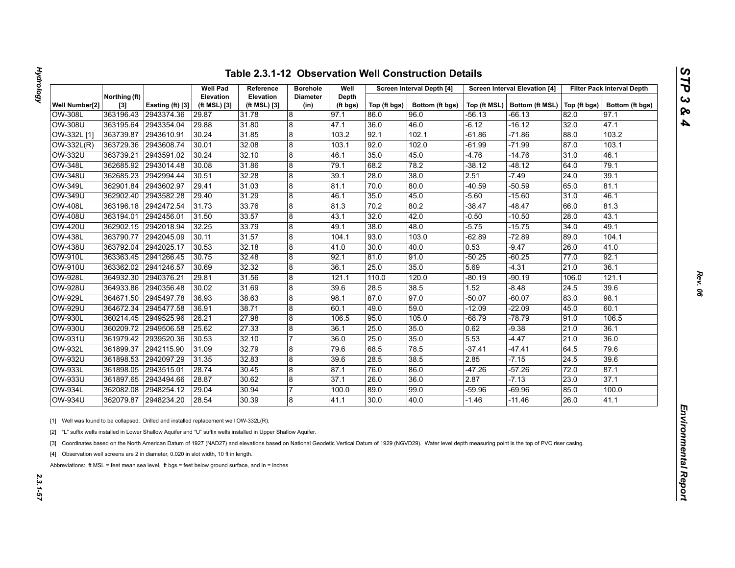| נ       |
|---------|
|         |
| 7<br>P  |
|         |
| د<br>c, |
| భం      |
| A       |

|                |                        |                  | <b>Well Pad</b>                  | Reference                 | <b>Borehole</b>         | Well              |              | Screen Interval Depth [4] |          | <b>Screen Interval Elevation [4]</b>          |       | <b>Filter Pack Interval Depth</b> |
|----------------|------------------------|------------------|----------------------------------|---------------------------|-------------------------|-------------------|--------------|---------------------------|----------|-----------------------------------------------|-------|-----------------------------------|
| Well Number[2] | Northing (ft)<br>$[3]$ | Easting (ft) [3] | <b>Elevation</b><br>(ft MSL) [3] | Elevation<br>(ft MSL) [3] | <b>Diameter</b><br>(in) | Depth<br>(ft bgs) | Top (ft bgs) | Bottom (ft bgs)           |          | Top (ft MSL)   Bottom (ft MSL)   Top (ft bgs) |       | Bottom (ft bgs)                   |
| <b>OW-308L</b> | 363196.43              | 2943374.36       | 29.87                            | 31.78                     | 8                       | 97.1              | 86.0         | 96.0                      | -56.13   | -66.13                                        | 82.0  | 97.1                              |
| <b>OW-308U</b> | 363195.64              | 2943354.04       | 29.88                            | 31.80                     | $\overline{8}$          | 47.1              | 36.0         | 46.0                      | $-6.12$  | -16.12                                        | 32.0  | 47.1                              |
| OW-332L [1]    | 363739.87              | 2943610.91       | 30.24                            | 31.85                     | 8                       | 103.2             | 92.1         | 102.1                     | $-61.86$ | $-71.86$                                      | 88.0  | 103.2                             |
| OW-332L(R)     | 363729.36              | 2943608.74       | 30.01                            | 32.08                     | 8                       | 103.1             | 92.0         | 102.0                     | $-61.99$ | $-71.99$                                      | 87.0  | 103.1                             |
| <b>OW-332U</b> | 363739.21              | 2943591.02       | 30.24                            | 32.10                     | $\overline{8}$          | 46.1              | 35.0         | 45.0                      | -4.76    | $-14.76$                                      | 31.0  | 46.1                              |
| <b>OW-348L</b> | 362685.92              | 2943014.48       | 30.08                            | 31.86                     | 8                       | 79.1              | 68.2         | 78.2                      | $-38.12$ | $-48.12$                                      | 64.0  | 79.1                              |
| <b>OW-348U</b> | 362685.23              | 2942994.44       | 30.51                            | 32.28                     | 8                       | 39.1              | 28.0         | 38.0                      | 2.51     | $-7.49$                                       | 24.0  | 39.1                              |
| <b>OW-349L</b> | 362901.84              | 2943602.97       | 29.41                            | 31.03                     | 8                       | 81.1              | 70.0         | 80.0                      | $-40.59$ | $-50.59$                                      | 65.0  | 81.1                              |
| OW-349U        | 362902.40              | 2943582.28       | 29.40                            | 31.29                     | 8                       | 46.1              | 35.0         | 45.0                      | $-5.60$  | $-15.60$                                      | 31.0  | 46.1                              |
| <b>OW-408L</b> | 363196.18              | 2942472.54       | 31.73                            | 33.76                     | 8                       | 81.3              | 70.2         | 80.2                      | $-38.47$ | $-48.47$                                      | 66.0  | 81.3                              |
| <b>OW-408U</b> | 363194.01              | 2942456.01       | 31.50                            | 33.57                     | $\overline{8}$          | 43.1              | 32.0         | 42.0                      | -0.50    | $-10.50$                                      | 28.0  | 43.1                              |
| <b>OW-420U</b> | 362902.15              | 2942018.94       | 32.25                            | 33.79                     | 8                       | 49.1              | 38.0         | 48.0                      | $-5.75$  | $-15.75$                                      | 34.0  | 49.1                              |
| <b>OW-438L</b> | 363790.77              | 2942045.09       | 30.11                            | 31.57                     | 8                       | 104.1             | 93.0         | 103.0                     | $-62.89$ | $-72.89$                                      | 89.0  | 104.1                             |
| <b>OW-438U</b> | 363792.04              | 2942025.17       | 30.53                            | 32.18                     | $\overline{8}$          | 41.0              | 30.0         | 40.0                      | 0.53     | $-9.47$                                       | 26.0  | 41.0                              |
| <b>OW-910L</b> | 363363.45              | 2941266.45       | 30.75                            | 32.48                     | 8                       | 92.1              | 81.0         | 91.0                      | $-50.25$ | $-60.25$                                      | 77.0  | 92.1                              |
| OW-910U        | 363362.02              | 2941246.57       | 30.69                            | 32.32                     | 8                       | 36.1              | 25.0         | 35.0                      | 5.69     | $-4.31$                                       | 21.0  | 36.1                              |
| <b>OW-928L</b> | 364932.30              | 2940376.21       | 29.81                            | 31.56                     | 8                       | 121.1             | 110.0        | 120.0                     | $-80.19$ | $-90.19$                                      | 106.0 | 121.1                             |
| <b>OW-928U</b> | 364933.86              | 2940356.48       | 30.02                            | 31.69                     | 8                       | 39.6              | 28.5         | 38.5                      | 1.52     | $-8.48$                                       | 24.5  | 39.6                              |
| <b>OW-929L</b> | 364671.50              | 2945497.78       | 36.93                            | 38.63                     | 8                       | 98.1              | 87.0         | 97.0                      | $-50.07$ | $-60.07$                                      | 83.0  | 98.1                              |
| <b>OW-929U</b> | 364672.34              | 2945477.58       | 36.91                            | 38.71                     | 8                       | 60.1              | 49.0         | 59.0                      | -12.09   | $-22.09$                                      | 45.0  | 60.1                              |
| <b>OW-930L</b> | 360214.45              | 2949525.96       | 26.21                            | 27.98                     | 8                       | 106.5             | 95.0         | 105.0                     | -68.79   | $-78.79$                                      | 91.0  | 106.5                             |
| OW-930U        | 360209.72              | 2949506.58       | 25.62                            | 27.33                     | 8                       | 36.1              | 25.0         | 35.0                      | 0.62     | $-9.38$                                       | 21.0  | 36.1                              |
| <b>OW-931U</b> | 361979.42              | 2939520.36       | 30.53                            | 32.10                     | 7                       | 36.0              | 25.0         | 35.0                      | 5.53     | $-4.47$                                       | 21.0  | 36.0                              |
| <b>OW-932L</b> | 361899.37              | 2942115.90       | 31.09                            | 32.79                     | 8                       | 79.6              | 68.5         | 78.5                      | $-37.41$ | -47.41                                        | 64.5  | 79.6                              |
| <b>OW-932U</b> | 361898.53              | 2942097.29       | 31.35                            | 32.83                     | $\boldsymbol{8}$        | 39.6              | 28.5         | 38.5                      | 2.85     | $-7.15$                                       | 24.5  | 39.6                              |
| <b>OW-933L</b> | 361898.05              | 2943515.01       | 28.74                            | 30.45                     | 8                       | 87.1              | 76.0         | 86.0                      | $-47.26$ | $-57.26$                                      | 72.0  | 87.1                              |
| <b>OW-933U</b> | 361897.65              | 2943494.66       | 28.87                            | 30.62                     | 8                       | 37.1              | 26.0         | 36.0                      | 2.87     | $-7.13$                                       | 23.0  | 37.1                              |
| <b>OW-934L</b> | 362082.08              | 2948254.12       | 29.04                            | 30.94                     | 17                      | 100.0             | 89.0         | 99.0                      | -59.96   | $-69.96$                                      | 85.0  | 100.0                             |
|                | 362079.87              | 2948234.20       | 28.54                            | 30.39                     | 8                       | 41.1              | 30.0         | 40.0                      | -1.46    | $-11.46$                                      | 26.0  | 41.1                              |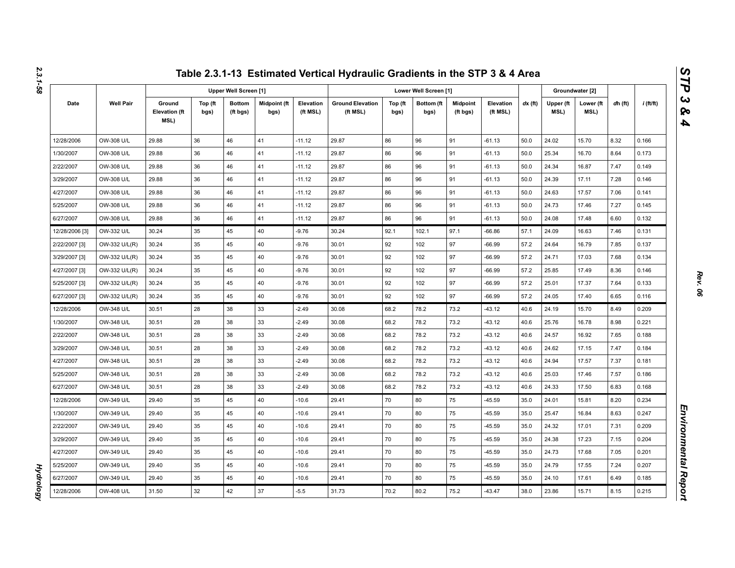|                |                  |                                        |                 |                              |                      |                       | Table 2.3.1-13 Estimated Vertical Hydraulic Gradients in the STP 3 & 4 Area |                 |                       |                             |                       |           |                   |                   |         |             |
|----------------|------------------|----------------------------------------|-----------------|------------------------------|----------------------|-----------------------|-----------------------------------------------------------------------------|-----------------|-----------------------|-----------------------------|-----------------------|-----------|-------------------|-------------------|---------|-------------|
|                |                  |                                        |                 | <b>Upper Well Screen [1]</b> |                      |                       |                                                                             |                 | Lower Well Screen [1] |                             |                       |           |                   | Groundwater [2]   |         |             |
| Date           | <b>Well Pair</b> | Ground<br><b>Elevation (ft</b><br>MSL) | Top (ft<br>bgs) | <b>Bottom</b><br>(ft bgs)    | Midpoint (ft<br>bgs) | Elevation<br>(ft MSL) | <b>Ground Elevation</b><br>(ft MSL)                                         | Top (ft<br>bgs) | Bottom (ft<br>bgs)    | <b>Midpoint</b><br>(ft bgs) | Elevation<br>(ft MSL) | $dx$ (ft) | Upper (ft<br>MSL) | Lower (ft<br>MSL) | dh (ft) | $i$ (ft/ft) |
| 12/28/2006     | OW-308 U/L       | 29.88                                  | 36              | 46                           | 41                   | $-11.12$              | 29.87                                                                       | 86              | 96                    | 91                          | $-61.13$              | 50.0      | 24.02             | 15.70             | 8.32    | 0.166       |
| 1/30/2007      | OW-308 U/L       | 29.88                                  | 36              | 46                           | 41                   | $-11.12$              | 29.87                                                                       | 86              | 96                    | 91                          | $-61.13$              | 50.0      | 25.34             | 16.70             | 8.64    | 0.173       |
| 2/22/2007      | OW-308 U/L       | 29.88                                  | 36              | 46                           | 41                   | $-11.12$              | 29.87                                                                       | 86              | 96                    | 91                          | $-61.13$              | 50.0      | 24.34             | 16.87             | 7.47    | 0.149       |
| 3/29/2007      | OW-308 U/L       | 29.88                                  | 36              | 46                           | 41                   | $-11.12$              | 29.87                                                                       | 86              | 96                    | 91                          | $-61.13$              | 50.0      | 24.39             | 17.11             | 7.28    | 0.146       |
| 4/27/2007      | OW-308 U/L       | 29.88                                  | 36              | 46                           | 41                   | $-11.12$              | 29.87                                                                       | 86              | 96                    | 91                          | $-61.13$              | 50.0      | 24.63             | 17.57             | 7.06    | 0.141       |
| 5/25/2007      | OW-308 U/L       | 29.88                                  | 36              | 46                           | 41                   | $-11.12$              | 29.87                                                                       | 86              | 96                    | 91                          | $-61.13$              | 50.0      | 24.73             | 17.46             | 7.27    | 0.145       |
| 6/27/2007      | OW-308 U/L       | 29.88                                  | 36              | 46                           | 41                   | $-11.12$              | 29.87                                                                       | 86              | 96                    | 91                          | $-61.13$              | 50.0      | 24.08             | 17.48             | 6.60    | 0.132       |
| 12/28/2006 [3] | OW-332 U/L       | 30.24                                  | 35              | 45                           | 40                   | $-9.76$               | 30.24                                                                       | 92.1            | 102.1                 | 97.1                        | $-66.86$              | 57.1      | 24.09             | 16.63             | 7.46    | 0.131       |
| 2/22/2007 [3]  | OW-332 U/L(R)    | 30.24                                  | 35              | 45                           | 40                   | $-9.76$               | 30.01                                                                       | 92              | 102                   | 97                          | $-66.99$              | 57.2      | 24.64             | 16.79             | 7.85    | 0.137       |
| 3/29/2007 [3]  | OW-332 U/L(R)    | 30.24                                  | 35              | 45                           | 40                   | $-9.76$               | 30.01                                                                       | 92              | 102                   | 97                          | $-66.99$              | 57.2      | 24.71             | 17.03             | 7.68    | 0.134       |
| 4/27/2007 [3]  | OW-332 U/L(R)    | 30.24                                  | 35              | 45                           | 40                   | $-9.76$               | 30.01                                                                       | 92              | 102                   | 97                          | $-66.99$              | 57.2      | 25.85             | 17.49             | 8.36    | 0.146       |
| 5/25/2007 [3]  | OW-332 U/L(R)    | 30.24                                  | 35              | 45                           | 40                   | $-9.76$               | 30.01                                                                       | 92              | 102                   | 97                          | $-66.99$              | 57.2      | 25.01             | 17.37             | 7.64    | 0.133       |
| 6/27/2007 [3]  | OW-332 U/L(R)    | 30.24                                  | 35              | 45                           | 40                   | $-9.76$               | 30.01                                                                       | 92              | 102                   | 97                          | $-66.99$              | 57.2      | 24.05             | 17.40             | 6.65    | 0.116       |
| 12/28/2006     | OW-348 U/L       | 30.51                                  | 28              | 38                           | 33                   | $-2.49$               | 30.08                                                                       | 68.2            | 78.2                  | 73.2                        | $-43.12$              | 40.6      | 24.19             | 15.70             | 8.49    | 0.209       |
| 1/30/2007      | OW-348 U/L       | 30.51                                  | 28              | 38                           | 33                   | $-2.49$               | 30.08                                                                       | 68.2            | 78.2                  | 73.2                        | $-43.12$              | 40.6      | 25.76             | 16.78             | 8.98    | 0.221       |
| 2/22/2007      | OW-348 U/L       | 30.51                                  | 28              | 38                           | 33                   | $-2.49$               | 30.08                                                                       | 68.2            | 78.2                  | 73.2                        | $-43.12$              | 40.6      | 24.57             | 16.92             | 7.65    | 0.188       |
| 3/29/2007      | OW-348 U/L       | 30.51                                  | 28              | 38                           | 33                   | $-2.49$               | 30.08                                                                       | 68.2            | 78.2                  | 73.2                        | $-43.12$              | 40.6      | 24.62             | 17.15             | 7.47    | 0.184       |
| 4/27/2007      | OW-348 U/L       | 30.51                                  | 28              | 38                           | 33                   | $-2.49$               | 30.08                                                                       | 68.2            | 78.2                  | 73.2                        | $-43.12$              | 40.6      | 24.94             | 17.57             | 7.37    | 0.181       |
| 5/25/2007      | OW-348 U/L       | 30.51                                  | 28              | 38                           | 33                   | $-2.49$               | 30.08                                                                       | 68.2            | 78.2                  | 73.2                        | $-43.12$              | 40.6      | 25.03             | 17.46             | 7.57    | 0.186       |
| 6/27/2007      | OW-348 U/L       | 30.51                                  | 28              | 38                           | 33                   | $-2.49$               | 30.08                                                                       | 68.2            | 78.2                  | 73.2                        | $-43.12$              | 40.6      | 24.33             | 17.50             | 6.83    | 0.168       |
| 12/28/2006     | OW-349 U/L       | 29.40                                  | 35              | 45                           | 40                   | $-10.6$               | 29.41                                                                       | 70              | 80                    | 75                          | $-45.59$              | 35.0      | 24.01             | 15.81             | 8.20    | 0.234       |
| 1/30/2007      | OW-349 U/L       | 29.40                                  | 35              | 45                           | 40                   | $-10.6$               | 29.41                                                                       | 70              | 80                    | 75                          | $-45.59$              | 35.0      | 25.47             | 16.84             | 8.63    | 0.247       |
| 2/22/2007      | OW-349 U/L       | 29.40                                  | 35              | 45                           | 40                   | $-10.6$               | 29.41                                                                       | 70              | 80                    | 75                          | -45.59                | 35.0      | 24.32             | 17.01             | 7.31    | 0.209       |
| 3/29/2007      | OW-349 U/L       | 29.40                                  | 35              | 45                           | 40                   | $-10.6$               | 29.41                                                                       | 70              | 80                    | 75                          | $-45.59$              | 35.0      | 24.38             | 17.23             | 7.15    | 0.204       |
| 4/27/2007      | OW-349 U/L       | 29.40                                  | 35              | 45                           | 40                   | $-10.6$               | 29.41                                                                       | 70              | 80                    | 75                          | $-45.59$              | 35.0      | 24.73             | 17.68             | 7.05    | 0.201       |
| 5/25/2007      | OW-349 U/L       | 29.40                                  | 35              | 45                           | 40                   | $-10.6$               | 29.41                                                                       | 70              | 80                    | 75                          | $-45.59$              | 35.0      | 24.79             | 17.55             | 7.24    | 0.207       |
| 6/27/2007      | OW-349 U/L       | 29.40                                  | 35              | 45                           | 40                   | $-10.6$               | 29.41                                                                       | 70              | 80                    | 75                          | $-45.59$              | 35.0      | 24.10             | 17.61             | 6.49    | 0.185       |
| 12/28/2006     | OW-408 U/L       | 31.50                                  | 32              | 42                           | 37                   | $-5.5$                | 31.73                                                                       | 70.2            | 80.2                  | 75.2                        | $-43.47$              | 38.0      | 23.86             | 15.71             | 8.15    | 0.215       |

*Rev. 06*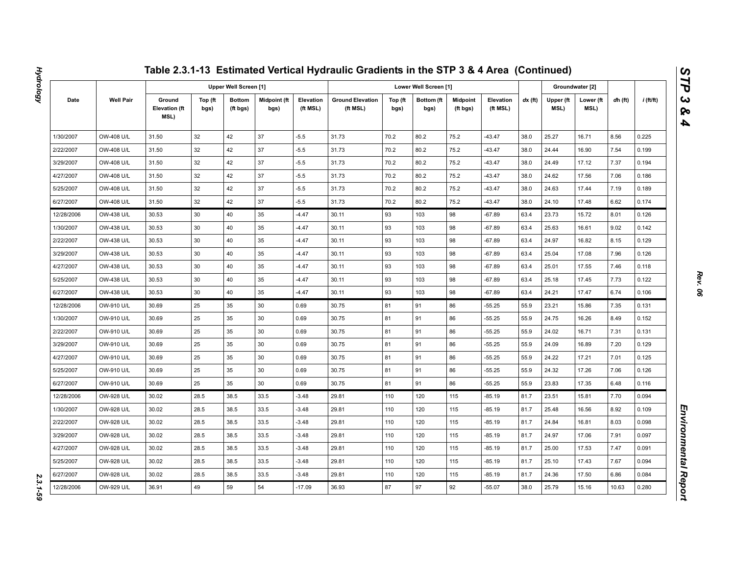|            |                  |                                        |                 |                              |                             |                       | Table 2.3.1-13 Estimated Vertical Hydraulic Gradients in the STP 3 & 4 Area (Continued) |                 |                       |                             |                       |           |                   |                   |         |                  |
|------------|------------------|----------------------------------------|-----------------|------------------------------|-----------------------------|-----------------------|-----------------------------------------------------------------------------------------|-----------------|-----------------------|-----------------------------|-----------------------|-----------|-------------------|-------------------|---------|------------------|
|            |                  |                                        |                 | <b>Upper Well Screen [1]</b> |                             |                       |                                                                                         |                 | Lower Well Screen [1] |                             |                       |           |                   | Groundwater [2]   |         |                  |
| Date       | <b>Well Pair</b> | Ground<br><b>Elevation (ft</b><br>MSL) | Top (ft<br>bgs) | <b>Bottom</b><br>(ft bgs)    | <b>Midpoint (ft</b><br>bgs) | Elevation<br>(ft MSL) | <b>Ground Elevation</b><br>(ft MSL)                                                     | Top (ft<br>bgs) | Bottom (ft<br>bgs)    | <b>Midpoint</b><br>(ft bgs) | Elevation<br>(ft MSL) | $dx$ (ft) | Upper (ft<br>MSL) | Lower (ft<br>MSL) | dh (ft) | <i>i</i> (ft/ft) |
| 1/30/2007  | OW-408 U/L       | 31.50                                  | 32              | 42                           | 37                          | $-5.5$                | 31.73                                                                                   | 70.2            | 80.2                  | 75.2                        | $-43.47$              | 38.0      | 25.27             | 16.71             | 8.56    | 0.225            |
| 2/22/2007  | OW-408 U/L       | 31.50                                  | 32              | 42                           | 37                          | $-5.5$                | 31.73                                                                                   | 70.2            | 80.2                  | 75.2                        | $-43.47$              | 38.0      | 24.44             | 16.90             | 7.54    | 0.199            |
| 3/29/2007  | OW-408 U/L       | 31.50                                  | 32              | 42                           | 37                          | $-5.5$                | 31.73                                                                                   | 70.2            | 80.2                  | 75.2                        | $-43.47$              | 38.0      | 24.49             | 17.12             | 7.37    | 0.194            |
| 4/27/2007  | OW-408 U/L       | 31.50                                  | 32              | 42                           | 37                          | $-5.5$                | 31.73                                                                                   | 70.2            | 80.2                  | 75.2                        | $-43.47$              | 38.0      | 24.62             | 17.56             | 7.06    | 0.186            |
| 5/25/2007  | OW-408 U/L       | 31.50                                  | 32              | 42                           | 37                          | $-5.5$                | 31.73                                                                                   | 70.2            | 80.2                  | 75.2                        | $-43.47$              | 38.0      | 24.63             | 17.44             | 7.19    | 0.189            |
| 6/27/2007  | OW-408 U/L       | 31.50                                  | 32              | 42                           | 37                          | $-5.5$                | 31.73                                                                                   | 70.2            | 80.2                  | 75.2                        | $-43.47$              | 38.0      | 24.10             | 17.48             | 6.62    | 0.174            |
| 12/28/2006 | OW-438 U/L       | 30.53                                  | 30              | 40                           | 35                          | $-4.47$               | 30.11                                                                                   | 93              | 103                   | 98                          | $-67.89$              | 63.4      | 23.73             | 15.72             | 8.01    | 0.126            |
| 1/30/2007  | OW-438 U/L       | 30.53                                  | 30              | 40                           | 35                          | $-4.47$               | 30.11                                                                                   | 93              | 103                   | 98                          | $-67.89$              | 63.4      | 25.63             | 16.61             | 9.02    | 0.142            |
| 2/22/2007  | OW-438 U/L       | 30.53                                  | 30              | 40                           | 35                          | $-4.47$               | 30.11                                                                                   | 93              | 103                   | 98                          | $-67.89$              | 63.4      | 24.97             | 16.82             | 8.15    | 0.129            |
| 3/29/2007  | OW-438 U/L       | 30.53                                  | 30              | 40                           | 35                          | $-4.47$               | 30.11                                                                                   | 93              | 103                   | 98                          | $-67.89$              | 63.4      | 25.04             | 17.08             | 7.96    | 0.126            |
| 4/27/2007  | OW-438 U/L       | 30.53                                  | 30              | 40                           | 35                          | $-4.47$               | 30.11                                                                                   | 93              | 103                   | 98                          | $-67.89$              | 63.4      | 25.01             | 17.55             | 7.46    | 0.118            |
| 5/25/2007  | OW-438 U/L       | 30.53                                  | 30              | 40                           | 35                          | $-4.47$               | 30.11                                                                                   | 93              | 103                   | 98                          | $-67.89$              | 63.4      | 25.18             | 17.45             | 7.73    | 0.122            |
| 6/27/2007  | OW-438 U/L       | 30.53                                  | 30              | 40                           | 35                          | $-4.47$               | 30.11                                                                                   | 93              | 103                   | 98                          | $-67.89$              | 63.4      | 24.21             | 17.47             | 6.74    | 0.106            |
| 12/28/2006 | OW-910 U/L       | 30.69                                  | 25              | 35                           | 30                          | 0.69                  | 30.75                                                                                   | 81              | 91                    | 86                          | $-55.25$              | 55.9      | 23.21             | 15.86             | 7.35    | 0.131            |
| 1/30/2007  | OW-910 U/L       | 30.69                                  | 25              | 35                           | 30                          | 0.69                  | 30.75                                                                                   | 81              | 91                    | 86                          | $-55.25$              | 55.9      | 24.75             | 16.26             | 8.49    | 0.152            |
| 2/22/2007  | OW-910 U/L       | 30.69                                  | 25              | 35                           | 30                          | 0.69                  | 30.75                                                                                   | 81              | 91                    | 86                          | $-55.25$              | 55.9      | 24.02             | 16.71             | 7.31    | 0.131            |
| 3/29/2007  | OW-910 U/L       | 30.69                                  | 25              | 35                           | 30                          | 0.69                  | 30.75                                                                                   | 81              | 91                    | 86                          | $-55.25$              | 55.9      | 24.09             | 16.89             | 7.20    | 0.129            |
| 4/27/2007  | OW-910 U/L       | 30.69                                  | 25              | 35                           | 30                          | 0.69                  | 30.75                                                                                   | 81              | 91                    | 86                          | $-55.25$              | 55.9      | 24.22             | 17.21             | 7.01    | 0.125            |
| 5/25/2007  | OW-910 U/L       | 30.69                                  | 25              | 35                           | 30                          | 0.69                  | 30.75                                                                                   | 81              | 91                    | 86                          | $-55.25$              | 55.9      | 24.32             | 17.26             | 7.06    | 0.126            |
| 6/27/2007  | OW-910 U/L       | 30.69                                  | 25              | 35                           | 30                          | 0.69                  | 30.75                                                                                   | 81              | 91                    | 86                          | $-55.25$              | 55.9      | 23.83             | 17.35             | 6.48    | 0.116            |
| 12/28/2006 | OW-928 U/L       | 30.02                                  | 28.5            | 38.5                         | 33.5                        | $-3.48$               | 29.81                                                                                   | 110             | 120                   | 115                         | $-85.19$              | 81.7      | 23.51             | 15.81             | 7.70    | 0.094            |
| 1/30/2007  | OW-928 U/L       | 30.02                                  | 28.5            | 38.5                         | 33.5                        | $-3.48$               | 29.81                                                                                   | 110             | 120                   | 115                         | -85.19                | 81.7      | 25.48             | 16.56             | 8.92    | 0.109            |
| 2/22/2007  | OW-928 U/L       | 30.02                                  | 28.5            | 38.5                         | 33.5                        | $-3.48$               | 29.81                                                                                   | 110             | 120                   | 115                         | $-85.19$              | 81.7      | 24.84             | 16.81             | 8.03    | 0.098            |
| 3/29/2007  | OW-928 U/L       | 30.02                                  | 28.5            | 38.5                         | 33.5                        | $-3.48$               | 29.81                                                                                   | 110             | 120                   | 115                         | -85.19                | 81.7      | 24.97             | 17.06             | 7.91    | 0.097            |
| 4/27/2007  | OW-928 U/L       | 30.02                                  | 28.5            | 38.5                         | 33.5                        | $-3.48$               | 29.81                                                                                   | 110             | 120                   | 115                         | $-85.19$              | 81.7      | 25.00             | 17.53             | 7.47    | 0.091            |
| 5/25/2007  | OW-928 U/L       | 30.02                                  | 28.5            | 38.5                         | 33.5                        | $-3.48$               | 29.81                                                                                   | 110             | 120                   | 115                         | -85.19                | 81.7      | 25.10             | 17.43             | 7.67    | 0.094            |
| 6/27/2007  | OW-928 U/L       | 30.02                                  | 28.5            | 38.5                         | 33.5                        | $-3.48$               | 29.81                                                                                   | 110             | 120                   | 115                         | $-85.19$              | 81.7      | 24.36             | 17.50             | 6.86    | 0.084            |
| 12/28/2006 | OW-929 U/L       | 36.91                                  | 49              | 59                           | 54                          | $-17.09$              | 36.93                                                                                   | 87              | 97                    | 92                          | $-55.07$              | 38.0      | 25.79             | 15.16             | 10.63   | 0.280            |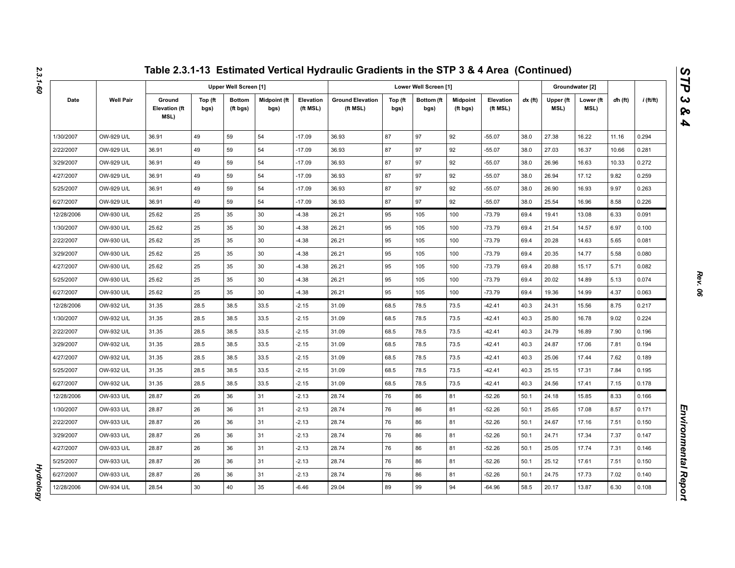|            |                  |                                        |                 |                           |                      |                       | Table 2.3.1-13 Estimated Vertical Hydraulic Gradients in the STP 3 & 4 Area (Continued) |                 |                       |                             |                       |           |                   |                   |         |             |
|------------|------------------|----------------------------------------|-----------------|---------------------------|----------------------|-----------------------|-----------------------------------------------------------------------------------------|-----------------|-----------------------|-----------------------------|-----------------------|-----------|-------------------|-------------------|---------|-------------|
|            |                  |                                        |                 | Upper Well Screen [1]     |                      |                       |                                                                                         |                 | Lower Well Screen [1] |                             |                       |           |                   | Groundwater [2]   |         |             |
| Date       | <b>Well Pair</b> | Ground<br><b>Elevation (ft</b><br>MSL) | Top (ft<br>bgs) | <b>Bottom</b><br>(ft bgs) | Midpoint (ft<br>bgs) | Elevation<br>(ft MSL) | <b>Ground Elevation</b><br>(ft MSL)                                                     | Top (ft<br>bgs) | Bottom (ft<br>bgs)    | <b>Midpoint</b><br>(ft bgs) | Elevation<br>(ft MSL) | $dx$ (ft) | Upper (ft<br>MSL) | Lower (ft<br>MSL) | dh (ft) | $i$ (ft/ft) |
| 1/30/2007  | OW-929 U/L       | 36.91                                  | 49              | 59                        | 54                   | $-17.09$              | 36.93                                                                                   | 87              | 97                    | 92                          | $-55.07$              | 38.0      | 27.38             | 16.22             | 11.16   | 0.294       |
| 2/22/2007  | OW-929 U/L       | 36.91                                  | 49              | 59                        | 54                   | $-17.09$              | 36.93                                                                                   | 87              | 97                    | 92                          | $-55.07$              | 38.0      | 27.03             | 16.37             | 10.66   | 0.281       |
| 3/29/2007  | OW-929 U/L       | 36.91                                  | 49              | 59                        | 54                   | $-17.09$              | 36.93                                                                                   | 87              | 97                    | 92                          | $-55.07$              | 38.0      | 26.96             | 16.63             | 10.33   | 0.272       |
| 4/27/2007  | OW-929 U/L       | 36.91                                  | 49              | 59                        | 54                   | $-17.09$              | 36.93                                                                                   | 87              | 97                    | 92                          | $-55.07$              | 38.0      | 26.94             | 17.12             | 9.82    | 0.259       |
| 5/25/2007  | OW-929 U/L       | 36.91                                  | 49              | 59                        | 54                   | $-17.09$              | 36.93                                                                                   | 87              | 97                    | 92                          | $-55.07$              | 38.0      | 26.90             | 16.93             | 9.97    | 0.263       |
| 6/27/2007  | OW-929 U/L       | 36.91                                  | 49              | 59                        | 54                   | $-17.09$              | 36.93                                                                                   | 87              | 97                    | 92                          | $-55.07$              | 38.0      | 25.54             | 16.96             | 8.58    | 0.226       |
| 12/28/2006 | OW-930 U/L       | 25.62                                  | 25              | 35                        | 30                   | $-4.38$               | 26.21                                                                                   | 95              | 105                   | 100                         | $-73.79$              | 69.4      | 19.41             | 13.08             | 6.33    | 0.091       |
| 1/30/2007  | OW-930 U/L       | 25.62                                  | 25              | 35                        | 30                   | $-4.38$               | 26.21                                                                                   | 95              | 105                   | 100                         | $-73.79$              | 69.4      | 21.54             | 14.57             | 6.97    | 0.100       |
| 2/22/2007  | OW-930 U/L       | 25.62                                  | 25              | 35                        | 30                   | $-4.38$               | 26.21                                                                                   | 95              | 105                   | 100                         | $-73.79$              | 69.4      | 20.28             | 14.63             | 5.65    | 0.081       |
| 3/29/2007  | OW-930 U/L       | 25.62                                  | 25              | 35                        | 30                   | $-4.38$               | 26.21                                                                                   | 95              | 105                   | 100                         | $-73.79$              | 69.4      | 20.35             | 14.77             | 5.58    | 0.080       |
| 4/27/2007  | OW-930 U/L       | 25.62                                  | 25              | 35                        | 30                   | $-4.38$               | 26.21                                                                                   | 95              | 105                   | 100                         | $-73.79$              | 69.4      | 20.88             | 15.17             | 5.71    | 0.082       |
| 5/25/2007  | OW-930 U/L       | 25.62                                  | 25              | 35                        | 30                   | $-4.38$               | 26.21                                                                                   | 95              | 105                   | 100                         | $-73.79$              | 69.4      | 20.02             | 14.89             | 5.13    | 0.074       |
| 6/27/2007  | OW-930 U/L       | 25.62                                  | 25              | 35                        | 30                   | $-4.38$               | 26.21                                                                                   | 95              | 105                   | 100                         | $-73.79$              | 69.4      | 19.36             | 14.99             | 4.37    | 0.063       |
| 12/28/2006 | OW-932 U/L       | 31.35                                  | 28.5            | 38.5                      | 33.5                 | $-2.15$               | 31.09                                                                                   | 68.5            | 78.5                  | 73.5                        | $-42.41$              | 40.3      | 24.31             | 15.56             | 8.75    | 0.217       |
| 1/30/2007  | OW-932 U/L       | 31.35                                  | 28.5            | 38.5                      | 33.5                 | $-2.15$               | 31.09                                                                                   | 68.5            | 78.5                  | 73.5                        | $-42.41$              | 40.3      | 25.80             | 16.78             | 9.02    | 0.224       |
| 2/22/2007  | OW-932 U/L       | 31.35                                  | 28.5            | 38.5                      | 33.5                 | $-2.15$               | 31.09                                                                                   | 68.5            | 78.5                  | 73.5                        | $-42.41$              | 40.3      | 24.79             | 16.89             | 7.90    | 0.196       |
| 3/29/2007  | OW-932 U/L       | 31.35                                  | 28.5            | 38.5                      | 33.5                 | $-2.15$               | 31.09                                                                                   | 68.5            | 78.5                  | 73.5                        | $-42.41$              | 40.3      | 24.87             | 17.06             | 7.81    | 0.194       |
| 4/27/2007  | OW-932 U/L       | 31.35                                  | 28.5            | 38.5                      | 33.5                 | $-2.15$               | 31.09                                                                                   | 68.5            | 78.5                  | 73.5                        | $-42.41$              | 40.3      | 25.06             | 17.44             | 7.62    | 0.189       |
| 5/25/2007  | OW-932 U/L       | 31.35                                  | 28.5            | 38.5                      | 33.5                 | $-2.15$               | 31.09                                                                                   | 68.5            | 78.5                  | 73.5                        | $-42.41$              | 40.3      | 25.15             | 17.31             | 7.84    | 0.195       |
| 6/27/2007  | OW-932 U/L       | 31.35                                  | 28.5            | 38.5                      | 33.5                 | $-2.15$               | 31.09                                                                                   | 68.5            | 78.5                  | 73.5                        | $-42.41$              | 40.3      | 24.56             | 17.41             | 7.15    | 0.178       |
| 12/28/2006 | OW-933 U/L       | 28.87                                  | 26              | 36                        | 31                   | $-2.13$               | 28.74                                                                                   | 76              | 86                    | 81                          | $-52.26$              | 50.1      | 24.18             | 15.85             | 8.33    | 0.166       |
| 1/30/2007  | OW-933 U/L       | 28.87                                  | 26              | 36                        | 31                   | $-2.13$               | 28.74                                                                                   | 76              | 86                    | 81                          | $-52.26$              | 50.1      | 25.65             | 17.08             | 8.57    | 0.171       |
| 2/22/2007  | OW-933 U/L       | 28.87                                  | 26              | 36                        | 31                   | $-2.13$               | 28.74                                                                                   | 76              | 86                    | 81                          | $-52.26$              | 50.1      | 24.67             | 17.16             | 7.51    | 0.150       |
| 3/29/2007  | OW-933 U/L       | 28.87                                  | 26              | 36                        | 31                   | $-2.13$               | 28.74                                                                                   | 76              | 86                    | 81                          | -52.26                | 50.1      | 24.71             | 17.34             | 7.37    | 0.147       |
| 4/27/2007  | OW-933 U/L       | 28.87                                  | 26              | 36                        | 31                   | $-2.13$               | 28.74                                                                                   | 76              | 86                    | 81                          | $-52.26$              | 50.1      | 25.05             | 17.74             | 7.31    | 0.146       |
| 5/25/2007  | OW-933 U/L       | 28.87                                  | 26              | 36                        | 31                   | $-2.13$               | 28.74                                                                                   | 76              | 86                    | 81                          | -52.26                | 50.1      | 25.12             | 17.61             | 7.51    | 0.150       |
| 6/27/2007  | OW-933 U/L       | 28.87                                  | 26              | 36                        | 31                   | $-2.13$               | 28.74                                                                                   | 76              | 86                    | 81                          | $-52.26$              | 50.1      | 24.75             | 17.73             | 7.02    | 0.140       |
| 12/28/2006 | OW-934 U/L       | 28.54                                  | 30              | 40                        | 35                   | $-6.46$               | 29.04                                                                                   | 89              | 99                    | 94                          | $-64.96$              | 58.5      | 20.17             | 13.87             | 6.30    | 0.108       |

*Hydrology* 

**Hydrology**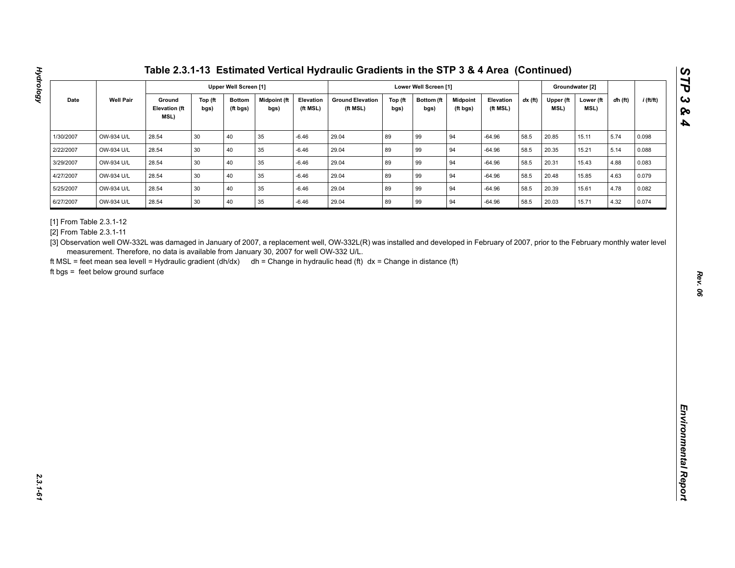| <b>Well Pair</b><br>Ground<br><b>Midpoint (ft</b><br><b>Ground Elevation</b><br>$dx$ (ft)<br>$i$ (ft/ft)<br>Date<br>Top (ft<br><b>Bottom</b><br>Elevation<br>Top (ft<br>Bottom (ft<br><b>Midpoint</b><br>Elevation<br>Upper (ft<br>Lower (ft<br>dh (ft)<br><b>Elevation (ft</b><br>MSL)<br>(ft MSL)<br>(ft MSL)<br>(ft MSL)<br>MSL)<br>bgs)<br>(ft bgs)<br>bgs)<br>bgs)<br>bgs)<br>(ft bgs)<br>MSL)<br>40<br>89<br>OW-934 U/L<br>28.54<br>30<br>35<br>$-6.46$<br>29.04<br>99<br>94<br>$-64.96$<br>58.5<br>20.85<br>5.74<br>15.11<br>0.098<br>89<br>28.54<br>30<br>40<br>35<br>29.04<br>99<br>94<br>58.5<br>5.14<br>OW-934 U/L<br>$-6.46$<br>$-64.96$<br>20.35<br>15.21<br>0.088<br>40<br>89<br>94<br>OW-934 U/L<br>28.54<br>30<br>35<br>$-6.46$<br>29.04<br>99<br>58.5<br>20.31<br>15.43<br>4.88<br>0.083<br>$-64.96$<br>30<br>40<br>35<br>89<br>99<br>OW-934 U/L<br>28.54<br>$-6.46$<br>29.04<br>94<br>$-64.96$<br>58.5<br>20.48<br>15.85<br>4.63<br>0.079<br>30<br>40<br>89<br>94<br>28.54<br>35<br>29.04<br>99<br>58.5<br>4.78<br>OW-934 U/L<br>$-6.46$<br>$-64.96$<br>20.39<br>15.61<br>0.082<br>89<br>28.54<br>30<br>40<br>$35\,$<br>29.04<br>99<br>94<br>20.03<br>4.32<br>OW-934 U/L<br>$-6.46$<br>$-64.96$<br>58.5<br>15.71<br>0.074<br>[3] Observation well OW-332L was damaged in January of 2007, a replacement well, OW-332L(R) was installed and developed in February of 2007, prior to the February monthly water level<br>measurement. Therefore, no data is available from January 30, 2007 for well OW-332 U/L. | 1/30/2007<br>2/22/2007<br>3/29/2007<br>4/27/2007<br>5/25/2007<br>6/27/2007<br>[1] From Table 2.3.1-12<br>[2] From Table 2.3.1-11<br>ft MSL = feet mean sea levell = Hydraulic gradient (dh/dx) dh = Change in hydraulic head (ft) dx = Change in distance (ft)<br>ft bgs = feet below ground surface |  |  | <b>Upper Well Screen [1]</b> |  |  | Lower Well Screen [1] |  |  | Groundwater [2] |  |
|----------------------------------------------------------------------------------------------------------------------------------------------------------------------------------------------------------------------------------------------------------------------------------------------------------------------------------------------------------------------------------------------------------------------------------------------------------------------------------------------------------------------------------------------------------------------------------------------------------------------------------------------------------------------------------------------------------------------------------------------------------------------------------------------------------------------------------------------------------------------------------------------------------------------------------------------------------------------------------------------------------------------------------------------------------------------------------------------------------------------------------------------------------------------------------------------------------------------------------------------------------------------------------------------------------------------------------------------------------------------------------------------------------------------------------------------------------------------------------------------------------------------------------|------------------------------------------------------------------------------------------------------------------------------------------------------------------------------------------------------------------------------------------------------------------------------------------------------|--|--|------------------------------|--|--|-----------------------|--|--|-----------------|--|
|                                                                                                                                                                                                                                                                                                                                                                                                                                                                                                                                                                                                                                                                                                                                                                                                                                                                                                                                                                                                                                                                                                                                                                                                                                                                                                                                                                                                                                                                                                                                  |                                                                                                                                                                                                                                                                                                      |  |  |                              |  |  |                       |  |  |                 |  |
|                                                                                                                                                                                                                                                                                                                                                                                                                                                                                                                                                                                                                                                                                                                                                                                                                                                                                                                                                                                                                                                                                                                                                                                                                                                                                                                                                                                                                                                                                                                                  |                                                                                                                                                                                                                                                                                                      |  |  |                              |  |  |                       |  |  |                 |  |
|                                                                                                                                                                                                                                                                                                                                                                                                                                                                                                                                                                                                                                                                                                                                                                                                                                                                                                                                                                                                                                                                                                                                                                                                                                                                                                                                                                                                                                                                                                                                  |                                                                                                                                                                                                                                                                                                      |  |  |                              |  |  |                       |  |  |                 |  |
|                                                                                                                                                                                                                                                                                                                                                                                                                                                                                                                                                                                                                                                                                                                                                                                                                                                                                                                                                                                                                                                                                                                                                                                                                                                                                                                                                                                                                                                                                                                                  |                                                                                                                                                                                                                                                                                                      |  |  |                              |  |  |                       |  |  |                 |  |
|                                                                                                                                                                                                                                                                                                                                                                                                                                                                                                                                                                                                                                                                                                                                                                                                                                                                                                                                                                                                                                                                                                                                                                                                                                                                                                                                                                                                                                                                                                                                  |                                                                                                                                                                                                                                                                                                      |  |  |                              |  |  |                       |  |  |                 |  |
|                                                                                                                                                                                                                                                                                                                                                                                                                                                                                                                                                                                                                                                                                                                                                                                                                                                                                                                                                                                                                                                                                                                                                                                                                                                                                                                                                                                                                                                                                                                                  |                                                                                                                                                                                                                                                                                                      |  |  |                              |  |  |                       |  |  |                 |  |
|                                                                                                                                                                                                                                                                                                                                                                                                                                                                                                                                                                                                                                                                                                                                                                                                                                                                                                                                                                                                                                                                                                                                                                                                                                                                                                                                                                                                                                                                                                                                  |                                                                                                                                                                                                                                                                                                      |  |  |                              |  |  |                       |  |  |                 |  |
|                                                                                                                                                                                                                                                                                                                                                                                                                                                                                                                                                                                                                                                                                                                                                                                                                                                                                                                                                                                                                                                                                                                                                                                                                                                                                                                                                                                                                                                                                                                                  |                                                                                                                                                                                                                                                                                                      |  |  |                              |  |  |                       |  |  |                 |  |

**Hydrology**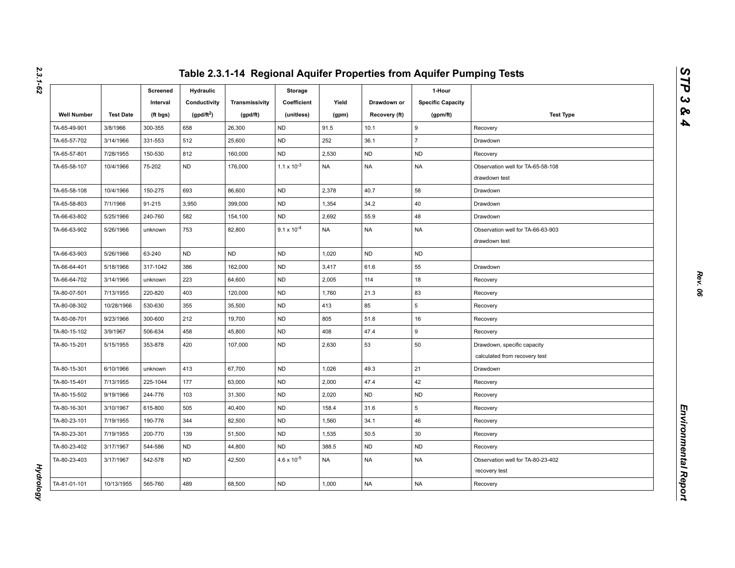|                    |                  | Screened<br>Interval | Hydraulic<br>Conductivity | Transmissivity | Storage<br>Coefficient | Yield     | Drawdown or   | 1-Hour<br><b>Specific Capacity</b> |                                                              |
|--------------------|------------------|----------------------|---------------------------|----------------|------------------------|-----------|---------------|------------------------------------|--------------------------------------------------------------|
| <b>Well Number</b> | <b>Test Date</b> | (ft bgs)             | $(gpd/ft^2)$              | (gpd/ft)       | (unitless)             | (gpm)     | Recovery (ft) | (gpm/ft)                           | <b>Test Type</b>                                             |
| TA-65-49-901       | 3/8/1966         | 300-355              | 658                       | 26,300         | <b>ND</b>              | 91.5      | 10.1          | 9                                  | Recovery                                                     |
| TA-65-57-702       | 3/14/1966        | 331-553              | 512                       | 25,600         | <b>ND</b>              | 252       | 36.1          | $\overline{7}$                     | Drawdown                                                     |
| TA-65-57-801       | 7/28/1955        | 150-530              | 812                       | 160,000        | <b>ND</b>              | 2,530     | <b>ND</b>     | <b>ND</b>                          | Recovery                                                     |
| TA-65-58-107       | 10/4/1966        | 75-202               | <b>ND</b>                 | 176,000        | $1.1 \times 10^{-3}$   | <b>NA</b> | <b>NA</b>     | <b>NA</b>                          | Observation well for TA-65-58-108<br>drawdown test           |
| TA-65-58-108       | 10/4/1966        | 150-275              | 693                       | 86,600         | <b>ND</b>              | 2,378     | 40.7          | 58                                 | Drawdown                                                     |
| TA-65-58-803       | 7/1/1966         | 91-215               | 3,950                     | 399,000        | <b>ND</b>              | 1,354     | 34.2          | 40                                 | Drawdown                                                     |
| TA-66-63-802       | 5/25/1966        | 240-760              | 582                       | 154,100        | <b>ND</b>              | 2,692     | 55.9          | 48                                 | Drawdown                                                     |
| TA-66-63-902       | 5/26/1966        | unknown              | 753                       | 82,800         | $9.1 \times 10^{-4}$   | <b>NA</b> | <b>NA</b>     | <b>NA</b>                          | Observation well for TA-66-63-903<br>drawdown test           |
| TA-66-63-903       | 5/26/1966        | 63-240               | <b>ND</b>                 | <b>ND</b>      | <b>ND</b>              | 1,020     | <b>ND</b>     | <b>ND</b>                          |                                                              |
| TA-66-64-401       | 5/18/1966        | 317-1042             | 386                       | 162,000        | <b>ND</b>              | 3,417     | 61.6          | 55                                 | Drawdown                                                     |
| TA-66-64-702       | 3/14/1966        | unknown              | 223                       | 64,600         | <b>ND</b>              | 2,005     | 114           | 18                                 | Recovery                                                     |
| TA-80-07-501       | 7/13/1955        | 220-820              | 403                       | 120,000        | <b>ND</b>              | 1,760     | 21.3          | 83                                 | Recovery                                                     |
| TA-80-08-302       | 10/28/1966       | 530-630              | 355                       | 35,500         | <b>ND</b>              | 413       | 85            | 5                                  | Recovery                                                     |
| TA-80-08-701       | 9/23/1966        | 300-600              | 212                       | 19,700         | <b>ND</b>              | 805       | 51.8          | 16                                 | Recovery                                                     |
| TA-80-15-102       | 3/9/1967         | 506-634              | 458                       | 45,800         | <b>ND</b>              | 408       | 47.4          | 9                                  | Recovery                                                     |
| TA-80-15-201       | 5/15/1955        | 353-878              | 420                       | 107,000        | <b>ND</b>              | 2,630     | 53            | 50                                 | Drawdown, specific capacity<br>calculated from recovery test |
| TA-80-15-301       | 6/10/1966        | unknown              | 413                       | 67,700         | <b>ND</b>              | 1,026     | 49.3          | 21                                 | Drawdown                                                     |
| TA-80-15-401       | 7/13/1955        | 225-1044             | 177                       | 63,000         | <b>ND</b>              | 2,000     | 47.4          | 42                                 | Recovery                                                     |
| TA-80-15-502       | 9/19/1966        | 244-776              | 103                       | 31,300         | <b>ND</b>              | 2,020     | <b>ND</b>     | <b>ND</b>                          | Recovery                                                     |
| TA-80-16-301       | 3/10/1967        | 615-800              | 505                       | 40,400         | <b>ND</b>              | 158.4     | 31.6          | 5                                  | Recovery                                                     |
| TA-80-23-101       | 7/19/1955        | 190-776              | 344                       | 82,500         | ND                     | 1,560     | 34.1          | 46                                 | Recovery                                                     |
| TA-80-23-301       | 7/19/1955        | 200-770              | 139                       | 51,500         | <b>ND</b>              | 1,535     | 50.5          | 30                                 | Recovery                                                     |
| TA-80-23-402       | 3/17/1967        | 544-586              | <b>ND</b>                 | 44,800         | <b>ND</b>              | 388.5     | <b>ND</b>     | <b>ND</b>                          | Recovery                                                     |
| TA-80-23-403       | 3/17/1967        | 542-578              | <b>ND</b>                 | 42,500         | $4.6 \times 10^{-5}$   | <b>NA</b> | <b>NA</b>     | NA                                 | Observation well for TA-80-23-402<br>recovery test           |
| TA-81-01-101       | 10/13/1955       | 565-760              | 489                       | 68,500         | <b>ND</b>              | 1,000     | <b>NA</b>     | <b>NA</b>                          | Recovery                                                     |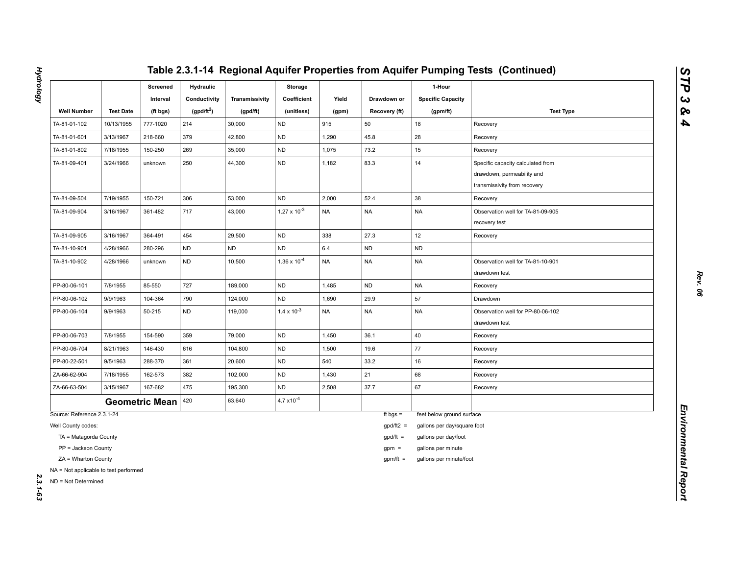|                                                              |                  | Screened<br>Interval  | <b>Hydraulic</b><br>Conductivity | Transmissivity | Storage<br>Coefficient | Yield     | Drawdown or   | 1-Hour<br><b>Specific Capacity</b> |                                                                                                 |
|--------------------------------------------------------------|------------------|-----------------------|----------------------------------|----------------|------------------------|-----------|---------------|------------------------------------|-------------------------------------------------------------------------------------------------|
| <b>Well Number</b>                                           | <b>Test Date</b> | (ft bgs)              | (gpd/ft <sup>2</sup> )           | (gpd/ft)       | (unitless)             | (gpm)     | Recovery (ft) | (gpm/ft)                           | <b>Test Type</b>                                                                                |
| TA-81-01-102                                                 | 10/13/1955       | 777-1020              | 214                              | 30,000         | <b>ND</b>              | 915       | 50            | 18                                 | Recovery                                                                                        |
| TA-81-01-601                                                 | 3/13/1967        | 218-660               | 379                              | 42,800         | <b>ND</b>              | 1,290     | 45.8          | 28                                 | Recovery                                                                                        |
| TA-81-01-802                                                 | 7/18/1955        | 150-250               | 269                              | 35,000         | <b>ND</b>              | 1,075     | 73.2          | 15                                 | Recovery                                                                                        |
| TA-81-09-401                                                 | 3/24/1966        | unknown               | 250                              | 44,300         | <b>ND</b>              | 1,182     | 83.3          | 14                                 | Specific capacity calculated from<br>drawdown, permeability and<br>transmissivity from recovery |
| TA-81-09-504                                                 | 7/19/1955        | 150-721               | 306                              | 53,000         | <b>ND</b>              | 2,000     | 52.4          | 38                                 | Recovery                                                                                        |
| TA-81-09-904                                                 | 3/16/1967        | 361-482               | 717                              | 43,000         | $1.27 \times 10^{-3}$  | <b>NA</b> | <b>NA</b>     | <b>NA</b>                          | Observation well for TA-81-09-905<br>recovery test                                              |
| TA-81-09-905                                                 | 3/16/1967        | 364-491               | 454                              | 29,500         | <b>ND</b>              | 338       | 27.3          | 12                                 | Recovery                                                                                        |
| TA-81-10-901                                                 | 4/28/1966        | 280-296               | ND                               | ND             | <b>ND</b>              | $6.4\,$   | <b>ND</b>     | ND                                 |                                                                                                 |
| TA-81-10-902                                                 | 4/28/1966        | unknown               | <b>ND</b>                        | 10,500         | $1.36 \times 10^{-4}$  | <b>NA</b> | <b>NA</b>     | <b>NA</b>                          | Observation well for TA-81-10-901<br>drawdown test                                              |
| PP-80-06-101                                                 | 7/8/1955         | 85-550                | 727                              | 189,000        | <b>ND</b>              | 1,485     | <b>ND</b>     | <b>NA</b>                          | Recovery                                                                                        |
| PP-80-06-102                                                 | 9/9/1963         | 104-364               | 790                              | 124,000        | ND                     | 1,690     | 29.9          | 57                                 | Drawdown                                                                                        |
| PP-80-06-104                                                 | 9/9/1963         | 50-215                | ND                               | 119,000        | $1.4 \times 10^{-3}$   | <b>NA</b> | <b>NA</b>     | NA                                 | Observation well for PP-80-06-102<br>drawdown test                                              |
| PP-80-06-703                                                 | 7/8/1955         | 154-590               | 359                              | 79,000         | <b>ND</b>              | 1,450     | 36.1          | 40                                 | Recovery                                                                                        |
| PP-80-06-704                                                 | 8/21/1963        | 146-430               | 616                              | 104,800        | <b>ND</b>              | 1,500     | 19.6          | 77                                 | Recovery                                                                                        |
| PP-80-22-501                                                 | 9/5/1963         | 288-370               | 361                              | 20,600         | ND                     | 540       | 33.2          | 16                                 | Recovery                                                                                        |
| ZA-66-62-904                                                 | 7/18/1955        | 162-573               | 382                              | 102,000        | <b>ND</b>              | 1,430     | 21            | 68                                 | Recovery                                                                                        |
| ZA-66-63-504                                                 | 3/15/1967        | 167-682               | 475                              | 195,300        | <b>ND</b>              | 2,508     | 37.7          | 67                                 | Recovery                                                                                        |
|                                                              |                  | <b>Geometric Mean</b> | 420                              | 63,640         | $4.7 \times 10^{-4}$   |           |               |                                    |                                                                                                 |
| Source: Reference 2.3.1-24                                   |                  |                       |                                  |                |                        |           | ft bgs $=$    | feet below ground surface          |                                                                                                 |
| Well County codes:                                           |                  |                       |                                  |                |                        |           | $gpd/ft2 =$   | gallons per day/square foot        |                                                                                                 |
| TA = Matagorda County                                        |                  |                       |                                  |                |                        |           | $gpd/ft =$    | gallons per day/foot               |                                                                                                 |
| PP = Jackson County                                          |                  |                       |                                  |                |                        |           | $gpm =$       | gallons per minute                 |                                                                                                 |
| ZA = Wharton County                                          |                  |                       |                                  |                |                        |           | $gpm/ft =$    | gallons per minute/foot            |                                                                                                 |
| NA = Not applicable to test performed<br>ND = Not Determined |                  |                       |                                  |                |                        |           |               |                                    |                                                                                                 |

**Hydrology** *Hydrology 2.3.1-63*

*STP 3 & 4*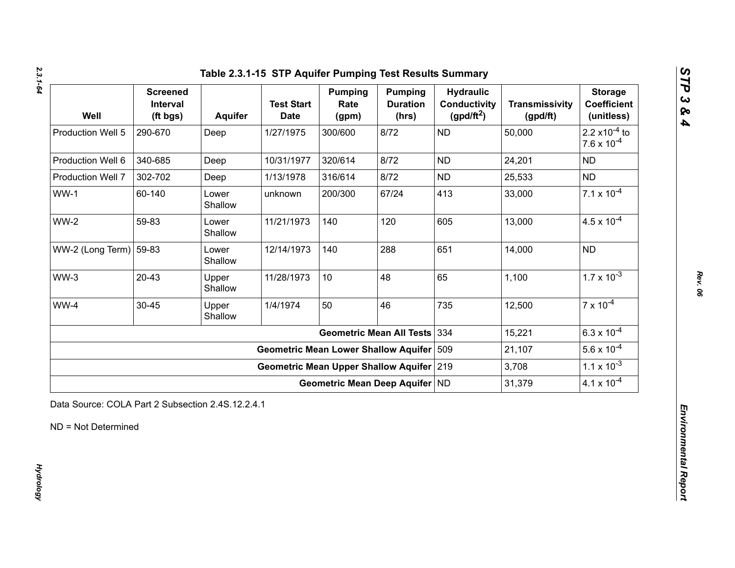| Well                             | <b>Screened</b><br>Interval<br>(ft bgs) | <b>Aquifer</b>   | <b>Test Start</b><br><b>Date</b>            | <b>Pumping</b><br>Rate<br>(gpm) | <b>Pumping</b><br><b>Duration</b><br>(hrs) | <b>Hydraulic</b><br><b>Conductivity</b><br>$(gpd/ft^2)$ | <b>Transmissivity</b><br>(gpd/ft) | <b>Storage</b><br><b>Coefficient</b><br>(unitless)       |
|----------------------------------|-----------------------------------------|------------------|---------------------------------------------|---------------------------------|--------------------------------------------|---------------------------------------------------------|-----------------------------------|----------------------------------------------------------|
| Production Well 5                | 290-670                                 | Deep             | 1/27/1975                                   | 300/600                         | 8/72                                       | <b>ND</b>                                               | 50,000                            | 2.2 $\times$ 10 <sup>-4</sup> to<br>$7.6 \times 10^{-4}$ |
| Production Well 6                | 340-685                                 | Deep             | 10/31/1977                                  | 320/614                         | 8/72                                       | <b>ND</b>                                               | 24,201                            | <b>ND</b>                                                |
| Production Well 7                | 302-702                                 | Deep             | 1/13/1978                                   | 316/614                         | 8/72                                       | <b>ND</b>                                               | 25,533                            | <b>ND</b>                                                |
| $WW-1$                           | 60-140                                  | Lower<br>Shallow | unknown                                     | 200/300                         | 67/24                                      | 413                                                     | 33,000                            | $7.1 \times 10^{-4}$                                     |
| $WW-2$                           | 59-83                                   | Lower<br>Shallow | 11/21/1973                                  | 140                             | 120                                        | 605                                                     | 13,000                            | $4.5 \times 10^{-4}$                                     |
| WW-2 (Long Term) $ 59-83\rangle$ |                                         | Lower<br>Shallow | 12/14/1973                                  | 140                             | 288                                        | 651                                                     | 14,000                            | <b>ND</b>                                                |
| $WW-3$                           | $20 - 43$                               | Upper<br>Shallow | 11/28/1973                                  | 10                              | 48                                         | 65                                                      | 1,100                             | $1.7 \times 10^{-3}$                                     |
| WW-4                             | 30-45                                   | Upper<br>Shallow | 1/4/1974                                    | 50                              | 46                                         | 735                                                     | 12,500                            | $7 \times 10^{-4}$                                       |
|                                  |                                         |                  |                                             |                                 | <b>Geometric Mean All Tests</b>            | 334                                                     | 15,221                            | $6.3 \times 10^{-4}$                                     |
|                                  |                                         |                  | <b>Geometric Mean Lower Shallow Aquifer</b> |                                 |                                            | 509                                                     | 21,107                            | $5.6 \times 10^{-4}$                                     |
|                                  |                                         |                  | Geometric Mean Upper Shallow Aquifer 219    |                                 |                                            |                                                         | 3,708                             | $1.1 \times 10^{-3}$                                     |
|                                  |                                         |                  |                                             |                                 | Geometric Mean Deep Aquifer ND             |                                                         | 31,379                            | $4.1 \times 10^{-4}$                                     |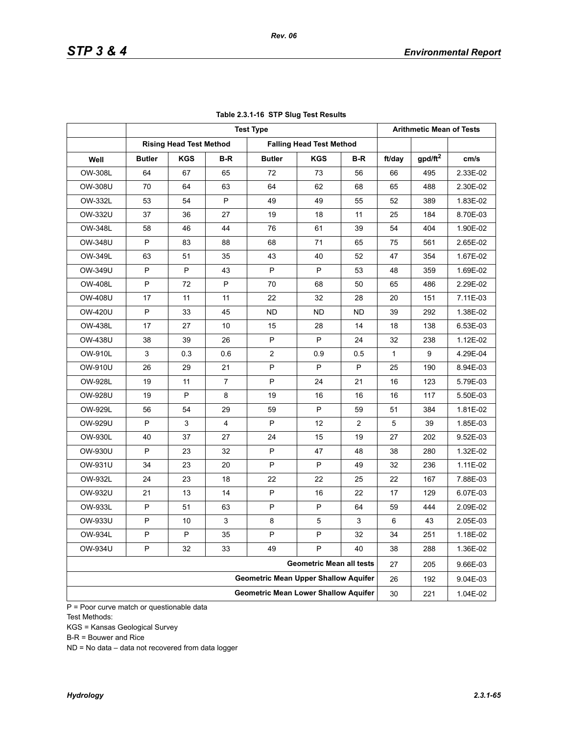|                |               |                                |                | <b>Test Type</b>                            |                                 |     |              | <b>Arithmetic Mean of Tests</b> |          |
|----------------|---------------|--------------------------------|----------------|---------------------------------------------|---------------------------------|-----|--------------|---------------------------------|----------|
|                |               | <b>Rising Head Test Method</b> |                |                                             | <b>Falling Head Test Method</b> |     |              |                                 |          |
| Well           | <b>Butler</b> | <b>KGS</b>                     | B-R            | <b>Butler</b>                               | <b>KGS</b>                      | B-R | ft/day       | gpd/ft <sup>2</sup>             | cm/s     |
| OW-308L        | 64            | 67                             | 65             | 72                                          | 73                              | 56  | 66           | 495                             | 2.33E-02 |
| OW-308U        | 70            | 64                             | 63             | 64                                          | 62                              | 68  | 65           | 488                             | 2.30E-02 |
| OW-332L        | 53            | 54                             | P              | 49                                          | 49                              | 55  | 52           | 389                             | 1.83E-02 |
| OW-332U        | 37            | 36                             | 27             | 19                                          | 18                              | 11  | 25           | 184                             | 8.70E-03 |
| OW-348L        | 58            | 46                             | 44             | 76                                          | 61                              | 39  | 54           | 404                             | 1.90E-02 |
| <b>OW-348U</b> | P             | 83                             | 88             | 68                                          | 71                              | 65  | 75           | 561                             | 2.65E-02 |
| OW-349L        | 63            | 51                             | 35             | 43                                          | 40                              | 52  | 47           | 354                             | 1.67E-02 |
| OW-349U        | P             | P                              | 43             | P                                           | P                               | 53  | 48           | 359                             | 1.69E-02 |
| <b>OW-408L</b> | P             | 72                             | P              | 70                                          | 68                              | 50  | 65           | 486                             | 2.29E-02 |
| OW-408U        | 17            | 11                             | 11             | 22                                          | 32                              | 28  | 20           | 151                             | 7.11E-03 |
| OW-420U        | P             | 33                             | 45             | <b>ND</b>                                   | ND                              | ND. | 39           | 292                             | 1.38E-02 |
| <b>OW-438L</b> | 17            | 27                             | 10             | 15                                          | 28                              | 14  | 18           | 138                             | 6.53E-03 |
| <b>OW-438U</b> | 38            | 39                             | 26             | P                                           | P                               | 24  | 32           | 238                             | 1.12E-02 |
| <b>OW-910L</b> | 3             | 0.3                            | 0.6            | $\overline{2}$                              | 0.9                             | 0.5 | $\mathbf{1}$ | 9                               | 4.29E-04 |
| OW-910U        | 26            | 29                             | 21             | P                                           | P                               | P   | 25           | 190                             | 8.94E-03 |
| <b>OW-928L</b> | 19            | 11                             | $\overline{7}$ | P                                           | 24                              | 21  | 16           | 123                             | 5.79E-03 |
| OW-928U        | 19            | P                              | 8              | 19                                          | 16                              | 16  | 16           | 117                             | 5.50E-03 |
| OW-929L        | 56            | 54                             | 29             | 59                                          | P                               | 59  | 51           | 384                             | 1.81E-02 |
| OW-929U        | P             | 3                              | 4              | P                                           | 12                              | 2   | 5            | 39                              | 1.85E-03 |
| OW-930L        | 40            | 37                             | 27             | 24                                          | 15                              | 19  | 27           | 202                             | 9.52E-03 |
| OW-930U        | P             | 23                             | 32             | P                                           | 47                              | 48  | 38           | 280                             | 1.32E-02 |
| OW-931U        | 34            | 23                             | 20             | P                                           | P                               | 49  | 32           | 236                             | 1.11E-02 |
| OW-932L        | 24            | 23                             | 18             | 22                                          | 22                              | 25  | 22           | 167                             | 7.88E-03 |
| OW-932U        | 21            | 13                             | 14             | P                                           | 16                              | 22  | 17           | 129                             | 6.07E-03 |
| OW-933L        | P             | 51                             | 63             | P                                           | P                               | 64  | 59           | 444                             | 2.09E-02 |
| OW-933U        | P             | 10                             | 3              | 8                                           | $\mathbf 5$                     | 3   | 6            | 43                              | 2.05E-03 |
| OW-934L        | P             | P                              | 35             | P                                           | P                               | 32  | 34           | 251                             | 1.18E-02 |
| OW-934U        | P             | 32                             | 33             | 49                                          | P                               | 40  | 38           | 288                             | 1.36E-02 |
|                |               |                                |                |                                             | <b>Geometric Mean all tests</b> |     | 27           | 205                             | 9.66E-03 |
|                |               |                                |                | <b>Geometric Mean Upper Shallow Aquifer</b> |                                 |     | 26           | 192                             | 9.04E-03 |
|                |               |                                |                | <b>Geometric Mean Lower Shallow Aquifer</b> |                                 |     | 30           | 221                             | 1.04E-02 |

### **Table 2.3.1-16 STP Slug Test Results**

P = Poor curve match or questionable data Test Methods:

KGS = Kansas Geological Survey

B-R = Bouwer and Rice

ND = No data – data not recovered from data logger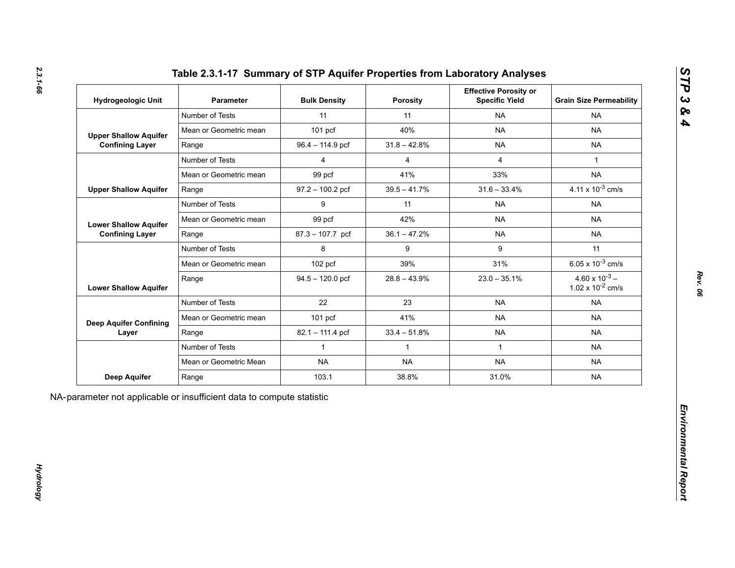| Hydrogeologic Unit                     | <b>Parameter</b>       | <b>Bulk Density</b> | <b>Porosity</b> | <b>Effective Porosity or</b><br><b>Specific Yield</b> | <b>Grain Size Permeability</b>                   |
|----------------------------------------|------------------------|---------------------|-----------------|-------------------------------------------------------|--------------------------------------------------|
|                                        | Number of Tests        | 11                  | 11              | <b>NA</b>                                             | <b>NA</b>                                        |
| <b>Upper Shallow Aquifer</b>           | Mean or Geometric mean | $101$ pcf           | 40%             | <b>NA</b>                                             | <b>NA</b>                                        |
| <b>Confining Layer</b>                 | Range                  | 96.4 - 114.9 pcf    | $31.8 - 42.8%$  | <b>NA</b>                                             | <b>NA</b>                                        |
|                                        | Number of Tests        | $\overline{4}$      | $\overline{4}$  | $\overline{4}$                                        | $\mathbf{1}$                                     |
|                                        | Mean or Geometric mean | 99 pcf              | 41%             | 33%                                                   | <b>NA</b>                                        |
| <b>Upper Shallow Aquifer</b>           | Range                  | $97.2 - 100.2$ pcf  | $39.5 - 41.7\%$ | $31.6 - 33.4%$                                        | 4.11 x $10^{-3}$ cm/s                            |
|                                        | Number of Tests        | 9                   | 11              | <b>NA</b>                                             | <b>NA</b>                                        |
| <b>Lower Shallow Aquifer</b>           | Mean or Geometric mean | 99 pcf              | 42%             | <b>NA</b>                                             | <b>NA</b>                                        |
| <b>Confining Layer</b>                 | Range                  | 87.3 - 107.7 pcf    | $36.1 - 47.2%$  | <b>NA</b>                                             | <b>NA</b>                                        |
|                                        | Number of Tests        | 8                   | 9               | 9                                                     | 11                                               |
|                                        | Mean or Geometric mean | 102 pcf             | 39%             | 31%                                                   | 6.05 x $10^{-3}$ cm/s                            |
| <b>Lower Shallow Aquifer</b>           | Range                  | $94.5 - 120.0$ pcf  | $28.8 - 43.9%$  | $23.0 - 35.1\%$                                       | $4.60 \times 10^{-3}$ –<br>1.02 x $10^{-2}$ cm/s |
|                                        | Number of Tests        | 22                  | 23              | <b>NA</b>                                             | <b>NA</b>                                        |
| <b>Deep Aquifer Confining</b><br>Layer | Mean or Geometric mean | 101 pcf             | 41%             | <b>NA</b>                                             | <b>NA</b>                                        |
|                                        | Range                  | 82.1 - 111.4 pcf    | $33.4 - 51.8%$  | <b>NA</b>                                             | <b>NA</b>                                        |
|                                        | Number of Tests        | $\mathbf{1}$        | $\mathbf{1}$    | $\mathbf{1}$                                          | <b>NA</b>                                        |
|                                        | Mean or Geometric Mean | <b>NA</b>           | <b>NA</b>       | <b>NA</b>                                             | <b>NA</b>                                        |
| <b>Deep Aquifer</b>                    | Range                  | 103.1               | 38.8%           | 31.0%                                                 | <b>NA</b>                                        |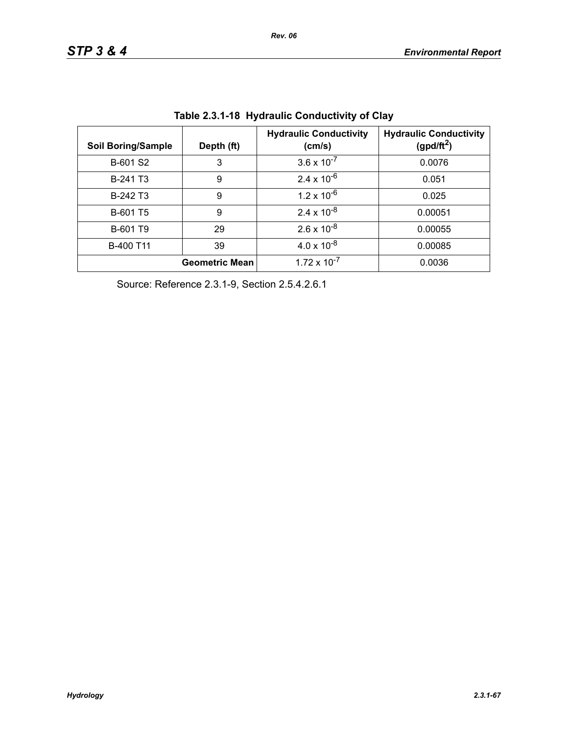| <b>Soil Boring/Sample</b> | Depth (ft)            | <b>Hydraulic Conductivity</b><br>(cm/s) | <b>Hydraulic Conductivity</b><br>(gpd/ft <sup>2</sup> ) |
|---------------------------|-----------------------|-----------------------------------------|---------------------------------------------------------|
| B-601 S2                  | 3                     | $3.6 \times 10^{-7}$                    | 0.0076                                                  |
| B-241 T <sub>3</sub>      | 9                     | $2.4 \times 10^{-6}$                    | 0.051                                                   |
| B-242 T <sub>3</sub>      | 9                     | $1.2 \times 10^{-6}$                    | 0.025                                                   |
| B-601 T5                  | 9                     | $2.4 \times 10^{-8}$                    | 0.00051                                                 |
| B-601 T9                  | 29                    | $2.6 \times 10^{-8}$                    | 0.00055                                                 |
| B-400 T11                 | 39                    | $4.0 \times 10^{-8}$                    | 0.00085                                                 |
|                           | <b>Geometric Mean</b> | $1.72 \times 10^{-7}$                   | 0.0036                                                  |

**Table 2.3.1-18 Hydraulic Conductivity of Clay** 

Source: Reference 2.3.1-9, Section 2.5.4.2.6.1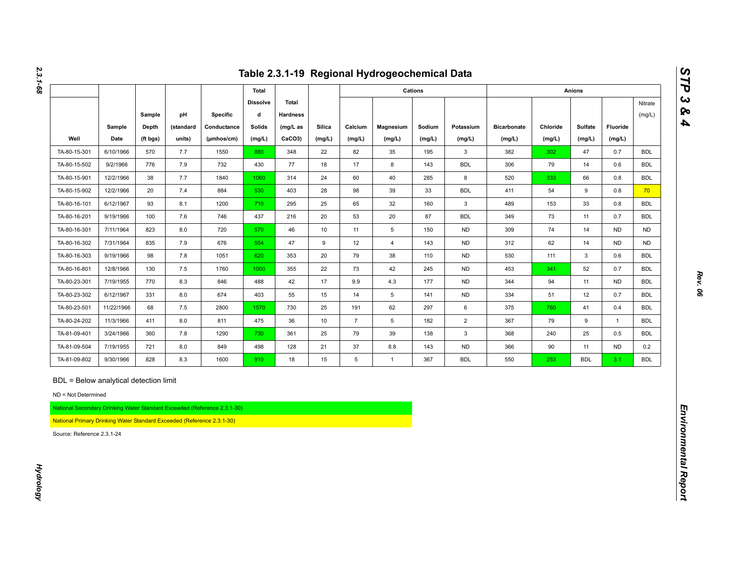|                                                                                                                                                                       |                |                   |                     |                                                                          |                         |                          |                  |                   | Table 2.3.1-19 Regional Hydrogeochemical Data |                  |                     |                              |                    |                   |                    |                   |
|-----------------------------------------------------------------------------------------------------------------------------------------------------------------------|----------------|-------------------|---------------------|--------------------------------------------------------------------------|-------------------------|--------------------------|------------------|-------------------|-----------------------------------------------|------------------|---------------------|------------------------------|--------------------|-------------------|--------------------|-------------------|
|                                                                                                                                                                       |                |                   |                     |                                                                          | Total                   |                          |                  |                   |                                               | Cations          |                     |                              |                    | <b>Anions</b>     |                    |                   |
|                                                                                                                                                                       |                | Sample            | pH                  | <b>Specific</b>                                                          | <b>Dissolve</b><br>d    | Total<br><b>Hardness</b> |                  |                   |                                               |                  |                     |                              |                    |                   |                    | Nitrate<br>(mg/L) |
| Well                                                                                                                                                                  | Sample<br>Date | Depth<br>(ft bgs) | (standard<br>units) | Conductance<br>(µmhos/cm)                                                | <b>Solids</b><br>(mg/L) | $(mg/L)$ as<br>CaCO3)    | Silica<br>(mg/L) | Calcium<br>(mg/L) | Magnesium<br>(mg/L)                           | Sodium<br>(mg/L) | Potassium<br>(mg/L) | <b>Bicarbonate</b><br>(mg/L) | Chloride<br>(mg/L) | Sulfate<br>(mg/L) | Fluoride<br>(mg/L) |                   |
| TA-80-15-301                                                                                                                                                          | 6/10/1966      | 570               | 7.7                 | 1550                                                                     | 880                     | 348                      | 22               | 82                | 35                                            | 195              | $\mathbf{3}$        | 382                          | 302                | 47                | 0.7                | <b>BDL</b>        |
| TA-80-15-502                                                                                                                                                          | 9/2/1966       | 776               | 7.9                 | 732                                                                      | 430                     | 77                       | 18               | 17                | 8                                             | 143              | <b>BDL</b>          | 306                          | 79                 | 14                | 0.6                | <b>BDL</b>        |
| TA-80-15-901                                                                                                                                                          | 12/2/1966      | 38                | 7.7                 | 1840                                                                     | 1060                    | 314                      | 24               | 60                | 40                                            | 285              | 8                   | 520                          | 333                | 66                | 0.8                | <b>BDL</b>        |
| TA-80-15-902                                                                                                                                                          | 12/2/1966      | 20                | 7.4                 | 884                                                                      | 530                     | 403                      | 28               | 98                | $39\,$                                        | 33               | <b>BDL</b>          | 411                          | 54                 | 9                 | 0.8                | 70                |
| TA-80-16-101                                                                                                                                                          | 6/12/1967      | 93                | 8.1                 | 1200                                                                     | 710                     | 295                      | 25               | 65                | 32                                            | 160              | $\mathbf{3}$        | 489                          | 153                | 33                | 0.8                | <b>BDL</b>        |
| TA-80-16-201                                                                                                                                                          | 9/19/1966      | 100               | 7.6                 | 746                                                                      | 437                     | 216                      | 20               | 53                | 20                                            | 87               | <b>BDL</b>          | 349                          | 73                 | 11                | 0.7                | <b>BDL</b>        |
| TA-80-16-301                                                                                                                                                          | 7/11/1964      | 823               | 8.0                 | 720                                                                      | 570                     | 46                       | 10               | 11                | $5\overline{)}$                               | 150              | <b>ND</b>           | 309                          | 74                 | 14                | <b>ND</b>          | <b>ND</b>         |
| TA-80-16-302                                                                                                                                                          | 7/31/1964      | 835               | 7.9                 | 676                                                                      | 554                     | 47                       | 9                | 12                | $\overline{4}$                                | 143              | <b>ND</b>           | 312                          | 62                 | 14                | <b>ND</b>          | <b>ND</b>         |
| TA-80-16-303                                                                                                                                                          | 9/19/1966      | 98                | 7.8                 | 1051                                                                     | 620                     | 353                      | 20               | 79                | 38                                            | 110              | <b>ND</b>           | 530                          | 111                | $\mathbf{3}$      | 0.6                | <b>BDL</b>        |
| TA-80-16-801                                                                                                                                                          | 12/8/1966      | 130               | 7.5                 | 1760                                                                     | 1000                    | 355                      | 22               | 73                | 42                                            | 245              | <b>ND</b>           | 453                          | 341                | 52                | 0.7                | <b>BDL</b>        |
| TA-80-23-301                                                                                                                                                          | 7/19/1955      | 770               | 8.3                 | 846                                                                      | 488                     | 42                       | 17               | 9.9               | 4.3                                           | 177              | <b>ND</b>           | 344                          | 94                 | 11                | ND                 | <b>BDL</b>        |
| TA-80-23-302                                                                                                                                                          | 6/12/1967      | 331               | 8.0                 | 674                                                                      | 403                     | 55                       | 15               | 14                | 5                                             | 141              | <b>ND</b>           | 334                          | 51                 | 12                | 0.7                | <b>BDL</b>        |
| TA-80-23-501                                                                                                                                                          | 11/22/1966     | 68                | 7.5                 | 2800                                                                     | 1570                    | 730                      | 25               | 191               | 62                                            | 297              | 6                   | 375                          | 760                | 41                | 0.4                | <b>BDL</b>        |
| TA-80-24-202                                                                                                                                                          | 11/3/1966      | 411               | 8.0                 | 811                                                                      | 475                     | 36                       | 10               | $\overline{7}$    | 5 <sup>5</sup>                                | 182              | $\overline{2}$      | 367                          | 79                 | 9                 | $\overline{1}$     | <b>BDL</b>        |
| TA-81-09-401                                                                                                                                                          | 3/24/1966      | 360               | 7.8                 | 1290                                                                     | 730                     | 361                      | 25               | 79                | 39                                            | 138              | $\mathbf{3}$        | 368                          | 240                | 25                | 0.5                | <b>BDL</b>        |
| TA-81-09-504                                                                                                                                                          | 7/19/1955      | 721               | 8.0                 | 849                                                                      | 498                     | 128                      | 21               | 37                | 8.8                                           | 143              | <b>ND</b>           | 366                          | 90                 | 11                | <b>ND</b>          | 0.2               |
| TA-81-09-802                                                                                                                                                          | 9/30/1966      | 828               | 8.3                 | 1600                                                                     | 910                     | 18                       | 15               | 5                 | $\mathbf{1}$                                  | 367              | <b>BDL</b>          | 550                          | 253                | <b>BDL</b>        | 3.1                | <b>BDL</b>        |
| BDL = Below analytical detection limit<br>ND = Not Determined<br>National Primary Drinking Water Standard Exceeded (Reference 2.3.1-30)<br>Source: Reference 2.3.1-24 |                |                   |                     | National Secondary Drinking Water Standard Exceeded (Reference 2.3.1-30) |                         |                          |                  |                   |                                               |                  |                     |                              |                    |                   |                    |                   |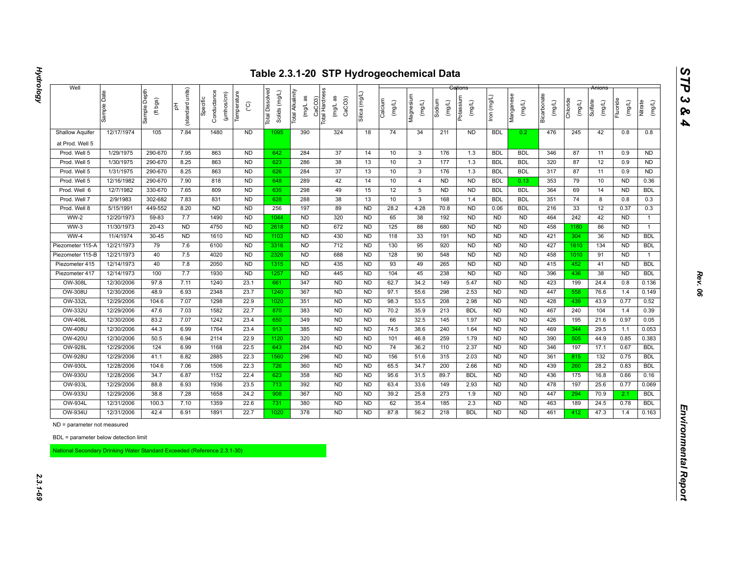| 12/17/1974                  | Sample Depth<br>(ft bgs)<br>105                                                                                                                                                                                                         | units)<br>(standard<br>苦<br>7.84                                                                                                                                                                                                          | Conductance<br>(µmhos/cm)<br>Specific                                                                                                                                             | Temperature<br>$\rm _{\rm C}^{\circ}$                                                                                                                                         | Dissolved<br>Solids (mg/L)<br><b>Total</b>                                                                                                                                                                                                               | Total Alkalinity<br>(mg/L as                                                                                                                                      | CaCO3)<br>Total Hardness<br>(mg/L as<br>CaCO <sub>3</sub>                                                                                                                                        | Silica (mg/L                                                                                                                                                                                                            | Calcium<br>(mg/L)                                                                                                                                                                                                                                              | Magnesium<br>(mg/L)                                                                                                                                   | Sodium<br>$($ mg/L)                                                                                                                                                        | Potassium<br>(mg/L)                                                                                                                                                 | lron (mg/L)                                                                                                                                                                                                                                            | Manganese<br>(mg/L)                                                                                                                                                                                                                                                                            | Bicarbonate<br>(mg/L)                                                                                                                                                                                                                                                                     | Chloride<br>(mg/L)                                                                                                                                     | Sulfate<br>(mg/L)                                                                                                                                    | Fluoride<br>(mg/L)                                                                                                                                   | Nitrate<br>(mg/L)                                                                                                                                                                                                   |
|-----------------------------|-----------------------------------------------------------------------------------------------------------------------------------------------------------------------------------------------------------------------------------------|-------------------------------------------------------------------------------------------------------------------------------------------------------------------------------------------------------------------------------------------|-----------------------------------------------------------------------------------------------------------------------------------------------------------------------------------|-------------------------------------------------------------------------------------------------------------------------------------------------------------------------------|----------------------------------------------------------------------------------------------------------------------------------------------------------------------------------------------------------------------------------------------------------|-------------------------------------------------------------------------------------------------------------------------------------------------------------------|--------------------------------------------------------------------------------------------------------------------------------------------------------------------------------------------------|-------------------------------------------------------------------------------------------------------------------------------------------------------------------------------------------------------------------------|----------------------------------------------------------------------------------------------------------------------------------------------------------------------------------------------------------------------------------------------------------------|-------------------------------------------------------------------------------------------------------------------------------------------------------|----------------------------------------------------------------------------------------------------------------------------------------------------------------------------|---------------------------------------------------------------------------------------------------------------------------------------------------------------------|--------------------------------------------------------------------------------------------------------------------------------------------------------------------------------------------------------------------------------------------------------|------------------------------------------------------------------------------------------------------------------------------------------------------------------------------------------------------------------------------------------------------------------------------------------------|-------------------------------------------------------------------------------------------------------------------------------------------------------------------------------------------------------------------------------------------------------------------------------------------|--------------------------------------------------------------------------------------------------------------------------------------------------------|------------------------------------------------------------------------------------------------------------------------------------------------------|------------------------------------------------------------------------------------------------------------------------------------------------------|---------------------------------------------------------------------------------------------------------------------------------------------------------------------------------------------------------------------|
|                             |                                                                                                                                                                                                                                         |                                                                                                                                                                                                                                           |                                                                                                                                                                                   |                                                                                                                                                                               |                                                                                                                                                                                                                                                          |                                                                                                                                                                   |                                                                                                                                                                                                  |                                                                                                                                                                                                                         |                                                                                                                                                                                                                                                                |                                                                                                                                                       |                                                                                                                                                                            |                                                                                                                                                                     |                                                                                                                                                                                                                                                        |                                                                                                                                                                                                                                                                                                |                                                                                                                                                                                                                                                                                           |                                                                                                                                                        |                                                                                                                                                      |                                                                                                                                                      |                                                                                                                                                                                                                     |
|                             |                                                                                                                                                                                                                                         |                                                                                                                                                                                                                                           | 1480                                                                                                                                                                              | <b>ND</b>                                                                                                                                                                     | 1095                                                                                                                                                                                                                                                     | 390                                                                                                                                                               | 324                                                                                                                                                                                              | 18                                                                                                                                                                                                                      | 74                                                                                                                                                                                                                                                             | 34                                                                                                                                                    | 211                                                                                                                                                                        | <b>ND</b>                                                                                                                                                           | <b>BDL</b>                                                                                                                                                                                                                                             | 0.2                                                                                                                                                                                                                                                                                            | 476                                                                                                                                                                                                                                                                                       | 245                                                                                                                                                    | 42                                                                                                                                                   | 0.8                                                                                                                                                  | 0.8                                                                                                                                                                                                                 |
|                             |                                                                                                                                                                                                                                         |                                                                                                                                                                                                                                           |                                                                                                                                                                                   |                                                                                                                                                                               |                                                                                                                                                                                                                                                          |                                                                                                                                                                   |                                                                                                                                                                                                  |                                                                                                                                                                                                                         |                                                                                                                                                                                                                                                                |                                                                                                                                                       |                                                                                                                                                                            |                                                                                                                                                                     |                                                                                                                                                                                                                                                        |                                                                                                                                                                                                                                                                                                |                                                                                                                                                                                                                                                                                           |                                                                                                                                                        |                                                                                                                                                      |                                                                                                                                                      |                                                                                                                                                                                                                     |
| 1/29/1975                   | 290-670                                                                                                                                                                                                                                 | 7.95                                                                                                                                                                                                                                      | 863                                                                                                                                                                               | <b>ND</b>                                                                                                                                                                     | 642                                                                                                                                                                                                                                                      | 284                                                                                                                                                               | 37                                                                                                                                                                                               | 14                                                                                                                                                                                                                      | 10                                                                                                                                                                                                                                                             | $\mathbf{3}$                                                                                                                                          | 176                                                                                                                                                                        | 1.3                                                                                                                                                                 | <b>BDL</b>                                                                                                                                                                                                                                             | <b>BDL</b>                                                                                                                                                                                                                                                                                     | 346                                                                                                                                                                                                                                                                                       | 87                                                                                                                                                     | 11                                                                                                                                                   | 0.9                                                                                                                                                  | <b>ND</b>                                                                                                                                                                                                           |
| 1/30/1975                   | 290-670                                                                                                                                                                                                                                 | 8.25                                                                                                                                                                                                                                      | 863                                                                                                                                                                               | <b>ND</b>                                                                                                                                                                     | 623                                                                                                                                                                                                                                                      | 286                                                                                                                                                               | 38                                                                                                                                                                                               | 13                                                                                                                                                                                                                      | 10                                                                                                                                                                                                                                                             | $\mathbf{3}$                                                                                                                                          | 177                                                                                                                                                                        | 1.3                                                                                                                                                                 | <b>BDL</b>                                                                                                                                                                                                                                             | <b>BDL</b>                                                                                                                                                                                                                                                                                     | 320                                                                                                                                                                                                                                                                                       | 87                                                                                                                                                     | 12                                                                                                                                                   | 0.9                                                                                                                                                  | <b>ND</b>                                                                                                                                                                                                           |
| 1/31/1975                   |                                                                                                                                                                                                                                         |                                                                                                                                                                                                                                           |                                                                                                                                                                                   |                                                                                                                                                                               |                                                                                                                                                                                                                                                          |                                                                                                                                                                   |                                                                                                                                                                                                  |                                                                                                                                                                                                                         |                                                                                                                                                                                                                                                                |                                                                                                                                                       |                                                                                                                                                                            |                                                                                                                                                                     |                                                                                                                                                                                                                                                        |                                                                                                                                                                                                                                                                                                |                                                                                                                                                                                                                                                                                           |                                                                                                                                                        |                                                                                                                                                      |                                                                                                                                                      | <b>ND</b>                                                                                                                                                                                                           |
|                             |                                                                                                                                                                                                                                         |                                                                                                                                                                                                                                           |                                                                                                                                                                                   |                                                                                                                                                                               |                                                                                                                                                                                                                                                          |                                                                                                                                                                   |                                                                                                                                                                                                  |                                                                                                                                                                                                                         |                                                                                                                                                                                                                                                                |                                                                                                                                                       |                                                                                                                                                                            |                                                                                                                                                                     |                                                                                                                                                                                                                                                        |                                                                                                                                                                                                                                                                                                |                                                                                                                                                                                                                                                                                           |                                                                                                                                                        |                                                                                                                                                      |                                                                                                                                                      | 0.36                                                                                                                                                                                                                |
|                             |                                                                                                                                                                                                                                         |                                                                                                                                                                                                                                           |                                                                                                                                                                                   |                                                                                                                                                                               |                                                                                                                                                                                                                                                          |                                                                                                                                                                   |                                                                                                                                                                                                  |                                                                                                                                                                                                                         |                                                                                                                                                                                                                                                                |                                                                                                                                                       |                                                                                                                                                                            |                                                                                                                                                                     |                                                                                                                                                                                                                                                        |                                                                                                                                                                                                                                                                                                |                                                                                                                                                                                                                                                                                           |                                                                                                                                                        |                                                                                                                                                      |                                                                                                                                                      | <b>BDL</b>                                                                                                                                                                                                          |
| 2/9/1983                    |                                                                                                                                                                                                                                         |                                                                                                                                                                                                                                           |                                                                                                                                                                                   |                                                                                                                                                                               |                                                                                                                                                                                                                                                          |                                                                                                                                                                   |                                                                                                                                                                                                  |                                                                                                                                                                                                                         |                                                                                                                                                                                                                                                                |                                                                                                                                                       |                                                                                                                                                                            |                                                                                                                                                                     |                                                                                                                                                                                                                                                        |                                                                                                                                                                                                                                                                                                |                                                                                                                                                                                                                                                                                           |                                                                                                                                                        |                                                                                                                                                      |                                                                                                                                                      | 0.3                                                                                                                                                                                                                 |
|                             |                                                                                                                                                                                                                                         |                                                                                                                                                                                                                                           |                                                                                                                                                                                   |                                                                                                                                                                               |                                                                                                                                                                                                                                                          |                                                                                                                                                                   |                                                                                                                                                                                                  |                                                                                                                                                                                                                         |                                                                                                                                                                                                                                                                |                                                                                                                                                       |                                                                                                                                                                            |                                                                                                                                                                     |                                                                                                                                                                                                                                                        |                                                                                                                                                                                                                                                                                                |                                                                                                                                                                                                                                                                                           |                                                                                                                                                        |                                                                                                                                                      |                                                                                                                                                      | 0.3                                                                                                                                                                                                                 |
|                             |                                                                                                                                                                                                                                         |                                                                                                                                                                                                                                           |                                                                                                                                                                                   |                                                                                                                                                                               |                                                                                                                                                                                                                                                          |                                                                                                                                                                   |                                                                                                                                                                                                  |                                                                                                                                                                                                                         |                                                                                                                                                                                                                                                                |                                                                                                                                                       |                                                                                                                                                                            |                                                                                                                                                                     |                                                                                                                                                                                                                                                        |                                                                                                                                                                                                                                                                                                |                                                                                                                                                                                                                                                                                           |                                                                                                                                                        |                                                                                                                                                      |                                                                                                                                                      | $\mathbf{1}$                                                                                                                                                                                                        |
|                             |                                                                                                                                                                                                                                         |                                                                                                                                                                                                                                           |                                                                                                                                                                                   |                                                                                                                                                                               |                                                                                                                                                                                                                                                          |                                                                                                                                                                   |                                                                                                                                                                                                  |                                                                                                                                                                                                                         |                                                                                                                                                                                                                                                                |                                                                                                                                                       |                                                                                                                                                                            |                                                                                                                                                                     |                                                                                                                                                                                                                                                        |                                                                                                                                                                                                                                                                                                |                                                                                                                                                                                                                                                                                           |                                                                                                                                                        |                                                                                                                                                      |                                                                                                                                                      | $\mathbf{1}$                                                                                                                                                                                                        |
|                             |                                                                                                                                                                                                                                         |                                                                                                                                                                                                                                           |                                                                                                                                                                                   |                                                                                                                                                                               |                                                                                                                                                                                                                                                          |                                                                                                                                                                   |                                                                                                                                                                                                  |                                                                                                                                                                                                                         |                                                                                                                                                                                                                                                                |                                                                                                                                                       |                                                                                                                                                                            |                                                                                                                                                                     |                                                                                                                                                                                                                                                        |                                                                                                                                                                                                                                                                                                |                                                                                                                                                                                                                                                                                           |                                                                                                                                                        |                                                                                                                                                      |                                                                                                                                                      | <b>BDL</b>                                                                                                                                                                                                          |
|                             |                                                                                                                                                                                                                                         |                                                                                                                                                                                                                                           |                                                                                                                                                                                   |                                                                                                                                                                               |                                                                                                                                                                                                                                                          |                                                                                                                                                                   |                                                                                                                                                                                                  |                                                                                                                                                                                                                         |                                                                                                                                                                                                                                                                |                                                                                                                                                       |                                                                                                                                                                            |                                                                                                                                                                     |                                                                                                                                                                                                                                                        |                                                                                                                                                                                                                                                                                                |                                                                                                                                                                                                                                                                                           |                                                                                                                                                        |                                                                                                                                                      |                                                                                                                                                      | <b>BDL</b>                                                                                                                                                                                                          |
|                             |                                                                                                                                                                                                                                         |                                                                                                                                                                                                                                           |                                                                                                                                                                                   |                                                                                                                                                                               |                                                                                                                                                                                                                                                          |                                                                                                                                                                   |                                                                                                                                                                                                  |                                                                                                                                                                                                                         |                                                                                                                                                                                                                                                                |                                                                                                                                                       |                                                                                                                                                                            |                                                                                                                                                                     |                                                                                                                                                                                                                                                        |                                                                                                                                                                                                                                                                                                |                                                                                                                                                                                                                                                                                           |                                                                                                                                                        |                                                                                                                                                      |                                                                                                                                                      | $\mathbf{1}$<br><b>BDL</b>                                                                                                                                                                                          |
|                             |                                                                                                                                                                                                                                         |                                                                                                                                                                                                                                           |                                                                                                                                                                                   |                                                                                                                                                                               |                                                                                                                                                                                                                                                          |                                                                                                                                                                   |                                                                                                                                                                                                  |                                                                                                                                                                                                                         |                                                                                                                                                                                                                                                                |                                                                                                                                                       |                                                                                                                                                                            |                                                                                                                                                                     |                                                                                                                                                                                                                                                        |                                                                                                                                                                                                                                                                                                |                                                                                                                                                                                                                                                                                           |                                                                                                                                                        |                                                                                                                                                      |                                                                                                                                                      | <b>BDL</b>                                                                                                                                                                                                          |
|                             |                                                                                                                                                                                                                                         |                                                                                                                                                                                                                                           |                                                                                                                                                                                   |                                                                                                                                                                               |                                                                                                                                                                                                                                                          |                                                                                                                                                                   |                                                                                                                                                                                                  |                                                                                                                                                                                                                         |                                                                                                                                                                                                                                                                |                                                                                                                                                       |                                                                                                                                                                            |                                                                                                                                                                     |                                                                                                                                                                                                                                                        |                                                                                                                                                                                                                                                                                                |                                                                                                                                                                                                                                                                                           |                                                                                                                                                        |                                                                                                                                                      |                                                                                                                                                      | 0.136                                                                                                                                                                                                               |
|                             |                                                                                                                                                                                                                                         |                                                                                                                                                                                                                                           |                                                                                                                                                                                   |                                                                                                                                                                               |                                                                                                                                                                                                                                                          |                                                                                                                                                                   |                                                                                                                                                                                                  |                                                                                                                                                                                                                         |                                                                                                                                                                                                                                                                |                                                                                                                                                       |                                                                                                                                                                            |                                                                                                                                                                     |                                                                                                                                                                                                                                                        |                                                                                                                                                                                                                                                                                                |                                                                                                                                                                                                                                                                                           |                                                                                                                                                        |                                                                                                                                                      |                                                                                                                                                      | 0.149                                                                                                                                                                                                               |
|                             |                                                                                                                                                                                                                                         |                                                                                                                                                                                                                                           |                                                                                                                                                                                   |                                                                                                                                                                               |                                                                                                                                                                                                                                                          |                                                                                                                                                                   |                                                                                                                                                                                                  |                                                                                                                                                                                                                         |                                                                                                                                                                                                                                                                |                                                                                                                                                       |                                                                                                                                                                            |                                                                                                                                                                     |                                                                                                                                                                                                                                                        |                                                                                                                                                                                                                                                                                                |                                                                                                                                                                                                                                                                                           |                                                                                                                                                        |                                                                                                                                                      |                                                                                                                                                      | 0.52                                                                                                                                                                                                                |
|                             |                                                                                                                                                                                                                                         |                                                                                                                                                                                                                                           |                                                                                                                                                                                   |                                                                                                                                                                               |                                                                                                                                                                                                                                                          |                                                                                                                                                                   |                                                                                                                                                                                                  |                                                                                                                                                                                                                         |                                                                                                                                                                                                                                                                |                                                                                                                                                       |                                                                                                                                                                            |                                                                                                                                                                     |                                                                                                                                                                                                                                                        |                                                                                                                                                                                                                                                                                                |                                                                                                                                                                                                                                                                                           |                                                                                                                                                        |                                                                                                                                                      |                                                                                                                                                      | 0.39                                                                                                                                                                                                                |
|                             |                                                                                                                                                                                                                                         |                                                                                                                                                                                                                                           |                                                                                                                                                                                   |                                                                                                                                                                               |                                                                                                                                                                                                                                                          |                                                                                                                                                                   |                                                                                                                                                                                                  |                                                                                                                                                                                                                         |                                                                                                                                                                                                                                                                |                                                                                                                                                       |                                                                                                                                                                            |                                                                                                                                                                     |                                                                                                                                                                                                                                                        |                                                                                                                                                                                                                                                                                                |                                                                                                                                                                                                                                                                                           |                                                                                                                                                        |                                                                                                                                                      |                                                                                                                                                      | 0.05                                                                                                                                                                                                                |
|                             |                                                                                                                                                                                                                                         |                                                                                                                                                                                                                                           |                                                                                                                                                                                   |                                                                                                                                                                               |                                                                                                                                                                                                                                                          |                                                                                                                                                                   |                                                                                                                                                                                                  |                                                                                                                                                                                                                         |                                                                                                                                                                                                                                                                |                                                                                                                                                       |                                                                                                                                                                            |                                                                                                                                                                     |                                                                                                                                                                                                                                                        |                                                                                                                                                                                                                                                                                                |                                                                                                                                                                                                                                                                                           |                                                                                                                                                        |                                                                                                                                                      |                                                                                                                                                      | 0.053                                                                                                                                                                                                               |
|                             |                                                                                                                                                                                                                                         |                                                                                                                                                                                                                                           |                                                                                                                                                                                   |                                                                                                                                                                               |                                                                                                                                                                                                                                                          |                                                                                                                                                                   |                                                                                                                                                                                                  |                                                                                                                                                                                                                         |                                                                                                                                                                                                                                                                |                                                                                                                                                       |                                                                                                                                                                            |                                                                                                                                                                     |                                                                                                                                                                                                                                                        |                                                                                                                                                                                                                                                                                                |                                                                                                                                                                                                                                                                                           |                                                                                                                                                        |                                                                                                                                                      |                                                                                                                                                      | 0.383                                                                                                                                                                                                               |
| 12/29/2006                  |                                                                                                                                                                                                                                         |                                                                                                                                                                                                                                           |                                                                                                                                                                                   |                                                                                                                                                                               |                                                                                                                                                                                                                                                          |                                                                                                                                                                   |                                                                                                                                                                                                  |                                                                                                                                                                                                                         |                                                                                                                                                                                                                                                                |                                                                                                                                                       |                                                                                                                                                                            |                                                                                                                                                                     |                                                                                                                                                                                                                                                        |                                                                                                                                                                                                                                                                                                |                                                                                                                                                                                                                                                                                           |                                                                                                                                                        |                                                                                                                                                      |                                                                                                                                                      | <b>BDL</b>                                                                                                                                                                                                          |
| 12/29/2006                  |                                                                                                                                                                                                                                         |                                                                                                                                                                                                                                           |                                                                                                                                                                                   |                                                                                                                                                                               |                                                                                                                                                                                                                                                          |                                                                                                                                                                   |                                                                                                                                                                                                  |                                                                                                                                                                                                                         |                                                                                                                                                                                                                                                                |                                                                                                                                                       |                                                                                                                                                                            |                                                                                                                                                                     |                                                                                                                                                                                                                                                        |                                                                                                                                                                                                                                                                                                |                                                                                                                                                                                                                                                                                           |                                                                                                                                                        |                                                                                                                                                      |                                                                                                                                                      | <b>BDL</b>                                                                                                                                                                                                          |
| 12/28/2006                  |                                                                                                                                                                                                                                         |                                                                                                                                                                                                                                           |                                                                                                                                                                                   |                                                                                                                                                                               |                                                                                                                                                                                                                                                          |                                                                                                                                                                   |                                                                                                                                                                                                  |                                                                                                                                                                                                                         |                                                                                                                                                                                                                                                                |                                                                                                                                                       |                                                                                                                                                                            |                                                                                                                                                                     |                                                                                                                                                                                                                                                        |                                                                                                                                                                                                                                                                                                |                                                                                                                                                                                                                                                                                           |                                                                                                                                                        |                                                                                                                                                      |                                                                                                                                                      | <b>BDL</b>                                                                                                                                                                                                          |
| 12/28/2006                  | 34.7                                                                                                                                                                                                                                    | 6.87                                                                                                                                                                                                                                      | 1152                                                                                                                                                                              | 22.4                                                                                                                                                                          | 623                                                                                                                                                                                                                                                      | 358                                                                                                                                                               | <b>ND</b>                                                                                                                                                                                        | <b>ND</b>                                                                                                                                                                                                               | 95.6                                                                                                                                                                                                                                                           | 31.5                                                                                                                                                  | 89.7                                                                                                                                                                       | <b>BDL</b>                                                                                                                                                          | <b>ND</b>                                                                                                                                                                                                                                              | <b>ND</b>                                                                                                                                                                                                                                                                                      | 436                                                                                                                                                                                                                                                                                       | 175                                                                                                                                                    | 16.8                                                                                                                                                 | 0.66                                                                                                                                                 | 0.16                                                                                                                                                                                                                |
| 12/29/2006                  | 88.8                                                                                                                                                                                                                                    | 6.93                                                                                                                                                                                                                                      | 1936                                                                                                                                                                              | 23.5                                                                                                                                                                          | 713                                                                                                                                                                                                                                                      | 392                                                                                                                                                               | <b>ND</b>                                                                                                                                                                                        | <b>ND</b>                                                                                                                                                                                                               | 63.4                                                                                                                                                                                                                                                           | 33.6                                                                                                                                                  | 149                                                                                                                                                                        | 2.93                                                                                                                                                                | <b>ND</b>                                                                                                                                                                                                                                              | <b>ND</b>                                                                                                                                                                                                                                                                                      | 478                                                                                                                                                                                                                                                                                       | 197                                                                                                                                                    | 25.6                                                                                                                                                 | 0.77                                                                                                                                                 | 0.069                                                                                                                                                                                                               |
| 12/29/2006                  | 38.8                                                                                                                                                                                                                                    | 7.28                                                                                                                                                                                                                                      | 1658                                                                                                                                                                              | 24.2                                                                                                                                                                          | 908                                                                                                                                                                                                                                                      | 367                                                                                                                                                               | <b>ND</b>                                                                                                                                                                                        | <b>ND</b>                                                                                                                                                                                                               | 39.2                                                                                                                                                                                                                                                           | 25.8                                                                                                                                                  | 273                                                                                                                                                                        | 1.9                                                                                                                                                                 | <b>ND</b>                                                                                                                                                                                                                                              | <b>ND</b>                                                                                                                                                                                                                                                                                      | 447                                                                                                                                                                                                                                                                                       | 294                                                                                                                                                    | 70.9                                                                                                                                                 | 2.1                                                                                                                                                  | <b>BDL</b>                                                                                                                                                                                                          |
| 12/31/2006                  | 100.3                                                                                                                                                                                                                                   | 7.10                                                                                                                                                                                                                                      | 1359                                                                                                                                                                              | 22.6                                                                                                                                                                          | 731                                                                                                                                                                                                                                                      | 380                                                                                                                                                               | <b>ND</b>                                                                                                                                                                                        | <b>ND</b>                                                                                                                                                                                                               | 62                                                                                                                                                                                                                                                             | 35.4                                                                                                                                                  | 185                                                                                                                                                                        | 2.3                                                                                                                                                                 | N <sub>D</sub>                                                                                                                                                                                                                                         | <b>ND</b>                                                                                                                                                                                                                                                                                      | 463                                                                                                                                                                                                                                                                                       | 189                                                                                                                                                    | 24.5                                                                                                                                                 | 0.78                                                                                                                                                 | <b>BDL</b>                                                                                                                                                                                                          |
| 12/31/2006                  | 42.4                                                                                                                                                                                                                                    | 6.91                                                                                                                                                                                                                                      | 1891                                                                                                                                                                              | 22.7                                                                                                                                                                          | 1020                                                                                                                                                                                                                                                     | 378                                                                                                                                                               | <b>ND</b>                                                                                                                                                                                        | <b>ND</b>                                                                                                                                                                                                               | 87.8                                                                                                                                                                                                                                                           | 56.2                                                                                                                                                  | 218                                                                                                                                                                        | <b>BDL</b>                                                                                                                                                          | ND                                                                                                                                                                                                                                                     | <b>ND</b>                                                                                                                                                                                                                                                                                      | 461                                                                                                                                                                                                                                                                                       | 412                                                                                                                                                    | 47.3                                                                                                                                                 | 1.4                                                                                                                                                  | 0.163                                                                                                                                                                                                               |
| ND = parameter not measured |                                                                                                                                                                                                                                         |                                                                                                                                                                                                                                           |                                                                                                                                                                                   |                                                                                                                                                                               |                                                                                                                                                                                                                                                          |                                                                                                                                                                   |                                                                                                                                                                                                  |                                                                                                                                                                                                                         |                                                                                                                                                                                                                                                                |                                                                                                                                                       |                                                                                                                                                                            |                                                                                                                                                                     |                                                                                                                                                                                                                                                        |                                                                                                                                                                                                                                                                                                |                                                                                                                                                                                                                                                                                           |                                                                                                                                                        |                                                                                                                                                      |                                                                                                                                                      |                                                                                                                                                                                                                     |
|                             |                                                                                                                                                                                                                                         |                                                                                                                                                                                                                                           |                                                                                                                                                                                   |                                                                                                                                                                               |                                                                                                                                                                                                                                                          |                                                                                                                                                                   |                                                                                                                                                                                                  |                                                                                                                                                                                                                         |                                                                                                                                                                                                                                                                |                                                                                                                                                       |                                                                                                                                                                            |                                                                                                                                                                     |                                                                                                                                                                                                                                                        |                                                                                                                                                                                                                                                                                                |                                                                                                                                                                                                                                                                                           |                                                                                                                                                        |                                                                                                                                                      |                                                                                                                                                      |                                                                                                                                                                                                                     |
|                             | 12/16/1982<br>12/7/1982<br>5/15/1991<br>12/20/1973<br>11/30/1973<br>11/4/1974<br>12/21/1973<br>12/21/1973<br>12/14/1973<br>12/14/1973<br>12/30/2006<br>12/30/2006<br>12/29/2006<br>12/29/2006<br>12/30/2006<br>12/30/2006<br>12/30/2006 | 290-670<br>290-670<br>330-670<br>302-682<br>449-552<br>59-83<br>$20 - 43$<br>$30 - 45$<br>79<br>40<br>40<br>100<br>97.8<br>48.9<br>104.6<br>47.6<br>83.2<br>44.3<br>50.5<br>124<br>41.1<br>104.6<br>BDL = parameter below detection limit | 8.25<br>7.90<br>7.65<br>7.83<br>8.20<br>7.7<br><b>ND</b><br><b>ND</b><br>7.6<br>7.5<br>7.8<br>7.7<br>7.11<br>6.93<br>7.07<br>7.03<br>7.07<br>6.99<br>6.94<br>6.99<br>6.82<br>7.06 | 863<br>818<br>809<br>831<br><b>ND</b><br>1490<br>4750<br>1610<br>6100<br>4020<br>2050<br>1930<br>1240<br>2348<br>1298<br>1582<br>1242<br>1764<br>2114<br>1168<br>2885<br>1506 | N <sub>D</sub><br>ND<br>N <sub>D</sub><br><b>ND</b><br><b>ND</b><br><b>ND</b><br>N <sub>D</sub><br>N <sub>D</sub><br>ND<br>N <sub>D</sub><br>N <sub>D</sub><br><b>ND</b><br>23.1<br>23.7<br>22.9<br>22.7<br>23.4<br>23.4<br>22.9<br>22.5<br>22.3<br>22.3 | 626<br>648<br>635<br>628<br>256<br>1044<br>2618<br>1103<br>3316<br>2326<br>1315<br>1257<br>661<br>1240<br>1020<br>870<br>650<br>913<br>1120<br>643<br>1560<br>726 | 284<br>289<br>298<br>288<br>197<br><b>ND</b><br><b>ND</b><br><b>ND</b><br><b>ND</b><br><b>ND</b><br><b>ND</b><br><b>ND</b><br>347<br>367<br>351<br>383<br>349<br>385<br>320<br>284<br>296<br>360 | 37<br>42<br>49<br>38<br>89<br>320<br>672<br>430<br>712<br>688<br>435<br>445<br><b>ND</b><br><b>ND</b><br>N <sub>D</sub><br><b>ND</b><br><b>ND</b><br><b>ND</b><br><b>ND</b><br><b>ND</b><br><b>ND</b><br>N <sub>D</sub> | 13<br>14<br>15<br>13<br><b>ND</b><br><b>ND</b><br><b>ND</b><br><b>ND</b><br><b>ND</b><br><b>ND</b><br><b>ND</b><br><b>ND</b><br><b>ND</b><br><b>ND</b><br><b>ND</b><br><b>ND</b><br><b>ND</b><br><b>ND</b><br><b>ND</b><br><b>ND</b><br><b>ND</b><br><b>ND</b> | 10<br>10<br>12<br>10<br>28.2<br>65<br>125<br>118<br>130<br>128<br>93<br>104<br>62.7<br>97.1<br>98.3<br>70.2<br>66<br>74.5<br>101<br>74<br>156<br>65.5 | $\overline{3}$<br>4<br>5<br>$\mathbf{3}$<br>4.28<br>38<br>88<br>33<br>95<br>90<br>49<br>45<br>34.2<br>55.6<br>53.5<br>35.9<br>32.5<br>38.6<br>46.8<br>36.2<br>51.6<br>34.7 | 176<br><b>ND</b><br><b>ND</b><br>168<br>70.8<br>192<br>680<br>191<br>920<br>548<br>265<br>238<br>149<br>298<br>208<br>213<br>145<br>240<br>259<br>110<br>315<br>200 | 1.3<br>N <sub>D</sub><br>N <sub>D</sub><br>1.4<br><b>ND</b><br><b>ND</b><br>N <sub>D</sub><br>N <sub>D</sub><br><b>ND</b><br><b>ND</b><br><b>ND</b><br><b>ND</b><br>5.47<br>2.53<br>2.98<br><b>BDL</b><br>1.97<br>1.64<br>1.79<br>2.37<br>2.03<br>2.66 | <b>BDL</b><br><b>BDL</b><br><b>BDL</b><br><b>BDL</b><br>0.06<br><b>ND</b><br><b>ND</b><br><b>ND</b><br><b>ND</b><br><b>ND</b><br><b>ND</b><br><b>ND</b><br><b>ND</b><br>N <sub>D</sub><br><b>ND</b><br><b>ND</b><br><b>ND</b><br><b>ND</b><br><b>ND</b><br><b>ND</b><br><b>ND</b><br><b>ND</b> | <b>BDL</b><br>0.13<br><b>BDL</b><br><b>BDL</b><br><b>BDL</b><br><b>ND</b><br><b>ND</b><br><b>ND</b><br><b>ND</b><br><b>ND</b><br><b>ND</b><br><b>ND</b><br><b>ND</b><br><b>ND</b><br><b>ND</b><br><b>ND</b><br><b>ND</b><br><b>ND</b><br><b>ND</b><br><b>ND</b><br><b>ND</b><br><b>ND</b> | 317<br>353<br>364<br>351<br>216<br>464<br>458<br>421<br>427<br>458<br>415<br>396<br>423<br>447<br>428<br>467<br>426<br>469<br>390<br>346<br>361<br>439 | 87<br>79<br>69<br>74<br>33<br>242<br>1180<br>304<br>1610<br>1010<br>452<br>436<br>199<br>558<br>439<br>240<br>195<br>344<br>505<br>197<br>815<br>260 | 11<br>10<br>14<br>8<br>12<br>42<br>86<br>36<br>134<br>91<br>41<br>38<br>24.4<br>76.6<br>43.9<br>104<br>21.6<br>29.5<br>44.9<br>17.1<br>$132$<br>28.2 | 0.9<br><b>ND</b><br><b>ND</b><br>0.8<br>0.37<br><b>ND</b><br><b>ND</b><br><b>ND</b><br><b>ND</b><br><b>ND</b><br><b>ND</b><br><b>ND</b><br>0.8<br>1.4<br>0.77<br>1.4<br>0.97<br>1.1<br>0.85<br>0.67<br>0.75<br>0.83 |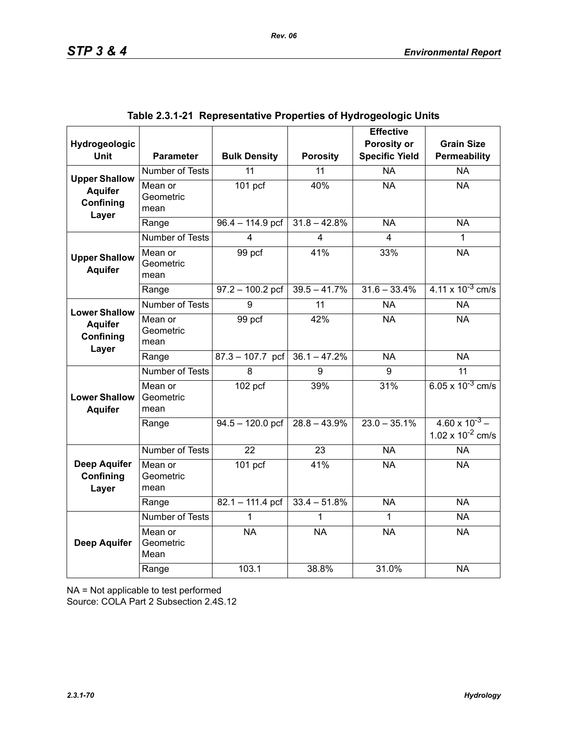| Hydrogeologic                             |                              |                     |                 | <b>Effective</b><br>Porosity or | <b>Grain Size</b>                                |
|-------------------------------------------|------------------------------|---------------------|-----------------|---------------------------------|--------------------------------------------------|
| <b>Unit</b>                               | <b>Parameter</b>             | <b>Bulk Density</b> | <b>Porosity</b> | <b>Specific Yield</b>           | Permeability                                     |
| <b>Upper Shallow</b>                      | <b>Number of Tests</b>       | $\overline{11}$     | $\overline{11}$ | $\overline{NA}$                 | $\overline{NA}$                                  |
| <b>Aquifer</b><br>Confining<br>Layer      | Mean or<br>Geometric<br>mean | 101 pcf             | 40%             | <b>NA</b>                       | <b>NA</b>                                        |
|                                           | Range                        | $96.4 - 114.9$ pcf  | $31.8 - 42.8%$  | <b>NA</b>                       | <b>NA</b>                                        |
|                                           | <b>Number of Tests</b>       | 4                   | 4               | 4                               | 1                                                |
| <b>Upper Shallow</b><br><b>Aquifer</b>    | Mean or<br>Geometric<br>mean | 99 pcf              | 41%             | 33%                             | <b>NA</b>                                        |
|                                           | Range                        | $97.2 - 100.2$ pcf  | $39.5 - 41.7%$  | $31.6 - 33.4%$                  | $4.11 \times 10^{-3}$ cm/s                       |
| <b>Lower Shallow</b>                      | <b>Number of Tests</b>       | 9                   | $\overline{11}$ | <b>NA</b>                       | <b>NA</b>                                        |
| <b>Aquifer</b><br>Confining<br>Layer      | Mean or<br>Geometric<br>mean | 99 pcf              | 42%             | <b>NA</b>                       | <b>NA</b>                                        |
|                                           | Range                        | $87.3 - 107.7$ pcf  | $36.1 - 47.2%$  | <b>NA</b>                       | <b>NA</b>                                        |
|                                           | Number of Tests              | 8                   | 9               | 9                               | $\overline{11}$                                  |
| <b>Lower Shallow</b><br><b>Aquifer</b>    | Mean or<br>Geometric<br>mean | 102 pcf             | 39%             | 31%                             | 6.05 x $10^{-3}$ cm/s                            |
|                                           | Range                        | $94.5 - 120.0$ pcf  | $28.8 - 43.9%$  | $23.0 - 35.1\%$                 | $4.60 \times 10^{-3}$ –<br>1.02 x $10^{-2}$ cm/s |
|                                           | Number of Tests              | $\overline{22}$     | $\overline{23}$ | N <sub>A</sub>                  | <b>NA</b>                                        |
| <b>Deep Aquifer</b><br>Confining<br>Layer | Mean or<br>Geometric<br>mean | 101 <sub>pcf</sub>  | 41%             | <b>NA</b>                       | <b>NA</b>                                        |
|                                           | Range                        | $82.1 - 111.4$ pcf  | $33.4 - 51.8%$  | $\overline{NA}$                 | <b>NA</b>                                        |
|                                           | Number of Tests              | 1                   | 1               | 1                               | <b>NA</b>                                        |
| <b>Deep Aquifer</b>                       | Mean or<br>Geometric<br>Mean | <b>NA</b>           | <b>NA</b>       | <b>NA</b>                       | <b>NA</b>                                        |
|                                           | Range                        | 103.1               | 38.8%           | 31.0%                           | <b>NA</b>                                        |

|  | Table 2.3.1-21  Representative Properties of Hydrogeologic Units |  |  |  |  |
|--|------------------------------------------------------------------|--|--|--|--|
|--|------------------------------------------------------------------|--|--|--|--|

NA = Not applicable to test performed

Source: COLA Part 2 Subsection 2.4S.12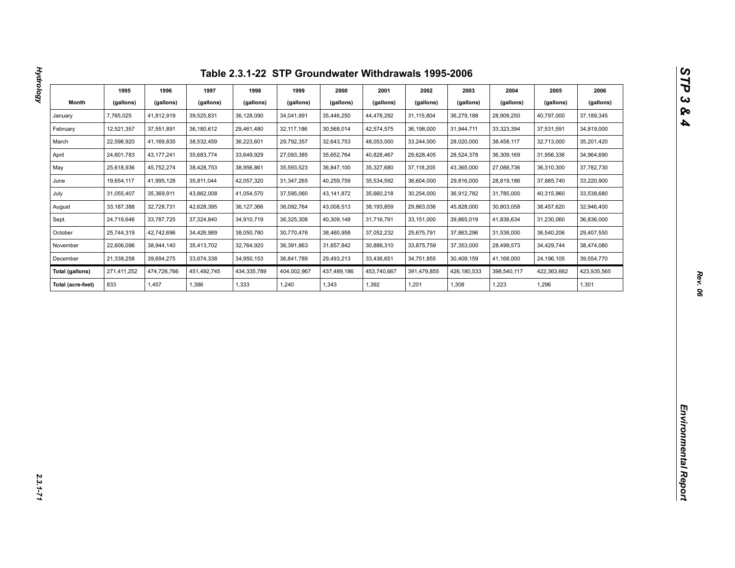| Month<br>(gallons)<br>(gallons)<br>(gallons)<br>(gallons)<br>(gallons)<br>(gallons)<br>(gallons)<br>(gallons)<br>(gallons)<br>(gallons)<br>(gallons)<br>(gallons)<br>35,446,250<br>37,189,345<br>7,765,025<br>41,812,919<br>39,525,831<br>36,128,090<br>34,041,991<br>44,476,292<br>31,115,804<br>36,279,188<br>28,909,250<br>40,797,000<br>January<br>12,521,357<br>36,180,612<br>42,574,575<br>31,944,711<br>February<br>37,551,891<br>29,461,480<br>32,117,186<br>30,568,014<br>36,198,000<br>33,323,394<br>37,531,591<br>34,819,000<br>22,598,920<br>March<br>41,169,835<br>38,532,459<br>36,223,601<br>29,792,357<br>32,643,753<br>48,053,000<br>33,244,000<br>28,020,000<br>38,458,117<br>32,713,000<br>35,201,420<br>April<br>24,601,783<br>43, 177, 241<br>35,683,774<br>33,649,929<br>27,093,385<br>35,652,764<br>40,828,467<br>29,628,405<br>28,524,378<br>36,309,169<br>31,956,336<br>34,964,690<br>May<br>25,618,936<br>45,752,274<br>38,428,753<br>38,956,861<br>36,847,100<br>37, 118, 205<br>27,088,736<br>37,782,730<br>35,593,523<br>35,327,680<br>43,365,000<br>36,310,300<br>33,220,900<br>June<br>19,654,117<br>41,995,128<br>35,811,044<br>42,057,320<br>31,347,265<br>40,259,759<br>35,534,592<br>36,604,000<br>29,816,000<br>28,819,186<br>37,885,740<br>July<br>31,055,407<br>35,369,911<br>43,862,008<br>41,054,570<br>37,595,060<br>43, 141, 872<br>35,660,218<br>30,254,000<br>36,912,782<br>31,785,000<br>40,315,960<br>33,538,680<br>33, 187, 388<br>32,728,731<br>42,628,395<br>36,127,366<br>36,092,764<br>43,008,513<br>38,193,859<br>29,863,036<br>45,828,000<br>30,803,058<br>38,457,620<br>32,946,400<br>August<br>37,324,840<br>34,910,719<br>Sept.<br>24,719,646<br>33,787,725<br>36,325,308<br>40,309,148<br>31,716,791<br>33,151,000<br>39,865,019<br>41,838,634<br>31,230,060<br>36,836,000<br>October<br>25,744,319<br>42,742,696<br>34,426,989<br>38,050,780<br>30,770,476<br>38,460,958<br>37,052,232<br>25,675,791<br>37,863,296<br>31,538,000<br>36,540,206<br>29,407,550<br>22,606,096<br>38,944,140<br>35,413,702<br>32,764,920<br>36,391,863<br>31,657,842<br>30,886,310<br>33,875,759<br>37,353,000<br>28,499,573<br>34,429,744<br>38,474,080<br>November<br>21,338,258<br>39,694,275<br>33,674,338<br>34,950,153<br>36,841,789<br>29,493,213<br>33,436,651<br>34,751,855<br>30,409,159<br>41,168,000<br>24,196,105<br>39,554,770<br>December<br>391,479,855<br>423,935,565<br>Total (gallons)<br>271,411,252<br>474,726,766<br>451,492,745<br>434,335,789<br>404,002,967<br>437,489,186<br>453,740,667<br>426,180,533<br>398,540,117<br>422,363,662<br>833<br>1,457<br>1,386<br>1,333<br>1,240<br>1,343<br>1,392<br>1,201<br>1,308<br>1,223<br>1,301<br>Total (acre-feet)<br>1,296 |  |  |  |  |  |  |
|--------------------------------------------------------------------------------------------------------------------------------------------------------------------------------------------------------------------------------------------------------------------------------------------------------------------------------------------------------------------------------------------------------------------------------------------------------------------------------------------------------------------------------------------------------------------------------------------------------------------------------------------------------------------------------------------------------------------------------------------------------------------------------------------------------------------------------------------------------------------------------------------------------------------------------------------------------------------------------------------------------------------------------------------------------------------------------------------------------------------------------------------------------------------------------------------------------------------------------------------------------------------------------------------------------------------------------------------------------------------------------------------------------------------------------------------------------------------------------------------------------------------------------------------------------------------------------------------------------------------------------------------------------------------------------------------------------------------------------------------------------------------------------------------------------------------------------------------------------------------------------------------------------------------------------------------------------------------------------------------------------------------------------------------------------------------------------------------------------------------------------------------------------------------------------------------------------------------------------------------------------------------------------------------------------------------------------------------------------------------------------------------------------------------------------------------------------------------------------------------------------------------------------------------------------------------------------------------------------------------------------------------------------------------------------------------------------------------------------------|--|--|--|--|--|--|
|                                                                                                                                                                                                                                                                                                                                                                                                                                                                                                                                                                                                                                                                                                                                                                                                                                                                                                                                                                                                                                                                                                                                                                                                                                                                                                                                                                                                                                                                                                                                                                                                                                                                                                                                                                                                                                                                                                                                                                                                                                                                                                                                                                                                                                                                                                                                                                                                                                                                                                                                                                                                                                                                                                                                      |  |  |  |  |  |  |
|                                                                                                                                                                                                                                                                                                                                                                                                                                                                                                                                                                                                                                                                                                                                                                                                                                                                                                                                                                                                                                                                                                                                                                                                                                                                                                                                                                                                                                                                                                                                                                                                                                                                                                                                                                                                                                                                                                                                                                                                                                                                                                                                                                                                                                                                                                                                                                                                                                                                                                                                                                                                                                                                                                                                      |  |  |  |  |  |  |
|                                                                                                                                                                                                                                                                                                                                                                                                                                                                                                                                                                                                                                                                                                                                                                                                                                                                                                                                                                                                                                                                                                                                                                                                                                                                                                                                                                                                                                                                                                                                                                                                                                                                                                                                                                                                                                                                                                                                                                                                                                                                                                                                                                                                                                                                                                                                                                                                                                                                                                                                                                                                                                                                                                                                      |  |  |  |  |  |  |
|                                                                                                                                                                                                                                                                                                                                                                                                                                                                                                                                                                                                                                                                                                                                                                                                                                                                                                                                                                                                                                                                                                                                                                                                                                                                                                                                                                                                                                                                                                                                                                                                                                                                                                                                                                                                                                                                                                                                                                                                                                                                                                                                                                                                                                                                                                                                                                                                                                                                                                                                                                                                                                                                                                                                      |  |  |  |  |  |  |
|                                                                                                                                                                                                                                                                                                                                                                                                                                                                                                                                                                                                                                                                                                                                                                                                                                                                                                                                                                                                                                                                                                                                                                                                                                                                                                                                                                                                                                                                                                                                                                                                                                                                                                                                                                                                                                                                                                                                                                                                                                                                                                                                                                                                                                                                                                                                                                                                                                                                                                                                                                                                                                                                                                                                      |  |  |  |  |  |  |
|                                                                                                                                                                                                                                                                                                                                                                                                                                                                                                                                                                                                                                                                                                                                                                                                                                                                                                                                                                                                                                                                                                                                                                                                                                                                                                                                                                                                                                                                                                                                                                                                                                                                                                                                                                                                                                                                                                                                                                                                                                                                                                                                                                                                                                                                                                                                                                                                                                                                                                                                                                                                                                                                                                                                      |  |  |  |  |  |  |
|                                                                                                                                                                                                                                                                                                                                                                                                                                                                                                                                                                                                                                                                                                                                                                                                                                                                                                                                                                                                                                                                                                                                                                                                                                                                                                                                                                                                                                                                                                                                                                                                                                                                                                                                                                                                                                                                                                                                                                                                                                                                                                                                                                                                                                                                                                                                                                                                                                                                                                                                                                                                                                                                                                                                      |  |  |  |  |  |  |
|                                                                                                                                                                                                                                                                                                                                                                                                                                                                                                                                                                                                                                                                                                                                                                                                                                                                                                                                                                                                                                                                                                                                                                                                                                                                                                                                                                                                                                                                                                                                                                                                                                                                                                                                                                                                                                                                                                                                                                                                                                                                                                                                                                                                                                                                                                                                                                                                                                                                                                                                                                                                                                                                                                                                      |  |  |  |  |  |  |
|                                                                                                                                                                                                                                                                                                                                                                                                                                                                                                                                                                                                                                                                                                                                                                                                                                                                                                                                                                                                                                                                                                                                                                                                                                                                                                                                                                                                                                                                                                                                                                                                                                                                                                                                                                                                                                                                                                                                                                                                                                                                                                                                                                                                                                                                                                                                                                                                                                                                                                                                                                                                                                                                                                                                      |  |  |  |  |  |  |
|                                                                                                                                                                                                                                                                                                                                                                                                                                                                                                                                                                                                                                                                                                                                                                                                                                                                                                                                                                                                                                                                                                                                                                                                                                                                                                                                                                                                                                                                                                                                                                                                                                                                                                                                                                                                                                                                                                                                                                                                                                                                                                                                                                                                                                                                                                                                                                                                                                                                                                                                                                                                                                                                                                                                      |  |  |  |  |  |  |
|                                                                                                                                                                                                                                                                                                                                                                                                                                                                                                                                                                                                                                                                                                                                                                                                                                                                                                                                                                                                                                                                                                                                                                                                                                                                                                                                                                                                                                                                                                                                                                                                                                                                                                                                                                                                                                                                                                                                                                                                                                                                                                                                                                                                                                                                                                                                                                                                                                                                                                                                                                                                                                                                                                                                      |  |  |  |  |  |  |
|                                                                                                                                                                                                                                                                                                                                                                                                                                                                                                                                                                                                                                                                                                                                                                                                                                                                                                                                                                                                                                                                                                                                                                                                                                                                                                                                                                                                                                                                                                                                                                                                                                                                                                                                                                                                                                                                                                                                                                                                                                                                                                                                                                                                                                                                                                                                                                                                                                                                                                                                                                                                                                                                                                                                      |  |  |  |  |  |  |
|                                                                                                                                                                                                                                                                                                                                                                                                                                                                                                                                                                                                                                                                                                                                                                                                                                                                                                                                                                                                                                                                                                                                                                                                                                                                                                                                                                                                                                                                                                                                                                                                                                                                                                                                                                                                                                                                                                                                                                                                                                                                                                                                                                                                                                                                                                                                                                                                                                                                                                                                                                                                                                                                                                                                      |  |  |  |  |  |  |
|                                                                                                                                                                                                                                                                                                                                                                                                                                                                                                                                                                                                                                                                                                                                                                                                                                                                                                                                                                                                                                                                                                                                                                                                                                                                                                                                                                                                                                                                                                                                                                                                                                                                                                                                                                                                                                                                                                                                                                                                                                                                                                                                                                                                                                                                                                                                                                                                                                                                                                                                                                                                                                                                                                                                      |  |  |  |  |  |  |
|                                                                                                                                                                                                                                                                                                                                                                                                                                                                                                                                                                                                                                                                                                                                                                                                                                                                                                                                                                                                                                                                                                                                                                                                                                                                                                                                                                                                                                                                                                                                                                                                                                                                                                                                                                                                                                                                                                                                                                                                                                                                                                                                                                                                                                                                                                                                                                                                                                                                                                                                                                                                                                                                                                                                      |  |  |  |  |  |  |
|                                                                                                                                                                                                                                                                                                                                                                                                                                                                                                                                                                                                                                                                                                                                                                                                                                                                                                                                                                                                                                                                                                                                                                                                                                                                                                                                                                                                                                                                                                                                                                                                                                                                                                                                                                                                                                                                                                                                                                                                                                                                                                                                                                                                                                                                                                                                                                                                                                                                                                                                                                                                                                                                                                                                      |  |  |  |  |  |  |
|                                                                                                                                                                                                                                                                                                                                                                                                                                                                                                                                                                                                                                                                                                                                                                                                                                                                                                                                                                                                                                                                                                                                                                                                                                                                                                                                                                                                                                                                                                                                                                                                                                                                                                                                                                                                                                                                                                                                                                                                                                                                                                                                                                                                                                                                                                                                                                                                                                                                                                                                                                                                                                                                                                                                      |  |  |  |  |  |  |
|                                                                                                                                                                                                                                                                                                                                                                                                                                                                                                                                                                                                                                                                                                                                                                                                                                                                                                                                                                                                                                                                                                                                                                                                                                                                                                                                                                                                                                                                                                                                                                                                                                                                                                                                                                                                                                                                                                                                                                                                                                                                                                                                                                                                                                                                                                                                                                                                                                                                                                                                                                                                                                                                                                                                      |  |  |  |  |  |  |
|                                                                                                                                                                                                                                                                                                                                                                                                                                                                                                                                                                                                                                                                                                                                                                                                                                                                                                                                                                                                                                                                                                                                                                                                                                                                                                                                                                                                                                                                                                                                                                                                                                                                                                                                                                                                                                                                                                                                                                                                                                                                                                                                                                                                                                                                                                                                                                                                                                                                                                                                                                                                                                                                                                                                      |  |  |  |  |  |  |
|                                                                                                                                                                                                                                                                                                                                                                                                                                                                                                                                                                                                                                                                                                                                                                                                                                                                                                                                                                                                                                                                                                                                                                                                                                                                                                                                                                                                                                                                                                                                                                                                                                                                                                                                                                                                                                                                                                                                                                                                                                                                                                                                                                                                                                                                                                                                                                                                                                                                                                                                                                                                                                                                                                                                      |  |  |  |  |  |  |
|                                                                                                                                                                                                                                                                                                                                                                                                                                                                                                                                                                                                                                                                                                                                                                                                                                                                                                                                                                                                                                                                                                                                                                                                                                                                                                                                                                                                                                                                                                                                                                                                                                                                                                                                                                                                                                                                                                                                                                                                                                                                                                                                                                                                                                                                                                                                                                                                                                                                                                                                                                                                                                                                                                                                      |  |  |  |  |  |  |
|                                                                                                                                                                                                                                                                                                                                                                                                                                                                                                                                                                                                                                                                                                                                                                                                                                                                                                                                                                                                                                                                                                                                                                                                                                                                                                                                                                                                                                                                                                                                                                                                                                                                                                                                                                                                                                                                                                                                                                                                                                                                                                                                                                                                                                                                                                                                                                                                                                                                                                                                                                                                                                                                                                                                      |  |  |  |  |  |  |
|                                                                                                                                                                                                                                                                                                                                                                                                                                                                                                                                                                                                                                                                                                                                                                                                                                                                                                                                                                                                                                                                                                                                                                                                                                                                                                                                                                                                                                                                                                                                                                                                                                                                                                                                                                                                                                                                                                                                                                                                                                                                                                                                                                                                                                                                                                                                                                                                                                                                                                                                                                                                                                                                                                                                      |  |  |  |  |  |  |
|                                                                                                                                                                                                                                                                                                                                                                                                                                                                                                                                                                                                                                                                                                                                                                                                                                                                                                                                                                                                                                                                                                                                                                                                                                                                                                                                                                                                                                                                                                                                                                                                                                                                                                                                                                                                                                                                                                                                                                                                                                                                                                                                                                                                                                                                                                                                                                                                                                                                                                                                                                                                                                                                                                                                      |  |  |  |  |  |  |
|                                                                                                                                                                                                                                                                                                                                                                                                                                                                                                                                                                                                                                                                                                                                                                                                                                                                                                                                                                                                                                                                                                                                                                                                                                                                                                                                                                                                                                                                                                                                                                                                                                                                                                                                                                                                                                                                                                                                                                                                                                                                                                                                                                                                                                                                                                                                                                                                                                                                                                                                                                                                                                                                                                                                      |  |  |  |  |  |  |